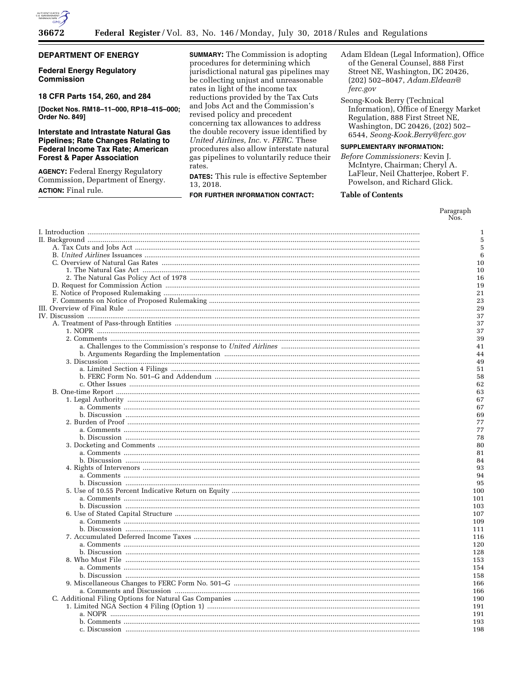

## DEPARTMENT OF ENERGY

## **Federal Energy Regulatory Commission**

#### 18 CFR Parts 154, 260, and 284

[Docket Nos. RM18-11-000, RP18-415-000; Order No. 849]

# **Interstate and Intrastate Natural Gas Pipelines; Rate Changes Relating to Federal Income Tax Rate; American Forest & Paper Association**

**AGENCY:** Federal Energy Regulatory Commission, Department of Energy. **ACTION:** Final rule.

**SUMMARY:** The Commission is adopting procedures for determining which jurisdictional natural gas pipelines may be collecting unjust and unreasonable rates in light of the income tax reductions provided by the Tax Cuts and Jobs Act and the Commission's revised policy and precedent concerning tax allowances to address the double recovery issue identified by United Airlines, Inc. v. FERC. These procedures also allow interstate natural gas pipelines to voluntarily reduce their rates.

**DATES:** This rule is effective September 13, 2018.

FOR FURTHER INFORMATION CONTACT:

- Adam Eldean (Legal Information), Office of the General Counsel, 888 First Street NE, Washington, DC 20426, (202) 502-8047, Adam.Eldean@ ferc.gov
- Seong-Kook Berry (Technical Information), Office of Energy Market Regulation, 888 First Street NE, Washington, DC 20426, (202) 502-6544, Seong-Kook.Berry@ferc.gov

## SUPPLEMENTARY INFORMATION:

Before Commissioners: Kevin J. McIntyre, Chairman; Cheryl A. LaFleur, Neil Chatterjee, Robert F. Powelson, and Richard Glick.

#### **Table of Contents**

Paragraph Nos.

| 5   |
|-----|
| 5   |
| 6   |
| 10  |
| 10  |
| 16  |
| 19  |
| 21  |
| 23  |
| 29  |
| 37  |
| 37  |
| 37  |
| 39  |
| 41  |
| 44  |
| 49  |
| 51  |
| 58  |
| 62  |
| 63  |
| 67  |
| 67  |
| 69  |
| 77  |
| 77  |
| 78  |
| 80  |
| 81  |
| 84  |
| 93  |
| 94  |
| 95  |
| 100 |
| 101 |
| 103 |
| 107 |
| 109 |
| 111 |
| 116 |
| 120 |
| 128 |
| 153 |
| 154 |
| 158 |
| 166 |
| 166 |
| 190 |
| 191 |
| 191 |
| 193 |
| 198 |
|     |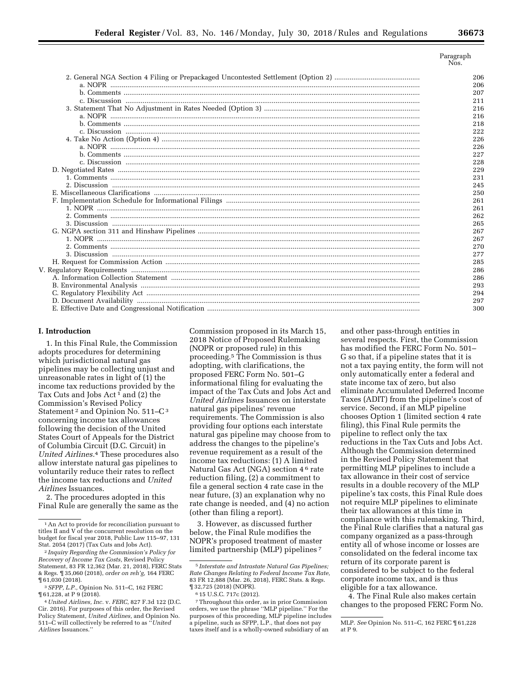| Paragrapn |  |
|-----------|--|
| 70 - 7    |  |

| 206 |
|-----|
| 206 |
| 207 |
| 211 |
| 216 |
| 216 |
| 218 |
| 222 |
| 226 |
| 226 |
| 227 |
| 228 |
| 229 |
| 231 |
| 245 |
| 250 |
| 261 |
| 261 |
| 262 |
| 265 |
| 267 |
| 267 |
| 270 |
| 277 |
| 285 |
| 286 |
| 286 |
| 293 |
| 294 |
| 297 |
| 300 |

#### **I. Introduction**

1. In this Final Rule, the Commission adopts procedures for determining which jurisdictional natural gas pipelines may be collecting unjust and unreasonable rates in light of (1) the income tax reductions provided by the Tax Cuts and Jobs Act<sup>1</sup> and (2) the Commission's Revised Policy Statement<sup>2</sup> and Opinion No. 511-C<sup>3</sup> concerning income tax allowances following the decision of the United States Court of Appeals for the District of Columbia Circuit (D.C. Circuit) in *United Airlines.*4 These procedures also allow interstate natural gas pipelines to voluntarily reduce their rates to reflect the income tax reductions and *United Airlines* Issuances.

2. The procedures adopted in this Final Rule are generally the same as the

Commission proposed in its March 15, 2018 Notice of Proposed Rulemaking (NOPR or proposed rule) in this proceeding.5 The Commission is thus adopting, with clarifications, the proposed FERC Form No. 501–G informational filing for evaluating the impact of the Tax Cuts and Jobs Act and *United Airlines* Issuances on interstate natural gas pipelines' revenue requirements. The Commission is also providing four options each interstate natural gas pipeline may choose from to address the changes to the pipeline's revenue requirement as a result of the income tax reductions: (1) A limited Natural Gas Act (NGA) section 4 6 rate reduction filing, (2) a commitment to file a general section 4 rate case in the near future, (3) an explanation why no rate change is needed, and (4) no action (other than filing a report).

3. However, as discussed further below, the Final Rule modifies the NOPR's proposed treatment of master limited partnership (MLP) pipelines 7

and other pass-through entities in several respects. First, the Commission has modified the FERC Form No. 501– G so that, if a pipeline states that it is not a tax paying entity, the form will not only automatically enter a federal and state income tax of zero, but also eliminate Accumulated Deferred Income Taxes (ADIT) from the pipeline's cost of service. Second, if an MLP pipeline chooses Option 1 (limited section 4 rate filing), this Final Rule permits the pipeline to reflect only the tax reductions in the Tax Cuts and Jobs Act. Although the Commission determined in the Revised Policy Statement that permitting MLP pipelines to include a tax allowance in their cost of service results in a double recovery of the MLP pipeline's tax costs, this Final Rule does not require MLP pipelines to eliminate their tax allowances at this time in compliance with this rulemaking. Third, the Final Rule clarifies that a natural gas company organized as a pass-through entity all of whose income or losses are consolidated on the federal income tax return of its corporate parent is considered to be subject to the federal corporate income tax, and is thus eligible for a tax allowance.

4. The Final Rule also makes certain changes to the proposed FERC Form No.

<sup>1</sup>An Act to provide for reconciliation pursuant to titles II and V of the concurrent resolution on the budget for fiscal year 2018, Public Law 115–97, 131 Stat. 2054 (2017) (Tax Cuts and Jobs Act).

<sup>2</sup> *Inquiry Regarding the Commission's Policy for Recovery of Income Tax Costs,* Revised Policy Statement, 83 FR 12,362 (Mar. 21, 2018), FERC Stats & Regs. ¶ 35,060 (2018), *order on reh'g,* 164 FERC ¶ 61,030 (2018).

<sup>3</sup>*SFPP, L.P.,* Opinion No. 511–C, 162 FERC ¶ 61,228, at P 9 (2018).

<sup>4</sup>*United Airlines, Inc.* v. *FERC,* 827 F.3d 122 (D.C. Cir. 2016). For purposes of this order, the Revised Policy Statement, *United Airlines,* and Opinion No. 511–C will collectively be referred to as ''*United Airlines* Issuances.''

<sup>5</sup> *Interstate and Intrastate Natural Gas Pipelines; Rate Changes Relating to Federal Income Tax Rate,*  83 FR 12,888 (Mar. 26, 2018), FERC Stats. & Regs. ¶ 32,725 (2018) (NOPR).

<sup>6</sup> 15 U.S.C. 717c (2012).

<sup>7</sup>Throughout this order, as in prior Commission orders, we use the phrase ''MLP pipeline.'' For the purposes of this proceeding, MLP pipeline includes a pipeline, such as SFPP, L.P., that does not pay taxes itself and is a wholly-owned subsidiary of an

MLP. *See* Opinion No. 511–C, 162 FERC ¶ 61,228 at P 9.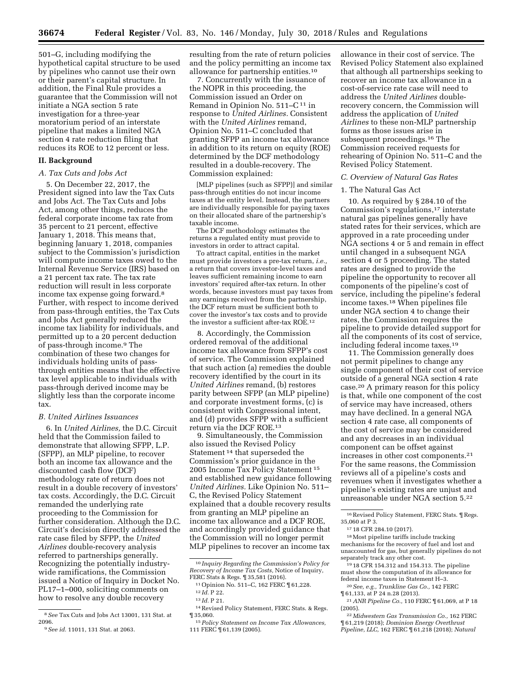501–G, including modifying the hypothetical capital structure to be used by pipelines who cannot use their own or their parent's capital structure. In addition, the Final Rule provides a guarantee that the Commission will not initiate a NGA section 5 rate investigation for a three-year moratorium period of an interstate pipeline that makes a limited NGA section 4 rate reduction filing that reduces its ROE to 12 percent or less.

## **II. Background**

## *A. Tax Cuts and Jobs Act*

5. On December 22, 2017, the President signed into law the Tax Cuts and Jobs Act. The Tax Cuts and Jobs Act, among other things, reduces the federal corporate income tax rate from 35 percent to 21 percent, effective January 1, 2018. This means that, beginning January 1, 2018, companies subject to the Commission's jurisdiction will compute income taxes owed to the Internal Revenue Service (IRS) based on a 21 percent tax rate. The tax rate reduction will result in less corporate income tax expense going forward.8 Further, with respect to income derived from pass-through entities, the Tax Cuts and Jobs Act generally reduced the income tax liability for individuals, and permitted up to a 20 percent deduction of pass-through income.9 The combination of these two changes for individuals holding units of passthrough entities means that the effective tax level applicable to individuals with pass-through derived income may be slightly less than the corporate income tax.

## *B. United Airlines Issuances*

6. In *United Airlines,* the D.C. Circuit held that the Commission failed to demonstrate that allowing SFPP, L.P. (SFPP), an MLP pipeline, to recover both an income tax allowance and the discounted cash flow (DCF) methodology rate of return does not result in a double recovery of investors' tax costs. Accordingly, the D.C. Circuit remanded the underlying rate proceeding to the Commission for further consideration. Although the D.C. Circuit's decision directly addressed the rate case filed by SFPP, the *United Airlines* double-recovery analysis referred to partnerships generally. Recognizing the potentially industrywide ramifications, the Commission issued a Notice of Inquiry in Docket No. PL17–1–000, soliciting comments on how to resolve any double recovery

resulting from the rate of return policies and the policy permitting an income tax allowance for partnership entities.10

7. Concurrently with the issuance of the NOPR in this proceeding, the Commission issued an Order on Remand in Opinion No.  $511-C^{11}$  in response to *United Airlines.* Consistent with the *United Airlines* remand, Opinion No. 511–C concluded that granting SFPP an income tax allowance in addition to its return on equity (ROE) determined by the DCF methodology resulted in a double-recovery. The Commission explained:

[MLP pipelines (such as SFPP)] and similar pass-through entities do not incur income taxes at the entity level. Instead, the partners are individually responsible for paying taxes on their allocated share of the partnership's taxable income.

The DCF methodology estimates the returns a regulated entity must provide to investors in order to attract capital.

To attract capital, entities in the market must provide investors a pre-tax return, *i.e.,*  a return that covers investor-level taxes and leaves sufficient remaining income to earn investors' required after-tax return. In other words, because investors must pay taxes from any earnings received from the partnership, the DCF return must be sufficient both to cover the investor's tax costs and to provide the investor a sufficient after-tax ROE.12

8. Accordingly, the Commission ordered removal of the additional income tax allowance from SFPP's cost of service. The Commission explained that such action (a) remedies the double recovery identified by the court in its *United Airlines* remand, (b) restores parity between SFPP (an MLP pipeline) and corporate investment forms, (c) is consistent with Congressional intent, and (d) provides SFPP with a sufficient return via the DCF ROE.13

9. Simultaneously, the Commission also issued the Revised Policy Statement 14 that superseded the Commission's prior guidance in the 2005 Income Tax Policy Statement 15 and established new guidance following *United Airlines.* Like Opinion No. 511– C, the Revised Policy Statement explained that a double recovery results from granting an MLP pipeline an income tax allowance and a DCF ROE, and accordingly provided guidance that the Commission will no longer permit MLP pipelines to recover an income tax

10 *Inquiry Regarding the Commission's Policy for Recovery of Income Tax Costs,* Notice of Inquiry, FERC Stats & Regs. ¶ 35,581 (2016). 11Opinion No. 511–C, 162 FERC ¶ 61,228.

allowance in their cost of service. The Revised Policy Statement also explained that although all partnerships seeking to recover an income tax allowance in a cost-of-service rate case will need to address the *United Airlines* doublerecovery concern, the Commission will address the application of *United Airlines* to these non-MLP partnership forms as those issues arise in subsequent proceedings.16 The Commission received requests for rehearing of Opinion No. 511–C and the Revised Policy Statement.

## *C. Overview of Natural Gas Rates*

## 1. The Natural Gas Act

10. As required by § 284.10 of the Commission's regulations,17 interstate natural gas pipelines generally have stated rates for their services, which are approved in a rate proceeding under NGA sections 4 or 5 and remain in effect until changed in a subsequent NGA section 4 or 5 proceeding. The stated rates are designed to provide the pipeline the opportunity to recover all components of the pipeline's cost of service, including the pipeline's federal income taxes.18 When pipelines file under NGA section 4 to change their rates, the Commission requires the pipeline to provide detailed support for all the components of its cost of service, including federal income taxes.19

11. The Commission generally does not permit pipelines to change any single component of their cost of service outside of a general NGA section 4 rate case.20 A primary reason for this policy is that, while one component of the cost of service may have increased, others may have declined. In a general NGA section 4 rate case, all components of the cost of service may be considered and any decreases in an individual component can be offset against increases in other cost components.21 For the same reasons, the Commission reviews all of a pipeline's costs and revenues when it investigates whether a pipeline's existing rates are unjust and unreasonable under NGA section 5.22

18Most pipeline tariffs include tracking mechanisms for the recovery of fuel and lost and unaccounted for gas, but generally pipelines do not separately track any other cost.

19 18 CFR 154.312 and 154.313. The pipeline must show the computation of its allowance for federal income taxes in Statement H–3.

20*See, e.g., Trunkline Gas Co.,* 142 FERC ¶ 61,133, at P 24 n.28 (2013).

21*ANR Pipeline Co.,* 110 FERC ¶ 61,069, at P 18 (2005).

22 *Midwestern Gas Transmission Co.,* 162 FERC ¶ 61,219 (2018); *Dominion Energy Overthrust Pipeline, LLC,* 162 FERC ¶ 61,218 (2018); *Natural* 

<sup>8</sup>*See* Tax Cuts and Jobs Act 13001, 131 Stat. at 2096.

<sup>9</sup>*See id.* 11011, 131 Stat. at 2063.

<sup>12</sup> *Id.* P 22.

<sup>13</sup> *Id.* P 21.

<sup>14</sup>Revised Policy Statement, FERC Stats. & Regs. ¶ 35,060.

<sup>15</sup>*Policy Statement on Income Tax Allowances,*  111 FERC ¶ 61,139 (2005).

<sup>16</sup>Revised Policy Statement, FERC Stats. ¶ Regs. 35,060 at P 3.

<sup>17</sup> 18 CFR 284.10 (2017).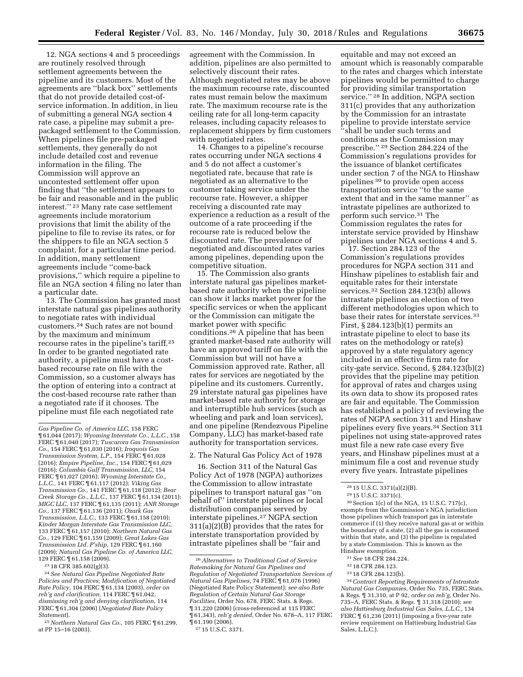12. NGA sections 4 and 5 proceedings are routinely resolved through settlement agreements between the pipeline and its customers. Most of the agreements are ''black box'' settlements that do not provide detailed cost-ofservice information. In addition, in lieu of submitting a general NGA section 4 rate case, a pipeline may submit a prepackaged settlement to the Commission. When pipelines file pre-packaged settlements, they generally do not include detailed cost and revenue information in the filing. The Commission will approve an uncontested settlement offer upon finding that ''the settlement appears to be fair and reasonable and in the public interest.'' 23 Many rate case settlement agreements include moratorium provisions that limit the ability of the pipeline to file to revise its rates, or for the shippers to file an NGA section 5 complaint, for a particular time period. In addition, many settlement agreements include ''come-back provisions,'' which require a pipeline to file an NGA section 4 filing no later than a particular date.

13. The Commission has granted most interstate natural gas pipelines authority to negotiate rates with individual customers.24 Such rates are not bound by the maximum and minimum recourse rates in the pipeline's tariff.25 In order to be granted negotiated rate authority, a pipeline must have a costbased recourse rate on file with the Commission, so a customer always has the option of entering into a contract at the cost-based recourse rate rather than a negotiated rate if it chooses. The pipeline must file each negotiated rate

23 18 CFR 385.602(g)(3).

24*See Natural Gas Pipeline Negotiated Rate Policies and Practices; Modification of Negotiated Rate Policy,* 104 FERC ¶ 61,134 (2003), *order on reh'g and clarification,* 114 FERC ¶ 61,042, *dismissing reh'g and denying clarification,* 114 FERC ¶ 61,304 (2006) (*Negotiated Rate Policy Statement*).

25*Northern Natural Gas Co.,* 105 FERC ¶ 61,299, at PP 15–16 (2003).

agreement with the Commission. In addition, pipelines are also permitted to selectively discount their rates. Although negotiated rates may be above the maximum recourse rate, discounted rates must remain below the maximum rate. The maximum recourse rate is the ceiling rate for all long-term capacity releases, including capacity releases to replacement shippers by firm customers with negotiated rates.

14. Changes to a pipeline's recourse rates occurring under NGA sections 4 and 5 do not affect a customer's negotiated rate, because that rate is negotiated as an alternative to the customer taking service under the recourse rate. However, a shipper receiving a discounted rate may experience a reduction as a result of the outcome of a rate proceeding if the recourse rate is reduced below the discounted rate. The prevalence of negotiated and discounted rates varies among pipelines, depending upon the competitive situation.

15. The Commission also grants interstate natural gas pipelines marketbased rate authority when the pipeline can show it lacks market power for the specific services or when the applicant or the Commission can mitigate the market power with specific conditions.26 A pipeline that has been granted market-based rate authority will have an approved tariff on file with the Commission but will not have a Commission approved rate. Rather, all rates for services are negotiated by the pipeline and its customers. Currently, 29 interstate natural gas pipelines have market-based rate authority for storage and interruptible hub services (such as wheeling and park and loan services), and one pipeline (Rendezvous Pipeline Company, LLC) has market-based rate authority for transportation services.

2. The Natural Gas Policy Act of 1978

16. Section 311 of the Natural Gas Policy Act of 1978 (NGPA) authorizes the Commission to allow intrastate pipelines to transport natural gas ''on behalf of'' interstate pipelines or local distribution companies served by interstate pipelines.27 NGPA section 311(a)(2)(B) provides that the rates for interstate transportation provided by intrastate pipelines shall be ''fair and

equitable and may not exceed an amount which is reasonably comparable to the rates and charges which interstate pipelines would be permitted to charge for providing similar transportation service."<sup>28</sup> In addition, NGPA section 311(c) provides that any authorization by the Commission for an intrastate pipeline to provide interstate service ''shall be under such terms and conditions as the Commission may prescribe.'' 29 Section 284.224 of the Commission's regulations provides for the issuance of blanket certificates under section 7 of the NGA to Hinshaw pipelines 30 to provide open access transportation service ''to the same extent that and in the same manner'' as intrastate pipelines are authorized to perform such service.31 The Commission regulates the rates for interstate service provided by Hinshaw pipelines under NGA sections 4 and 5.

17. Section 284.123 of the Commission's regulations provides procedures for NGPA section 311 and Hinshaw pipelines to establish fair and equitable rates for their interstate services.32 Section 284.123(b) allows intrastate pipelines an election of two different methodologies upon which to base their rates for interstate services.33 First, § 284.123(b)(1) permits an intrastate pipeline to elect to base its rates on the methodology or rate(s) approved by a state regulatory agency included in an effective firm rate for city-gate service. Second, § 284.123(b)(2) provides that the pipeline may petition for approval of rates and charges using its own data to show its proposed rates are fair and equitable. The Commission has established a policy of reviewing the rates of NGPA section 311 and Hinshaw pipelines every five years.34 Section 311 pipelines not using state-approved rates must file a new rate case every five years, and Hinshaw pipelines must at a minimum file a cost and revenue study every five years. Intrastate pipelines

30Section 1(c) of the NGA, 15 U.S.C. 717(c), exempts from the Commission's NGA jurisdiction those pipelines which transport gas in interstate commerce if (1) they receive natural gas at or within the boundary of a state, (2) all the gas is consumed within that state, and (3) the pipeline is regulated by a state Commission. This is known as the Hinshaw exemption.

- 31*See* 18 CFR 284.224.
- 32 18 CFR 284.123.
- 33 18 CFR 284.123(b).

34*Contract Reporting Requirements of Intrastate Natural Gas Companies,* Order No. 735, FERC Stats. & Regs. ¶ 31,310, at P 92, *order on reh'g,* Order No. 735–A, FERC Stats. & Regs. ¶ 31,318 (2010); *see also Hattiesburg Industrial Gas Sales, L.L.C.,* 134 FERC ¶ 61,236 (2011) (imposing a five-year rate review requirement on Hattiesburg Industrial Gas Sales, L.L.C.).

*Gas Pipeline Co. of America LLC,* 158 FERC ¶ 61,044 (2017); *Wyoming Interstate Co., L.L.C.,* 158 FERC ¶ 61,040 (2017); *Tuscarora Gas Transmission Co.,* 154 FERC ¶ 61,030 (2016); *Iroquois Gas Transmission System, L.P.,* 154 FERC ¶ 61,028 (2016); *Empire Pipeline, Inc.,* 154 FERC ¶ 61,029 (2016); *Columbia Gulf Transmission, LLC,* 154 FERC ¶ 61,027 (2016); *Wyoming Interstate Co., L.L.C.,* 141 FERC ¶ 61,117 (2012); *Viking Gas Transmission Co.,* 141 FERC ¶ 61,118 (2012); *Bear Creek Storage Co., L.L.C.,* 137 FERC ¶ 61,134 (2011); *MIGC LLC,* 137 FERC ¶ 61,135 (2011); *ANR Storage Co.,* 137 FERC ¶ 61,136 (2011); *Ozark Gas Transmission, L.L.C.,* 133 FERC ¶ 61,158 (2010); *Kinder Morgan Interstate Gas Transmission LLC,*  133 FERC ¶ 61,157 (2010); *Northern Natural Gas Co.,* 129 FERC ¶ 61,159 (2009); *Great Lakes Gas Transmission Ltd. P'ship,* 129 FERC ¶ 61,160 (2009); *Natural Gas Pipeline Co. of America LLC,*  129 FERC ¶ 61,158 (2009).

<sup>26</sup>*Alternatives to Traditional Cost of Service Ratemaking for Natural Gas Pipelines and Regulation of Negotiated Transportation Services of Natural Gas Pipelines,* 74 FERC ¶ 61,076 (1996) (Negotiated Rate Policy Statement); *see also Rate Regulation of Certain Natural Gas Storage Facilities,* Order No. 678, FERC Stats. & Regs. ¶ 31,220 (2006) (cross-referenced at 115 FERC ¶ 61,343), *reh'g denied,* Order No. 678–A, 117 FERC ¶ 61,190 (2006).

<sup>27</sup> 15 U.S.C. 3371.

<sup>28</sup> 15 U.S.C. 3371(a)(2)(B).

<sup>29</sup> 15 U.S.C. 3371(c).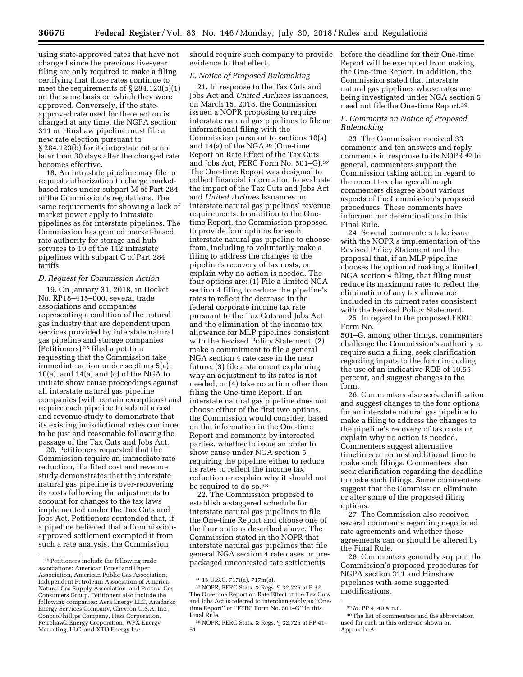using state-approved rates that have not changed since the previous five-year filing are only required to make a filing certifying that those rates continue to meet the requirements of § 284.123(b)(1) on the same basis on which they were approved. Conversely, if the stateapproved rate used for the election is changed at any time, the NGPA section 311 or Hinshaw pipeline must file a new rate election pursuant to § 284.123(b) for its interstate rates no later than 30 days after the changed rate becomes effective.

18. An intrastate pipeline may file to request authorization to charge marketbased rates under subpart M of Part 284 of the Commission's regulations. The same requirements for showing a lack of market power apply to intrastate pipelines as for interstate pipelines. The Commission has granted market-based rate authority for storage and hub services to 19 of the 112 intrastate pipelines with subpart C of Part 284 tariffs.

## *D. Request for Commission Action*

19. On January 31, 2018, in Docket No. RP18–415–000, several trade associations and companies representing a coalition of the natural gas industry that are dependent upon services provided by interstate natural gas pipeline and storage companies (Petitioners) 35 filed a petition requesting that the Commission take immediate action under sections 5(a), 10(a), and 14(a) and (c) of the NGA to initiate show cause proceedings against all interstate natural gas pipeline companies (with certain exceptions) and require each pipeline to submit a cost and revenue study to demonstrate that its existing jurisdictional rates continue to be just and reasonable following the passage of the Tax Cuts and Jobs Act.

20. Petitioners requested that the Commission require an immediate rate reduction, if a filed cost and revenue study demonstrates that the interstate natural gas pipeline is over-recovering its costs following the adjustments to account for changes to the tax laws implemented under the Tax Cuts and Jobs Act. Petitioners contended that, if a pipeline believed that a Commissionapproved settlement exempted it from such a rate analysis, the Commission

should require such company to provide evidence to that effect.

#### *E. Notice of Proposed Rulemaking*

21. In response to the Tax Cuts and Jobs Act and *United Airlines* Issuances, on March 15, 2018, the Commission issued a NOPR proposing to require interstate natural gas pipelines to file an informational filing with the Commission pursuant to sections 10(a) and 14(a) of the NGA 36 (One-time Report on Rate Effect of the Tax Cuts and Jobs Act, FERC Form No. 501–G).37 The One-time Report was designed to collect financial information to evaluate the impact of the Tax Cuts and Jobs Act and *United Airlines* Issuances on interstate natural gas pipelines' revenue requirements. In addition to the Onetime Report, the Commission proposed to provide four options for each interstate natural gas pipeline to choose from, including to voluntarily make a filing to address the changes to the pipeline's recovery of tax costs, or explain why no action is needed. The four options are: (1) File a limited NGA section 4 filing to reduce the pipeline's rates to reflect the decrease in the federal corporate income tax rate pursuant to the Tax Cuts and Jobs Act and the elimination of the income tax allowance for MLP pipelines consistent with the Revised Policy Statement, (2) make a commitment to file a general NGA section 4 rate case in the near future, (3) file a statement explaining why an adjustment to its rates is not needed, or (4) take no action other than filing the One-time Report. If an interstate natural gas pipeline does not choose either of the first two options, the Commission would consider, based on the information in the One-time Report and comments by interested parties, whether to issue an order to show cause under NGA section 5 requiring the pipeline either to reduce its rates to reflect the income tax reduction or explain why it should not be required to do so.38

22. The Commission proposed to establish a staggered schedule for interstate natural gas pipelines to file the One-time Report and choose one of the four options described above. The Commission stated in the NOPR that interstate natural gas pipelines that file general NGA section 4 rate cases or prepackaged uncontested rate settlements

before the deadline for their One-time Report will be exempted from making the One-time Report. In addition, the Commission stated that interstate natural gas pipelines whose rates are being investigated under NGA section 5 need not file the One-time Report.39

## *F. Comments on Notice of Proposed Rulemaking*

23. The Commission received 33 comments and ten answers and reply comments in response to its NOPR.40 In general, commenters support the Commission taking action in regard to the recent tax changes although commenters disagree about various aspects of the Commission's proposed procedures. These comments have informed our determinations in this Final Rule.

24. Several commenters take issue with the NOPR's implementation of the Revised Policy Statement and the proposal that, if an MLP pipeline chooses the option of making a limited NGA section 4 filing, that filing must reduce its maximum rates to reflect the elimination of any tax allowance included in its current rates consistent with the Revised Policy Statement.

25. In regard to the proposed FERC Form No.

501–G, among other things, commenters challenge the Commission's authority to require such a filing, seek clarification regarding inputs to the form including the use of an indicative ROE of 10.55 percent, and suggest changes to the form.

26. Commenters also seek clarification and suggest changes to the four options for an interstate natural gas pipeline to make a filing to address the changes to the pipeline's recovery of tax costs or explain why no action is needed. Commenters suggest alternative timelines or request additional time to make such filings. Commenters also seek clarification regarding the deadline to make such filings. Some commenters suggest that the Commission eliminate or alter some of the proposed filing options.

27. The Commission also received several comments regarding negotiated rate agreements and whether those agreements can or should be altered by the Final Rule.

28. Commenters generally support the Commission's proposed procedures for NGPA section 311 and Hinshaw pipelines with some suggested modifications.

<sup>35</sup> Petitioners include the following trade associations: American Forest and Paper Association, American Public Gas Association, Independent Petroleum Association of America, Natural Gas Supply Association, and Process Gas Consumers Group. Petitioners also include the following companies: Aera Energy LLC, Anadarko Energy Services Company, Chevron U.S.A. Inc., ConocoPhillips Company, Hess Corporation, Petrohawk Energy Corporation, WPX Energy Marketing, LLC, and XTO Energy Inc.

<sup>36</sup> 15 U.S.C. 717i(a), 717m(a).

<sup>37</sup>NOPR, FERC Stats. & Regs. ¶ 32,725 at P 32. The One-time Report on Rate Effect of the Tax Cuts and Jobs Act is referred to interchangeably as ''Onetime Report'' or ''FERC Form No. 501–G'' in this Final Rule.

<sup>38</sup>NOPR, FERC Stats. & Regs. ¶ 32,725 at PP 41– 51.

<sup>39</sup> *Id.* PP 4, 40 & n.8.

<sup>40</sup>The list of commenters and the abbreviation used for each in this order are shown on Appendix A.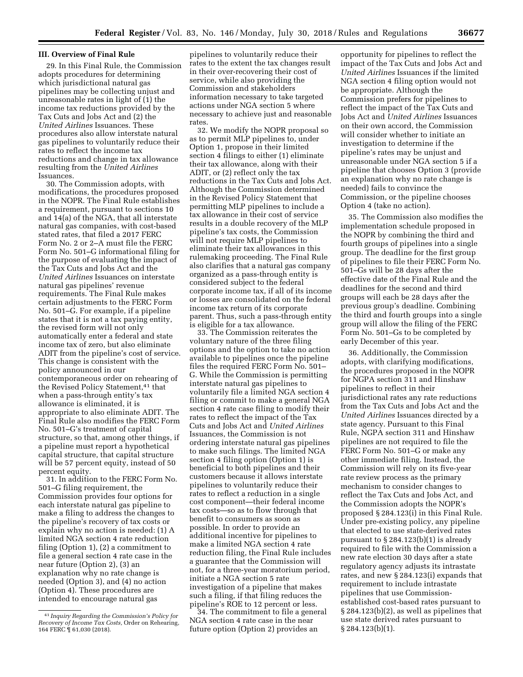#### **III. Overview of Final Rule**

29. In this Final Rule, the Commission adopts procedures for determining which jurisdictional natural gas pipelines may be collecting unjust and unreasonable rates in light of (1) the income tax reductions provided by the Tax Cuts and Jobs Act and (2) the *United Airlines* Issuances. These procedures also allow interstate natural gas pipelines to voluntarily reduce their rates to reflect the income tax reductions and change in tax allowance resulting from the *United Airlines*  Issuances.

30. The Commission adopts, with modifications, the procedures proposed in the NOPR. The Final Rule establishes a requirement, pursuant to sections 10 and 14(a) of the NGA, that all interstate natural gas companies, with cost-based stated rates, that filed a 2017 FERC Form No. 2 or 2–A must file the FERC Form No. 501–G informational filing for the purpose of evaluating the impact of the Tax Cuts and Jobs Act and the *United Airlines* Issuances on interstate natural gas pipelines' revenue requirements. The Final Rule makes certain adjustments to the FERC Form No. 501–G. For example, if a pipeline states that it is not a tax paying entity, the revised form will not only automatically enter a federal and state income tax of zero, but also eliminate ADIT from the pipeline's cost of service. This change is consistent with the policy announced in our contemporaneous order on rehearing of the Revised Policy Statement,<sup>41</sup> that when a pass-through entity's tax allowance is eliminated, it is appropriate to also eliminate ADIT. The Final Rule also modifies the FERC Form No. 501–G's treatment of capital structure, so that, among other things, if a pipeline must report a hypothetical capital structure, that capital structure will be 57 percent equity, instead of 50 percent equity.

31. In addition to the FERC Form No. 501–G filing requirement, the Commission provides four options for each interstate natural gas pipeline to make a filing to address the changes to the pipeline's recovery of tax costs or explain why no action is needed: (1) A limited NGA section 4 rate reduction filing (Option 1), (2) a commitment to file a general section 4 rate case in the near future (Option 2), (3) an explanation why no rate change is needed (Option 3), and (4) no action (Option 4). These procedures are intended to encourage natural gas

pipelines to voluntarily reduce their rates to the extent the tax changes result in their over-recovering their cost of service, while also providing the Commission and stakeholders information necessary to take targeted actions under NGA section 5 where necessary to achieve just and reasonable rates.

32. We modify the NOPR proposal so as to permit MLP pipelines to, under Option 1, propose in their limited section 4 filings to either (1) eliminate their tax allowance, along with their ADIT, or (2) reflect only the tax reductions in the Tax Cuts and Jobs Act. Although the Commission determined in the Revised Policy Statement that permitting MLP pipelines to include a tax allowance in their cost of service results in a double recovery of the MLP pipeline's tax costs, the Commission will not require MLP pipelines to eliminate their tax allowances in this rulemaking proceeding. The Final Rule also clarifies that a natural gas company organized as a pass-through entity is considered subject to the federal corporate income tax, if all of its income or losses are consolidated on the federal income tax return of its corporate parent. Thus, such a pass-through entity is eligible for a tax allowance.

33. The Commission reiterates the voluntary nature of the three filing options and the option to take no action available to pipelines once the pipeline files the required FERC Form No. 501– G. While the Commission is permitting interstate natural gas pipelines to voluntarily file a limited NGA section 4 filing or commit to make a general NGA section 4 rate case filing to modify their rates to reflect the impact of the Tax Cuts and Jobs Act and *United Airlines*  Issuances, the Commission is not ordering interstate natural gas pipelines to make such filings. The limited NGA section 4 filing option (Option 1) is beneficial to both pipelines and their customers because it allows interstate pipelines to voluntarily reduce their rates to reflect a reduction in a single cost component—their federal income tax costs—so as to flow through that benefit to consumers as soon as possible. In order to provide an additional incentive for pipelines to make a limited NGA section 4 rate reduction filing, the Final Rule includes a guarantee that the Commission will not, for a three-year moratorium period, initiate a NGA section 5 rate investigation of a pipeline that makes such a filing, if that filing reduces the pipeline's ROE to 12 percent or less.

34. The commitment to file a general NGA section 4 rate case in the near future option (Option 2) provides an

opportunity for pipelines to reflect the impact of the Tax Cuts and Jobs Act and *United Airlines* Issuances if the limited NGA section 4 filing option would not be appropriate. Although the Commission prefers for pipelines to reflect the impact of the Tax Cuts and Jobs Act and *United Airlines* Issuances on their own accord, the Commission will consider whether to initiate an investigation to determine if the pipeline's rates may be unjust and unreasonable under NGA section 5 if a pipeline that chooses Option 3 (provide an explanation why no rate change is needed) fails to convince the Commission, or the pipeline chooses Option 4 (take no action).

35. The Commission also modifies the implementation schedule proposed in the NOPR by combining the third and fourth groups of pipelines into a single group. The deadline for the first group of pipelines to file their FERC Form No. 501–Gs will be 28 days after the effective date of the Final Rule and the deadlines for the second and third groups will each be 28 days after the previous group's deadline. Combining the third and fourth groups into a single group will allow the filing of the FERC Form No. 501–Gs to be completed by early December of this year.

36. Additionally, the Commission adopts, with clarifying modifications, the procedures proposed in the NOPR for NGPA section 311 and Hinshaw pipelines to reflect in their jurisdictional rates any rate reductions from the Tax Cuts and Jobs Act and the *United Airlines* Issuances directed by a state agency. Pursuant to this Final Rule, NGPA section 311 and Hinshaw pipelines are not required to file the FERC Form No. 501–G or make any other immediate filing. Instead, the Commission will rely on its five-year rate review process as the primary mechanism to consider changes to reflect the Tax Cuts and Jobs Act, and the Commission adopts the NOPR's proposed § 284.123(i) in this Final Rule. Under pre-existing policy, any pipeline that elected to use state-derived rates pursuant to § 284.123(b)(1) is already required to file with the Commission a new rate election 30 days after a state regulatory agency adjusts its intrastate rates, and new § 284.123(i) expands that requirement to include intrastate pipelines that use Commissionestablished cost-based rates pursuant to § 284.123(b)(2), as well as pipelines that use state derived rates pursuant to § 284.123(b)(1).

<sup>41</sup> *Inquiry Regarding the Commission's Policy for Recovery of Income Tax Costs,* Order on Rehearing, 164 FERC ¶ 61,030 (2018).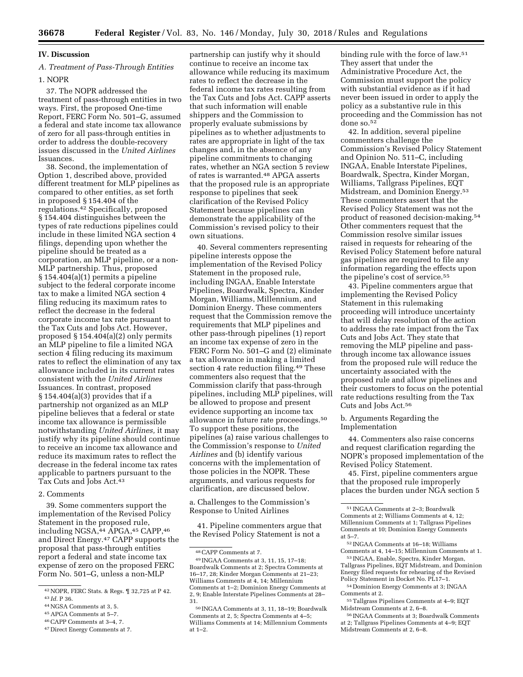#### **IV. Discussion**

## *A. Treatment of Pass-Through Entities*

## 1. NOPR

37. The NOPR addressed the treatment of pass-through entities in two ways. First, the proposed One-time Report, FERC Form No. 501–G, assumed a federal and state income tax allowance of zero for all pass-through entities in order to address the double-recovery issues discussed in the *United Airlines*  Issuances.

38. Second, the implementation of Option 1, described above, provided different treatment for MLP pipelines as compared to other entities, as set forth in proposed § 154.404 of the regulations.42 Specifically, proposed § 154.404 distinguishes between the types of rate reductions pipelines could include in these limited NGA section 4 filings, depending upon whether the pipeline should be treated as a corporation, an MLP pipeline, or a non-MLP partnership. Thus, proposed § 154.404(a)(1) permits a pipeline subject to the federal corporate income tax to make a limited NGA section 4 filing reducing its maximum rates to reflect the decrease in the federal corporate income tax rate pursuant to the Tax Cuts and Jobs Act. However, proposed § 154.404(a)(2) only permits an MLP pipeline to file a limited NGA section 4 filing reducing its maximum rates to reflect the elimination of any tax allowance included in its current rates consistent with the *United Airlines*  Issuances. In contrast, proposed § 154.404(a)(3) provides that if a partnership not organized as an MLP pipeline believes that a federal or state income tax allowance is permissible notwithstanding *United Airlines,* it may justify why its pipeline should continue to receive an income tax allowance and reduce its maximum rates to reflect the decrease in the federal income tax rates applicable to partners pursuant to the Tax Cuts and Jobs Act.<sup>43</sup>

## 2. Comments

39. Some commenters support the implementation of the Revised Policy Statement in the proposed rule, including NGSA, <sup>44</sup> APGA, <sup>45</sup> CAPP, <sup>46</sup> and Direct Energy.47 CAPP supports the proposal that pass-through entities report a federal and state income tax expense of zero on the proposed FERC Form No. 501–G, unless a non-MLP

46CAPP Comments at 3–4, 7.

partnership can justify why it should continue to receive an income tax allowance while reducing its maximum rates to reflect the decrease in the federal income tax rates resulting from the Tax Cuts and Jobs Act. CAPP asserts that such information will enable shippers and the Commission to properly evaluate submissions by pipelines as to whether adjustments to rates are appropriate in light of the tax changes and, in the absence of any pipeline commitments to changing rates, whether an NGA section 5 review of rates is warranted.48 APGA asserts that the proposed rule is an appropriate response to pipelines that seek clarification of the Revised Policy Statement because pipelines can demonstrate the applicability of the Commission's revised policy to their own situations.

40. Several commenters representing pipeline interests oppose the implementation of the Revised Policy Statement in the proposed rule, including INGAA, Enable Interstate Pipelines, Boardwalk, Spectra, Kinder Morgan, Williams, Millennium, and Dominion Energy. These commenters request that the Commission remove the requirements that MLP pipelines and other pass-through pipelines (1) report an income tax expense of zero in the FERC Form No. 501–G and (2) eliminate a tax allowance in making a limited section 4 rate reduction filing.<sup>49</sup> These commenters also request that the Commission clarify that pass-through pipelines, including MLP pipelines, will be allowed to propose and present evidence supporting an income tax allowance in future rate proceedings.50 To support these positions, the pipelines (a) raise various challenges to the Commission's response to *United Airlines* and (b) identify various concerns with the implementation of those policies in the NOPR. These arguments, and various requests for clarification, are discussed below.

a. Challenges to the Commission's Response to United Airlines

41. Pipeline commenters argue that the Revised Policy Statement is not a

49 INGAA Comments at 3, 11, 15, 17–18; Boardwalk Comments at 2; Spectra Comments at 16–17, 28; Kinder Morgan Comments at 21–23; Williams Comments at 4, 14; Millennium Comments at 1–2; Dominion Energy Comments at 2, 9; Enable Interstate Pipelines Comments at 28– 31.

binding rule with the force of law.51 They assert that under the Administrative Procedure Act, the Commission must support the policy with substantial evidence as if it had never been issued in order to apply the policy as a substantive rule in this proceeding and the Commission has not done so.52

42. In addition, several pipeline commenters challenge the Commission's Revised Policy Statement and Opinion No. 511–C, including INGAA, Enable Interstate Pipelines, Boardwalk, Spectra, Kinder Morgan, Williams, Tallgrass Pipelines, EQT Midstream, and Dominion Energy.53 These commenters assert that the Revised Policy Statement was not the product of reasoned decision-making.54 Other commenters request that the Commission resolve similar issues raised in requests for rehearing of the Revised Policy Statement before natural gas pipelines are required to file any information regarding the effects upon the pipeline's cost of service.55

43. Pipeline commenters argue that implementing the Revised Policy Statement in this rulemaking proceeding will introduce uncertainty that will delay resolution of the action to address the rate impact from the Tax Cuts and Jobs Act. They state that removing the MLP pipeline and passthrough income tax allowance issues from the proposed rule will reduce the uncertainty associated with the proposed rule and allow pipelines and their customers to focus on the potential rate reductions resulting from the Tax Cuts and Jobs Act.56

#### b. Arguments Regarding the Implementation

44. Commenters also raise concerns and request clarification regarding the NOPR's proposed implementation of the Revised Policy Statement.

45. First, pipeline commenters argue that the proposed rule improperly places the burden under NGA section 5

54 Dominion Energy Comments at 3; INGAA Comments at 2.

55Tallgrass Pipelines Comments at 4–9; EQT Midstream Comments at 2, 6–8.

<sup>42</sup>NOPR, FERC Stats. & Regs. ¶ 32,725 at P 42. 43 *Id.* P 36.

<sup>44</sup>NGSA Comments at 3, 5.

<sup>45</sup>APGA Comments at 5–7.

<sup>47</sup> Direct Energy Comments at 7.

<sup>48</sup>CAPP Comments at 7.

<sup>50</sup> INGAA Comments at 3, 11, 18–19; Boardwalk Comments at 2, 5; Spectra Comments at 4–5; Williams Comments at 14; Millennium Comments at 1–2.

<sup>51</sup> INGAA Comments at 2–3; Boardwalk Comments at 2; Williams Comments at 4, 12; Millennium Comments at 1; Tallgrass Pipelines Comments at 10; Dominion Energy Comments at 5–7.

<sup>52</sup> INGAA Comments at 16–18; Williams Comments at 4, 14–15; Millennium Comments at 1. 53 INGAA, Enable, Spectra, Kinder Morgan, Tallgrass Pipelines, EQT Midstream, and Dominion Energy filed requests for rehearing of the Revised Policy Statement in Docket No. PL17–1.

<sup>56</sup> INGAA Comments at 3; Boardwalk Comments at 2; Tallgrass Pipelines Comments at 4–9; EQT Midstream Comments at 2, 6–8.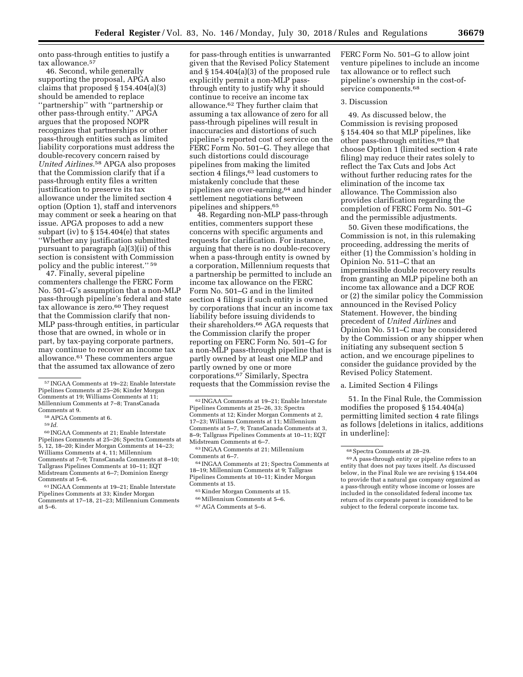onto pass-through entities to justify a tax allowance.<sup>57</sup>

46. Second, while generally supporting the proposal, APGA also claims that proposed  $\S$  154.404(a)(3) should be amended to replace ''partnership'' with ''partnership or other pass-through entity.'' APGA argues that the proposed NOPR recognizes that partnerships or other pass-through entities such as limited liability corporations must address the double-recovery concern raised by *United Airlines.*58 APGA also proposes that the Commission clarify that if a pass-through entity files a written justification to preserve its tax allowance under the limited section 4 option (Option 1), staff and intervenors may comment or seek a hearing on that issue. APGA proposes to add a new subpart (iv) to § 154.404(e) that states ''Whether any justification submitted

pursuant to paragraph (a)(3)(ii) of this section is consistent with Commission policy and the public interest.'' 59

47. Finally, several pipeline commenters challenge the FERC Form No. 501–G's assumption that a non-MLP pass-through pipeline's federal and state tax allowance is zero.<sup>60</sup> They request that the Commission clarify that non-MLP pass-through entities, in particular those that are owned, in whole or in part, by tax-paying corporate partners, may continue to recover an income tax allowance.61 These commenters argue that the assumed tax allowance of zero

60 INGAA Comments at 21; Enable Interstate Pipelines Comments at 25–26; Spectra Comments at 5, 12, 18–20; Kinder Morgan Comments at 14–23; Williams Comments at 4, 11; Millennium Comments at 7–9; TransCanada Comments at 8–10; Tallgrass Pipelines Comments at 10–11; EQT Midstream Comments at 6–7; Dominion Energy

<sup>61</sup> INGAA Comments at 19–21; Enable Interstate Pipelines Comments at 33; Kinder Morgan Comments at 17–18, 21–23; Millennium Comments at 5–6.

for pass-through entities is unwarranted given that the Revised Policy Statement and § 154.404(a)(3) of the proposed rule explicitly permit a non-MLP passthrough entity to justify why it should continue to receive an income tax allowance.62 They further claim that assuming a tax allowance of zero for all pass-through pipelines will result in inaccuracies and distortions of such pipeline's reported cost of service on the FERC Form No. 501–G. They allege that such distortions could discourage pipelines from making the limited section 4 filings, 63 lead customers to mistakenly conclude that these pipelines are over-earning,64 and hinder settlement negotiations between pipelines and shippers.65

48. Regarding non-MLP pass-through entities, commenters support these concerns with specific arguments and requests for clarification. For instance, arguing that there is no double-recovery when a pass-through entity is owned by a corporation, Millennium requests that a partnership be permitted to include an income tax allowance on the FERC Form No. 501–G and in the limited section 4 filings if such entity is owned by corporations that incur an income tax liability before issuing dividends to their shareholders.66 AGA requests that the Commission clarify the proper reporting on FERC Form No. 501–G for a non-MLP pass-through pipeline that is partly owned by at least one MLP and partly owned by one or more corporations.67 Similarly, Spectra requests that the Commission revise the

64 INGAA Comments at 21; Spectra Comments at 18–19; Millennium Comments at 9; Tallgrass Pipelines Comments at 10–11; Kinder Morgan Comments at 15.

FERC Form No. 501–G to allow joint venture pipelines to include an income tax allowance or to reflect such pipeline's ownership in the cost-ofservice components.68

# 3. Discussion

49. As discussed below, the Commission is revising proposed § 154.404 so that MLP pipelines, like other pass-through entities,69 that choose Option 1 (limited section 4 rate filing) may reduce their rates solely to reflect the Tax Cuts and Jobs Act without further reducing rates for the elimination of the income tax allowance. The Commission also provides clarification regarding the completion of FERC Form No. 501–G and the permissible adjustments.

50. Given these modifications, the Commission is not, in this rulemaking proceeding, addressing the merits of either (1) the Commission's holding in Opinion No. 511–C that an impermissible double recovery results from granting an MLP pipeline both an income tax allowance and a DCF ROE or (2) the similar policy the Commission announced in the Revised Policy Statement. However, the binding precedent of *United Airlines* and Opinion No. 511–C may be considered by the Commission or any shipper when initiating any subsequent section 5 action, and we encourage pipelines to consider the guidance provided by the Revised Policy Statement.

a. Limited Section 4 Filings

51. In the Final Rule, the Commission modifies the proposed § 154.404(a) permitting limited section 4 rate filings as follows [deletions in italics, additions in underline]:

<sup>57</sup> INGAA Comments at 19–22; Enable Interstate Pipelines Comments at 25–26; Kinder Morgan Comments at 19; Williams Comments at 11; Millennium Comments at 7–8; TransCanada

 $58$  APGA Comments at 6.  $59$  *Id.* 

<sup>62</sup> INGAA Comments at 19–21; Enable Interstate Pipelines Comments at 25–26, 33; Spectra Comments at 12; Kinder Morgan Comments at 2, 17–23; Williams Comments at 11; Millennium Comments at 5–7, 9; TransCanada Comments at 3, 8–9; Tallgrass Pipelines Comments at 10–11; EQT Midstream Comments at 6–7.

<sup>63</sup> INGAA Comments at 21; Millennium Comments at 6–7.

<sup>65</sup> Kinder Morgan Comments at 15.

<sup>66</sup>Millennium Comments at 5–6.

<sup>67</sup>AGA Comments at 5–6.

<sup>68</sup>Spectra Comments at 28–29.

<sup>69</sup>A pass-through entity or pipeline refers to an entity that does not pay taxes itself. As discussed below, in the Final Rule we are revising § 154.404 to provide that a natural gas company organized as a pass-through entity whose income or losses are included in the consolidated federal income tax return of its corporate parent is considered to be subject to the federal corporate income tax.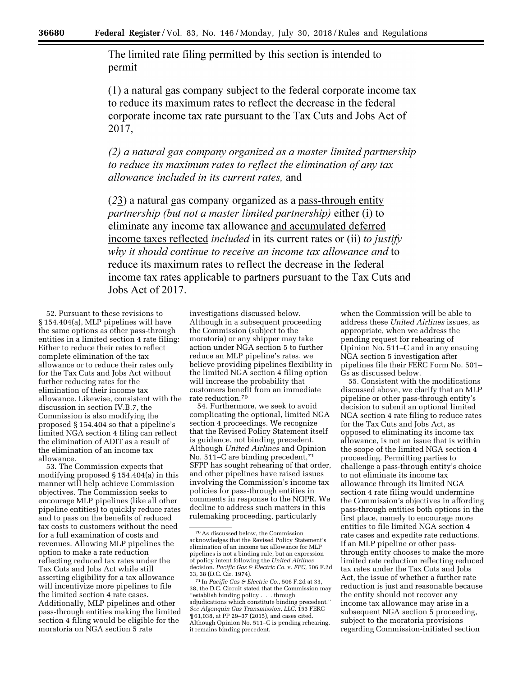The limited rate filing permitted by this section is intended to permit

(1) a natural gas company subject to the federal corporate income tax to reduce its maximum rates to reflect the decrease in the federal corporate income tax rate pursuant to the Tax Cuts and Jobs Act of 2017,

(2) a natural gas company organized as a master limited partnership to reduce its maximum rates to reflect the elimination of any tax allowance included in its current rates, and

 $(23)$  a natural gas company organized as a pass-through entity *partnership (but not a master limited partnership)* either (i) to eliminate any income tax allowance and accumulated deferred income taxes reflected *included* in its current rates or (ii) to justify why it should continue to receive an income tax allowance and to reduce its maximum rates to reflect the decrease in the federal income tax rates applicable to partners pursuant to the Tax Cuts and Jobs Act of 2017.

52. Pursuant to these revisions to § 154.404(a), MLP pipelines will have the same options as other pass-through entities in a limited section 4 rate filing: Either to reduce their rates to reflect complete elimination of the tax allowance or to reduce their rates only for the Tax Cuts and Jobs Act without further reducing rates for the elimination of their income tax allowance. Likewise, consistent with the discussion in section IV.B.7, the Commission is also modifying the proposed § 154.404 so that a pipeline's limited NGA section 4 filing can reflect the elimination of ADIT as a result of the elimination of an income tax allowance.

53. The Commission expects that modifying proposed § 154.404(a) in this manner will help achieve Commission objectives. The Commission seeks to encourage MLP pipelines (like all other pipeline entities) to quickly reduce rates and to pass on the benefits of reduced tax costs to customers without the need for a full examination of costs and revenues. Allowing MLP pipelines the option to make a rate reduction reflecting reduced tax rates under the Tax Cuts and Jobs Act while still asserting eligibility for a tax allowance will incentivize more pipelines to file the limited section 4 rate cases. Additionally, MLP pipelines and other pass-through entities making the limited section 4 filing would be eligible for the moratoria on NGA section 5 rate

investigations discussed below. Although in a subsequent proceeding the Commission (subject to the moratoria) or any shipper may take action under NGA section 5 to further reduce an MLP pipeline's rates, we believe providing pipelines flexibility in the limited NGA section 4 filing option will increase the probability that customers benefit from an immediate rate reduction.70

54. Furthermore, we seek to avoid complicating the optional, limited NGA section 4 proceedings. We recognize that the Revised Policy Statement itself is guidance, not binding precedent. Although *United Airlines* and Opinion No. 511–C are binding precedent,<sup>71</sup> SFPP has sought rehearing of that order, and other pipelines have raised issues involving the Commission's income tax policies for pass-through entities in comments in response to the NOPR. We decline to address such matters in this rulemaking proceeding, particularly

when the Commission will be able to address these *United Airlines* issues, as appropriate, when we address the pending request for rehearing of Opinion No. 511–C and in any ensuing NGA section 5 investigation after pipelines file their FERC Form No. 501– Gs as discussed below.

55. Consistent with the modifications discussed above, we clarify that an MLP pipeline or other pass-through entity's decision to submit an optional limited NGA section 4 rate filing to reduce rates for the Tax Cuts and Jobs Act, as opposed to eliminating its income tax allowance, is not an issue that is within the scope of the limited NGA section 4 proceeding. Permitting parties to challenge a pass-through entity's choice to not eliminate its income tax allowance through its limited NGA section 4 rate filing would undermine the Commission's objectives in affording pass-through entities both options in the first place, namely to encourage more entities to file limited NGA section 4 rate cases and expedite rate reductions. If an MLP pipeline or other passthrough entity chooses to make the more limited rate reduction reflecting reduced tax rates under the Tax Cuts and Jobs Act, the issue of whether a further rate reduction is just and reasonable because the entity should not recover any income tax allowance may arise in a subsequent NGA section 5 proceeding, subject to the moratoria provisions regarding Commission-initiated section

<sup>70</sup>As discussed below, the Commission acknowledges that the Revised Policy Statement's elimination of an income tax allowance for MLP pipelines is not a binding rule, but an expression of policy intent following the *United Airlines*  decision. *Pacific Gas & Electric Co.* v. *FPC,* 506 F.2d 33, 38 (D.C. Cir. 1974).

<sup>71</sup> In *Pacific Gas & Electric Co.,* 506 F.2d at 33, 38, the D.C. Circuit stated that the Commission may ''establish binding policy . . . through adjudications which constitute binding precedent.'' *See Algonquin Gas Transmission, LLC,* 153 FERC ¶ 61,038, at PP 29–37 (2015), and cases cited. Although Opinion No. 511–C is pending rehearing, it remains binding precedent.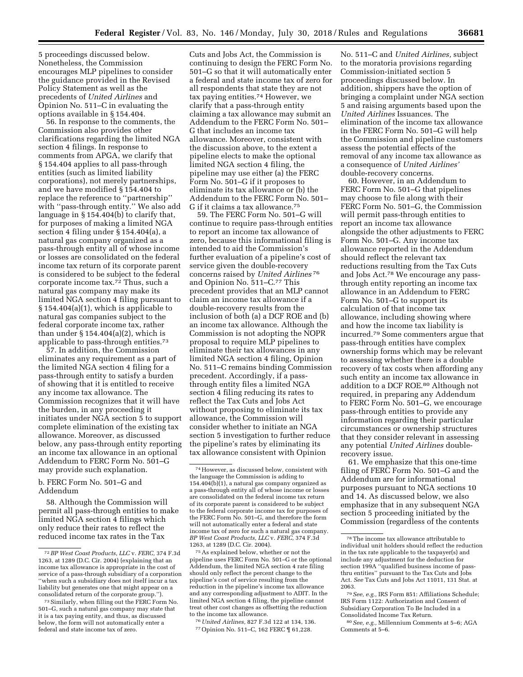5 proceedings discussed below. Nonetheless, the Commission encourages MLP pipelines to consider the guidance provided in the Revised Policy Statement as well as the precedents of *United Airlines* and Opinion No. 511–C in evaluating the options available in § 154.404.

56. In response to the comments, the Commission also provides other clarifications regarding the limited NGA section 4 filings. In response to comments from APGA, we clarify that § 154.404 applies to all pass-through entities (such as limited liability corporations), not merely partnerships, and we have modified § 154.404 to replace the reference to ''partnership'' with "pass-through entity." We also add language in § 154.404(b) to clarify that, for purposes of making a limited NGA section 4 filing under § 154.404(a), a natural gas company organized as a pass-through entity all of whose income or losses are consolidated on the federal income tax return of its corporate parent is considered to be subject to the federal corporate income tax.72 Thus, such a natural gas company may make its limited NGA section 4 filing pursuant to § 154.404(a)(1), which is applicable to natural gas companies subject to the federal corporate income tax, rather than under  $\S 154.404(a)(2)$ , which is applicable to pass-through entities.73

57. In addition, the Commission eliminates any requirement as a part of the limited NGA section 4 filing for a pass-through entity to satisfy a burden of showing that it is entitled to receive any income tax allowance. The Commission recognizes that it will have the burden, in any proceeding it initiates under NGA section 5 to support complete elimination of the existing tax allowance. Moreover, as discussed below, any pass-through entity reporting an income tax allowance in an optional Addendum to FERC Form No. 501–G may provide such explanation.

## b. FERC Form No. 501–G and Addendum

58. Although the Commission will permit all pass-through entities to make limited NGA section 4 filings which only reduce their rates to reflect the reduced income tax rates in the Tax

Cuts and Jobs Act, the Commission is continuing to design the FERC Form No. 501–G so that it will automatically enter a federal and state income tax of zero for all respondents that state they are not tax paying entities.74 However, we clarify that a pass-through entity claiming a tax allowance may submit an Addendum to the FERC Form No. 501– G that includes an income tax allowance. Moreover, consistent with the discussion above, to the extent a pipeline elects to make the optional limited NGA section 4 filing, the pipeline may use either (a) the FERC Form No. 501–G if it proposes to eliminate its tax allowance or (b) the Addendum to the FERC Form No. 501– G if it claims a tax allowance.75

59. The FERC Form No. 501–G will continue to require pass-through entities to report an income tax allowance of zero, because this informational filing is intended to aid the Commission's further evaluation of a pipeline's cost of service given the double-recovery concerns raised by *United Airlines* 76 and Opinion No. 511-C.<sup>77</sup> This precedent provides that an MLP cannot claim an income tax allowance if a double-recovery results from the inclusion of both (a) a DCF ROE and (b) an income tax allowance. Although the Commission is not adopting the NOPR proposal to require MLP pipelines to eliminate their tax allowances in any limited NGA section 4 filing, Opinion No. 511–C remains binding Commission precedent. Accordingly, if a passthrough entity files a limited NGA section 4 filing reducing its rates to reflect the Tax Cuts and Jobs Act without proposing to eliminate its tax allowance, the Commission will consider whether to initiate an NGA section 5 investigation to further reduce the pipeline's rates by eliminating its tax allowance consistent with Opinion

76*United Airlines,* 827 F.3d 122 at 134, 136. 77Opinion No. 511–C, 162 FERC ¶ 61,228.

No. 511–C and *United Airlines,* subject to the moratoria provisions regarding Commission-initiated section 5 proceedings discussed below. In addition, shippers have the option of bringing a complaint under NGA section 5 and raising arguments based upon the *United Airlines* Issuances. The elimination of the income tax allowance in the FERC Form No. 501–G will help the Commission and pipeline customers assess the potential effects of the removal of any income tax allowance as a consequence of *United Airlines'*  double-recovery concerns.

60. However, in an Addendum to FERC Form No. 501–G that pipelines may choose to file along with their FERC Form No. 501–G, the Commission will permit pass-through entities to report an income tax allowance alongside the other adjustments to FERC Form No. 501–G. Any income tax allowance reported in the Addendum should reflect the relevant tax reductions resulting from the Tax Cuts and Jobs Act.78 We encourage any passthrough entity reporting an income tax allowance in an Addendum to FERC Form No. 501–G to support its calculation of that income tax allowance, including showing where and how the income tax liability is incurred.79 Some commenters argue that pass-through entities have complex ownership forms which may be relevant to assessing whether there is a double recovery of tax costs when affording any such entity an income tax allowance in addition to a DCF ROE.80 Although not required, in preparing any Addendum to FERC Form No. 501–G, we encourage pass-through entities to provide any information regarding their particular circumstances or ownership structures that they consider relevant in assessing any potential *United Airlines* doublerecovery issue.

61. We emphasize that this one-time filing of FERC Form No. 501–G and the Addendum are for informational purposes pursuant to NGA sections 10 and 14. As discussed below, we also emphasize that in any subsequent NGA section 5 proceeding initiated by the Commission (regardless of the contents

80*See, e.g.,* Millennium Comments at 5–6; AGA Comments at 5–6.

<sup>72</sup>*BP West Coast Products, LLC* v. *FERC,* 374 F.3d 1263, at 1289 (D.C. Cir. 2004) (explaining that an income tax allowance is appropriate in the cost of service of a pass-through subsidiary of a corporation ''when such a subsidiary does not itself incur a tax liability but generates one that might appear on a consolidated return of the corporate group.'').

<sup>73</sup>Similarly, when filling out the FERC Form No. 501–G, such a natural gas company may state that it is a tax paying entity, and thus, as discussed below, the form will not automatically enter a federal and state income tax of zero.

<sup>74</sup>However, as discussed below, consistent with the language the Commission is adding to 154.404(b)(1), a natural gas company organized as a pass-through entity all of whose income or losses are consolidated on the federal income tax return of its corporate parent is considered to be subject to the federal corporate income tax for purposes of the FERC Form No. 501–G, and therefore the form will not automatically enter a federal and state income tax of zero for such a natural gas company. *BP West Coast Products, LLC* v. *FERC,* 374 F.3d 1263, at 1289 (D.C. Cir. 2004).

<sup>75</sup>As explained below, whether or not the pipeline uses FERC Form No. 501–G or the optional Addendum, the limited NGA section 4 rate filing should only reflect the percent change to the pipeline's cost of service resulting from the reduction in the pipeline's income tax allowance and any corresponding adjustment to ADIT. In the limited NGA section 4 filing, the pipeline cannot treat other cost changes as offsetting the reduction to the income tax allowance.

<sup>78</sup>The income tax allowance attributable to individual unit holders should reflect the reduction in the tax rate applicable to the taxpayer(s) and include any adjustment for the deduction for section 199A ''qualified business income of passthru entities'' pursuant to the Tax Cuts and Jobs Act. *See* Tax Cuts and Jobs Act 11011, 131 Stat. at 2063.

<sup>79</sup>*See, e.g.,* IRS Form 851: Affiliations Schedule; IRS Form 1122: Authorization and Consent of Subsidiary Corporation To Be Included in a Consolidated Income Tax Return.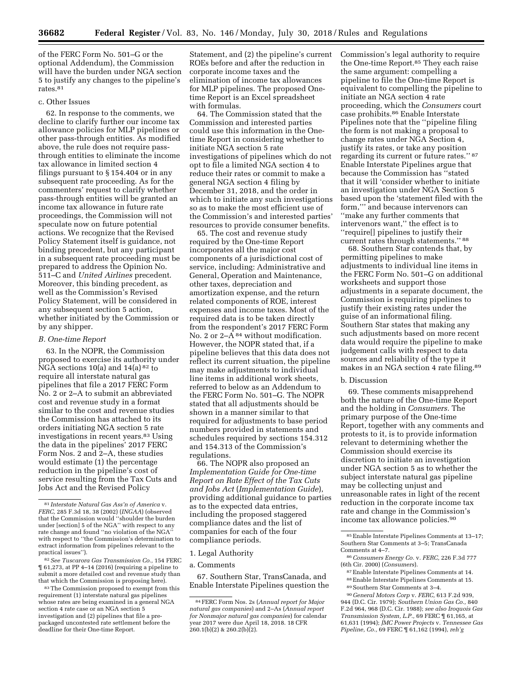of the FERC Form No. 501–G or the optional Addendum), the Commission will have the burden under NGA section 5 to justify any changes to the pipeline's rates.81

# c. Other Issues

62. In response to the comments, we decline to clarify further our income tax allowance policies for MLP pipelines or other pass-through entities. As modified above, the rule does not require passthrough entities to eliminate the income tax allowance in limited section 4 filings pursuant to § 154.404 or in any subsequent rate proceeding. As for the commenters' request to clarify whether pass-through entities will be granted an income tax allowance in future rate proceedings, the Commission will not speculate now on future potential actions. We recognize that the Revised Policy Statement itself is guidance, not binding precedent, but any participant in a subsequent rate proceeding must be prepared to address the Opinion No. 511–C and *United Airlines* precedent. Moreover, this binding precedent, as well as the Commission's Revised Policy Statement, will be considered in any subsequent section 5 action, whether initiated by the Commission or by any shipper.

#### *B. One-time Report*

63. In the NOPR, the Commission proposed to exercise its authority under NGA sections  $10(a)$  and  $14(a)$ <sup>82</sup> to require all interstate natural gas pipelines that file a 2017 FERC Form No. 2 or 2–A to submit an abbreviated cost and revenue study in a format similar to the cost and revenue studies the Commission has attached to its orders initiating NGA section 5 rate investigations in recent years.83 Using the data in the pipelines' 2017 FERC Form Nos. 2 and 2–A, these studies would estimate (1) the percentage reduction in the pipeline's cost of service resulting from the Tax Cuts and Jobs Act and the Revised Policy

Statement, and (2) the pipeline's current ROEs before and after the reduction in corporate income taxes and the elimination of income tax allowances for MLP pipelines. The proposed Onetime Report is an Excel spreadsheet with formulas.

64. The Commission stated that the Commission and interested parties could use this information in the Onetime Report in considering whether to initiate NGA section 5 rate investigations of pipelines which do not opt to file a limited NGA section 4 to reduce their rates or commit to make a general NGA section 4 filing by December 31, 2018, and the order in which to initiate any such investigations so as to make the most efficient use of the Commission's and interested parties' resources to provide consumer benefits.

65. The cost and revenue study required by the One-time Report incorporates all the major cost components of a jurisdictional cost of service, including: Administrative and General, Operation and Maintenance, other taxes, depreciation and amortization expense, and the return related components of ROE, interest expenses and income taxes. Most of the required data is to be taken directly from the respondent's 2017 FERC Form No. 2 or  $2-A^{84}$  without modification. However, the NOPR stated that, if a pipeline believes that this data does not reflect its current situation, the pipeline may make adjustments to individual line items in additional work sheets, referred to below as an Addendum to the FERC Form No. 501–G. The NOPR stated that all adjustments should be shown in a manner similar to that required for adjustments to base period numbers provided in statements and schedules required by sections 154.312 and 154.313 of the Commission's regulations.

66. The NOPR also proposed an *Implementation Guide for One-time Report on Rate Effect of the Tax Cuts and Jobs Act* (*Implementation Guide*), providing additional guidance to parties as to the expected data entries, including the proposed staggered compliance dates and the list of companies for each of the four compliance periods.

1. Legal Authority

67. Southern Star, TransCanada, and Enable Interstate Pipelines question the Commission's legal authority to require the One-time Report.85 They each raise the same argument: compelling a pipeline to file the One-time Report is equivalent to compelling the pipeline to initiate an NGA section 4 rate proceeding, which the *Consumers* court case prohibits.86 Enable Interstate Pipelines note that the ''pipeline filing the form is not making a proposal to change rates under NGA Section 4, justify its rates, or take any position regarding its current or future rates.'' 87 Enable Interstate Pipelines argue that because the Commission has ''stated that it will 'consider whether to initiate an investigation under NGA Section 5 based upon the 'statement filed with the form,''' and because intervenors can ''make any further comments that intervenors want,'' the effect is to ''require[] pipelines to justify their current rates through statements.'' 88

68. Southern Star contends that, by permitting pipelines to make adjustments to individual line items in the FERC Form No. 501–G on additional worksheets and support those adjustments in a separate document, the Commission is requiring pipelines to justify their existing rates under the guise of an informational filing. Southern Star states that making any such adjustments based on more recent data would require the pipeline to make judgement calls with respect to data sources and reliability of the type it makes in an NGA section 4 rate filing.89

#### b. Discussion

69. These comments misapprehend both the nature of the One-time Report and the holding in *Consumers.* The primary purpose of the One-time Report, together with any comments and protests to it, is to provide information relevant to determining whether the Commission should exercise its discretion to initiate an investigation under NGA section 5 as to whether the subject interstate natural gas pipeline may be collecting unjust and unreasonable rates in light of the recent reduction in the corporate income tax rate and change in the Commission's income tax allowance policies.90

- 87Enable Interstate Pipelines Comments at 14. 88Enable Interstate Pipelines Comments at 15.
- 89Southern Star Comments at 3–4.

<sup>81</sup> *Interstate Natural Gas Ass'n of America* v. *FERC,* 285 F.3d 18, 38 (2002) (*INGAA*) (observed that the Commission would ''shoulder the burden under [section] 5 of the NGA'' with respect to any rate change and found ''no violation of the NGA'' with respect to ''the Commission's determination to extract information from pipelines relevant to the practical issues'').

<sup>82</sup>*See Tuscarora Gas Transmission Co.,* 154 FERC ¶ 61,273, at PP 4–14 (2016) (requiring a pipeline to submit a more detailed cost and revenue study than that which the Commission is proposing here).

<sup>83</sup>The Commission proposed to exempt from this requirement (1) interstate natural gas pipelines whose rates are being examined in a general NGA section 4 rate case or an NGA section 5 investigation and (2) pipelines that file a prepackaged uncontested rate settlement before the deadline for their One-time Report.

a. Comments

<sup>84</sup>FERC Form Nos. 2s (*Annual report for Major natural gas companies*) and 2–As (*Annual report for Nonmajor natural gas companies*) for calendar year 2017 were due April 18, 2018. 18 CFR  $260.1(b)(2)$  &  $260.2(b)(2)$ .

<sup>85</sup>Enable Interstate Pipelines Comments at 13–17; Southern Star Comments at 3–5; TransCanada Comments at 4–7.

<sup>86</sup>*Consumers Energy Co.* v. *FERC,* 226 F.3d 777 (6th Cir. 2000) (*Consumers*).

<sup>90</sup> *General Motors Corp* v. *FERC,* 613 F.2d 939, 944 (D.C. Cir. 1979); *Southern Union Gas Co.,* 840 F.2d 964, 968 (D.C. Cir. 1988); *see also Iroquois Gas Transmission System, L.P.,* 69 FERC ¶ 61,165, at 61,631 (1994); *JMC Power Projects* v. *Tennessee Gas Pipeline, Co.,* 69 FERC ¶ 61,162 (1994), *reh'g*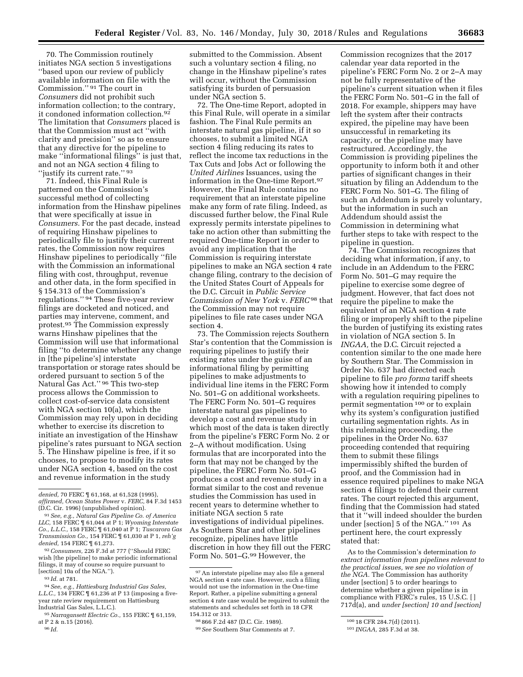70. The Commission routinely initiates NGA section 5 investigations ''based upon our review of publicly available information on file with the Commission.'' 91 The court in *Consumers* did not prohibit such information collection; to the contrary, it condoned information collection.92 The limitation that *Consumers* placed is

that the Commission must act ''with clarity and precision'' so as to ensure that any directive for the pipeline to make ''informational filings'' is just that, and not an NGA section 4 filing to ''justify its current rate.'' 93

71. Indeed, this Final Rule is patterned on the Commission's successful method of collecting information from the Hinshaw pipelines that were specifically at issue in *Consumers.* For the past decade, instead of requiring Hinshaw pipelines to periodically file to justify their current rates, the Commission now requires Hinshaw pipelines to periodically ''file with the Commission an informational filing with cost, throughput, revenue and other data, in the form specified in § 154.313 of the Commission's regulations.'' 94 These five-year review filings are docketed and noticed, and parties may intervene, comment, and protest.95 The Commission expressly warns Hinshaw pipelines that the Commission will use that informational filing ''to determine whether any change in [the pipeline's] interstate transportation or storage rates should be ordered pursuant to section 5 of the Natural Gas Act.'' 96 This two-step process allows the Commission to collect cost-of-service data consistent with NGA section 10(a), which the Commission may rely upon in deciding whether to exercise its discretion to initiate an investigation of the Hinshaw pipeline's rates pursuant to NGA section 5. The Hinshaw pipeline is free, if it so chooses, to propose to modify its rates under NGA section 4, based on the cost and revenue information in the study

92*Consumers,* 226 F.3d at 777 (''Should FERC wish [the pipeline] to make periodic informational filings, it may of course so require pursuant to [section] 10a of the NGA.'').

93 *Id.* at 781.

submitted to the Commission. Absent such a voluntary section 4 filing, no change in the Hinshaw pipeline's rates will occur, without the Commission satisfying its burden of persuasion under NGA section 5.

72. The One-time Report, adopted in this Final Rule, will operate in a similar fashion. The Final Rule permits an interstate natural gas pipeline, if it so chooses, to submit a limited NGA section 4 filing reducing its rates to reflect the income tax reductions in the Tax Cuts and Jobs Act or following the *United Airlines* Issuances, using the information in the One-time Report.97 However, the Final Rule contains no requirement that an interstate pipeline make any form of rate filing. Indeed, as discussed further below, the Final Rule expressly permits interstate pipelines to take no action other than submitting the required One-time Report in order to avoid any implication that the Commission is requiring interstate pipelines to make an NGA section 4 rate change filing, contrary to the decision of the United States Court of Appeals for the D.C. Circuit in *Public Service Commission of New York* v. *FERC*98 that the Commission may not require pipelines to file rate cases under NGA section 4.

73. The Commission rejects Southern Star's contention that the Commission is requiring pipelines to justify their existing rates under the guise of an informational filing by permitting pipelines to make adjustments to individual line items in the FERC Form No. 501–G on additional worksheets. The FERC Form No. 501–G requires interstate natural gas pipelines to develop a cost and revenue study in which most of the data is taken directly from the pipeline's FERC Form No. 2 or 2–A without modification. Using formulas that are incorporated into the form that may not be changed by the pipeline, the FERC Form No. 501–G produces a cost and revenue study in a format similar to the cost and revenue studies the Commission has used in recent years to determine whether to initiate NGA section 5 rate investigations of individual pipelines. As Southern Star and other pipelines recognize, pipelines have little discretion in how they fill out the FERC Form No. 501-G.99 However, the

Commission recognizes that the 2017 calendar year data reported in the pipeline's FERC Form No. 2 or 2–A may not be fully representative of the pipeline's current situation when it files the FERC Form No. 501–G in the fall of 2018. For example, shippers may have left the system after their contracts expired, the pipeline may have been unsuccessful in remarketing its capacity, or the pipeline may have restructured. Accordingly, the Commission is providing pipelines the opportunity to inform both it and other parties of significant changes in their situation by filing an Addendum to the FERC Form No. 501–G. The filing of such an Addendum is purely voluntary, but the information in such an Addendum should assist the Commission in determining what further steps to take with respect to the pipeline in question.

74. The Commission recognizes that deciding what information, if any, to include in an Addendum to the FERC Form No. 501–G may require the pipeline to exercise some degree of judgment. However, that fact does not require the pipeline to make the equivalent of an NGA section 4 rate filing or improperly shift to the pipeline the burden of justifying its existing rates in violation of NGA section 5. In *INGAA,* the D.C. Circuit rejected a contention similar to the one made here by Southern Star. The Commission in Order No. 637 had directed each pipeline to file *pro forma* tariff sheets showing how it intended to comply with a regulation requiring pipelines to permit segmentation 100 or to explain why its system's configuration justified curtailing segmentation rights. As in this rulemaking proceeding, the pipelines in the Order No. 637 proceeding contended that requiring them to submit these filings impermissibly shifted the burden of proof, and the Commission had in essence required pipelines to make NGA section 4 filings to defend their current rates. The court rejected this argument, finding that the Commission had stated that it ''will indeed shoulder the burden under [section] 5 of the NGA.'' 101 As pertinent here, the court expressly stated that:

As to the Commission's determination *to extract information from pipelines relevant to the practical issues, we see no violation of the NGA.* The Commission has authority under [section] 5 to order hearings to determine whether a given pipeline is in compliance with FERC's rules, 15 U.S.C. [ ] 717d(a), and *under [section] 10 and [section]* 

*denied,* 70 FERC ¶ 61,168, at 61,528 (1995), *affirmed, Ocean States Power* v. *FERC,* 84 F.3d 1453 (D.C. Cir. 1996) (unpublished opinion).

<sup>91</sup>*See, e.g., Natural Gas Pipeline Co. of America LLC,* 158 FERC ¶ 61,044 at P 1; *Wyoming Interstate Co., L.L.C.,* 158 FERC ¶ 61,040 at P 1; *Tuscarora Gas Transmission Co.,* 154 FERC ¶ 61,030 at P 1, *reh'g denied,* 154 FERC ¶ 61,273.

<sup>94</sup>*See, e.g., Hattiesburg Industrial Gas Sales, L.L.C.,* 134 FERC ¶ 61,236 at P 13 (imposing a fiveyear rate review requirement on Hattiesburg Industrial Gas Sales, L.L.C.).

<sup>95</sup>*Narragansett Electric Co.,* 155 FERC ¶ 61,159, at P 2 & n.15 (2016).

<sup>96</sup> *Id.* 

<sup>97</sup>An interstate pipeline may also file a general NGA section 4 rate case. However, such a filing would not use the information in the One-time Report. Rather, a pipeline submitting a general section 4 rate case would be required to submit the statements and schedules set forth in 18 CFR 154.312 or 313.

<sup>98</sup> 866 F.2d 487 (D.C. Cir. 1989).

<sup>99</sup>*See* Southern Star Comments at 7.

<sup>100</sup> 18 CFR 284.7(d) (2011).

<sup>101</sup> *INGAA,* 285 F.3d at 38.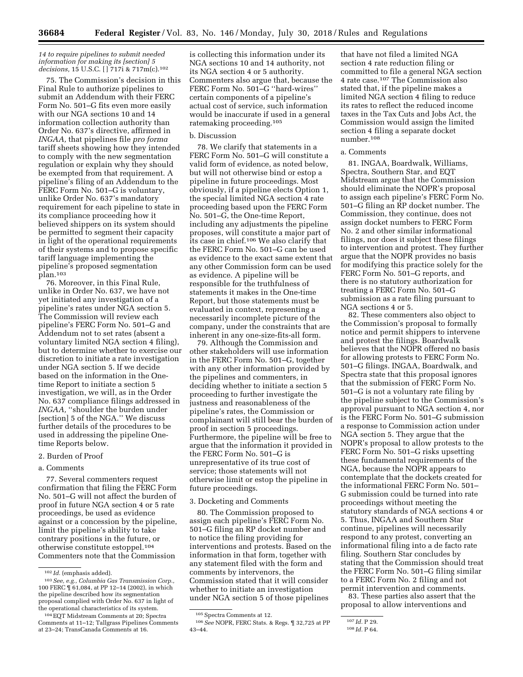#### *14 to require pipelines to submit needed information for making its [section] 5 decisions,* 15 U.S.C. [ ] 717i & 717m(c).102

75. The Commission's decision in this Final Rule to authorize pipelines to submit an Addendum with their FERC Form No. 501–G fits even more easily with our NGA sections 10 and 14 information collection authority than Order No. 637's directive, affirmed in *INGAA,* that pipelines file *pro forma*  tariff sheets showing how they intended to comply with the new segmentation regulation or explain why they should be exempted from that requirement. A pipeline's filing of an Addendum to the FERC Form No. 501–G is voluntary, unlike Order No. 637's mandatory requirement for each pipeline to state in its compliance proceeding how it believed shippers on its system should be permitted to segment their capacity in light of the operational requirements of their systems and to propose specific tariff language implementing the pipeline's proposed segmentation plan.103

76. Moreover, in this Final Rule, unlike in Order No. 637, we have not yet initiated any investigation of a pipeline's rates under NGA section 5. The Commission will review each pipeline's FERC Form No. 501–G and Addendum not to set rates (absent a voluntary limited NGA section 4 filing), but to determine whether to exercise our discretion to initiate a rate investigation under NGA section 5. If we decide based on the information in the Onetime Report to initiate a section 5 investigation, we will, as in the Order No. 637 compliance filings addressed in *INGAA,* ''shoulder the burden under [section] 5 of the NGA.'' We discuss further details of the procedures to be used in addressing the pipeline Onetime Reports below.

## 2. Burden of Proof

#### a. Comments

77. Several commenters request confirmation that filing the FERC Form No. 501–G will not affect the burden of proof in future NGA section 4 or 5 rate proceedings, be used as evidence against or a concession by the pipeline, limit the pipeline's ability to take contrary positions in the future, or otherwise constitute estoppel.104 Commenters note that the Commission

is collecting this information under its NGA sections 10 and 14 authority, not its NGA section 4 or 5 authority. Commenters also argue that, because the FERC Form No. 501–G ''hard-wires'' certain components of a pipeline's actual cost of service, such information would be inaccurate if used in a general ratemaking proceeding.105

#### b. Discussion

78. We clarify that statements in a FERC Form No. 501–G will constitute a valid form of evidence, as noted below, but will not otherwise bind or estop a pipeline in future proceedings. Most obviously, if a pipeline elects Option 1, the special limited NGA section 4 rate proceeding based upon the FERC Form No. 501–G, the One-time Report, including any adjustments the pipeline proposes, will constitute a major part of its case in chief.106 We also clarify that the FERC Form No. 501–G can be used as evidence to the exact same extent that any other Commission form can be used as evidence. A pipeline will be responsible for the truthfulness of statements it makes in the One-time Report, but those statements must be evaluated in context, representing a necessarily incomplete picture of the company, under the constraints that are inherent in any one-size-fits-all form.

79. Although the Commission and other stakeholders will use information in the FERC Form No. 501–G, together with any other information provided by the pipelines and commenters, in deciding whether to initiate a section 5 proceeding to further investigate the justness and reasonableness of the pipeline's rates, the Commission or complainant will still bear the burden of proof in section 5 proceedings. Furthermore, the pipeline will be free to argue that the information it provided in the FERC Form No. 501–G is unrepresentative of its true cost of service; those statements will not otherwise limit or estop the pipeline in future proceedings.

# 3. Docketing and Comments

80. The Commission proposed to assign each pipeline's FERC Form No. 501–G filing an RP docket number and to notice the filing providing for interventions and protests. Based on the information in that form, together with any statement filed with the form and comments by intervenors, the Commission stated that it will consider whether to initiate an investigation under NGA section 5 of those pipelines

that have not filed a limited NGA section 4 rate reduction filing or committed to file a general NGA section 4 rate case.107 The Commission also stated that, if the pipeline makes a limited NGA section 4 filing to reduce its rates to reflect the reduced income taxes in the Tax Cuts and Jobs Act, the Commission would assign the limited section 4 filing a separate docket number.108

#### a. Comments

81. INGAA, Boardwalk, Williams, Spectra, Southern Star, and EQT Midstream argue that the Commission should eliminate the NOPR's proposal to assign each pipeline's FERC Form No. 501–G filing an RP docket number. The Commission, they continue, does not assign docket numbers to FERC Form No. 2 and other similar informational filings, nor does it subject these filings to intervention and protest. They further argue that the NOPR provides no basis for modifying this practice solely for the FERC Form No. 501–G reports, and there is no statutory authorization for treating a FERC Form No. 501–G submission as a rate filing pursuant to NGA sections 4 or 5.

82. These commenters also object to the Commission's proposal to formally notice and permit shippers to intervene and protest the filings. Boardwalk believes that the NOPR offered no basis for allowing protests to FERC Form No. 501–G filings. INGAA, Boardwalk, and Spectra state that this proposal ignores that the submission of FERC Form No. 501–G is not a voluntary rate filing by the pipeline subject to the Commission's approval pursuant to NGA section 4, nor is the FERC Form No. 501–G submission a response to Commission action under NGA section 5. They argue that the NOPR's proposal to allow protests to the FERC Form No. 501–G risks upsetting these fundamental requirements of the NGA, because the NOPR appears to contemplate that the dockets created for the informational FERC Form No. 501– G submission could be turned into rate proceedings without meeting the statutory standards of NGA sections 4 or 5. Thus, INGAA and Southern Star continue, pipelines will necessarily respond to any protest, converting an informational filing into a de facto rate filing. Southern Star concludes by stating that the Commission should treat the FERC Form No. 501–G filing similar to a FERC Form No. 2 filing and not permit intervention and comments.

83. These parties also assert that the proposal to allow interventions and

<sup>102</sup> *Id.* (emphasis added).

<sup>103</sup>*See, e.g., Columbia Gas Transmission Corp.,*  100 FERC ¶ 61,084, at PP 12–14 (2002), in which the pipeline described how its segmentation proposal complied with Order No. 637 in light of the operational characteristics of its system.

<sup>104</sup>EQT Midstream Comments at 20; Spectra Comments at 11–12; Tallgrass Pipelines Comments at 23–24; TransCanada Comments at 16.

<sup>105</sup>Spectra Comments at 12.

<sup>106</sup>*See* NOPR, FERC Stats. & Regs. ¶ 32,725 at PP 43–44.

<sup>107</sup> *Id.* P 29.

<sup>108</sup> *Id.* P 64.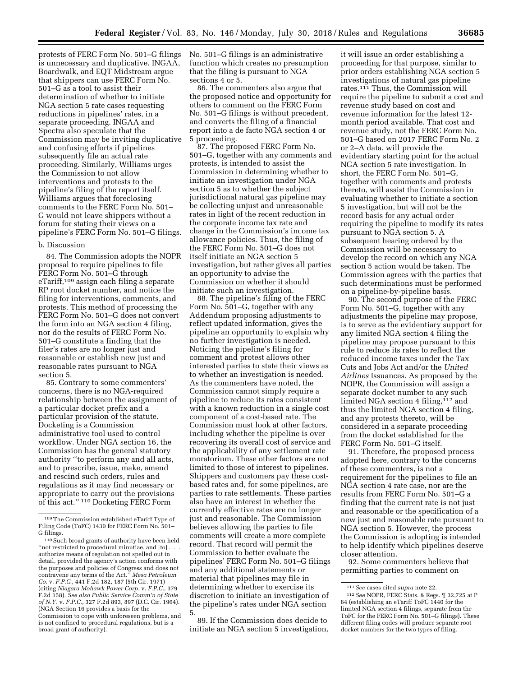protests of FERC Form No. 501–G filings is unnecessary and duplicative. INGAA, Boardwalk, and EQT Midstream argue that shippers can use FERC Form No. 501–G as a tool to assist their determination of whether to initiate NGA section 5 rate cases requesting reductions in pipelines' rates, in a separate proceeding. INGAA and Spectra also speculate that the Commission may be inviting duplicative and confusing efforts if pipelines subsequently file an actual rate proceeding. Similarly, Williams urges the Commission to not allow interventions and protests to the pipeline's filing of the report itself. Williams argues that foreclosing comments to the FERC Form No. 501– G would not leave shippers without a forum for stating their views on a pipeline's FERC Form No. 501–G filings.

#### b. Discussion

84. The Commission adopts the NOPR proposal to require pipelines to file FERC Form No. 501–G through eTariff,109 assign each filing a separate RP root docket number, and notice the filing for interventions, comments, and protests. This method of processing the FERC Form No. 501–G does not convert the form into an NGA section 4 filing, nor do the results of FERC Form No. 501–G constitute a finding that the filer's rates are no longer just and reasonable or establish new just and reasonable rates pursuant to NGA section 5.

85. Contrary to some commenters' concerns, there is no NGA-required relationship between the assignment of a particular docket prefix and a particular provision of the statute. Docketing is a Commission administrative tool used to control workflow. Under NGA section 16, the Commission has the general statutory authority ''to perform any and all acts, and to prescribe, issue, make, amend and rescind such orders, rules and regulations as it may find necessary or appropriate to carry out the provisions of this act.'' 110 Docketing FERC Form

No. 501–G filings is an administrative function which creates no presumption that the filing is pursuant to NGA sections 4 or 5.

86. The commenters also argue that the proposed notice and opportunity for others to comment on the FERC Form No. 501–G filings is without precedent, and converts the filing of a financial report into a de facto NGA section 4 or 5 proceeding.

87. The proposed FERC Form No. 501–G, together with any comments and protests, is intended to assist the Commission in determining whether to initiate an investigation under NGA section 5 as to whether the subject jurisdictional natural gas pipeline may be collecting unjust and unreasonable rates in light of the recent reduction in the corporate income tax rate and change in the Commission's income tax allowance policies. Thus, the filing of the FERC Form No. 501–G does not itself initiate an NGA section 5 investigation, but rather gives all parties an opportunity to advise the Commission on whether it should initiate such an investigation.

88. The pipeline's filing of the FERC Form No. 501–G, together with any Addendum proposing adjustments to reflect updated information, gives the pipeline an opportunity to explain why no further investigation is needed. Noticing the pipeline's filing for comment and protest allows other interested parties to state their views as to whether an investigation is needed. As the commenters have noted, the Commission cannot simply require a pipeline to reduce its rates consistent with a known reduction in a single cost component of a cost-based rate. The Commission must look at other factors, including whether the pipeline is over recovering its overall cost of service and the applicability of any settlement rate moratorium. These other factors are not limited to those of interest to pipelines. Shippers and customers pay these costbased rates and, for some pipelines, are parties to rate settlements. These parties also have an interest in whether the currently effective rates are no longer just and reasonable. The Commission believes allowing the parties to file comments will create a more complete record. That record will permit the Commission to better evaluate the pipelines' FERC Form No. 501–G filings and any additional statements or material that pipelines may file in determining whether to exercise its discretion to initiate an investigation of the pipeline's rates under NGA section 5.

89. If the Commission does decide to initiate an NGA section 5 investigation,

it will issue an order establishing a proceeding for that purpose, similar to prior orders establishing NGA section 5 investigations of natural gas pipeline rates.111 Thus, the Commission will require the pipeline to submit a cost and revenue study based on cost and revenue information for the latest 12 month period available. That cost and revenue study, not the FERC Form No. 501–G based on 2017 FERC Form No. 2 or 2–A data, will provide the evidentiary starting point for the actual NGA section 5 rate investigation. In short, the FERC Form No. 501–G, together with comments and protests thereto, will assist the Commission in evaluating whether to initiate a section 5 investigation, but will not be the record basis for any actual order requiring the pipeline to modify its rates pursuant to NGA section 5. A subsequent hearing ordered by the Commission will be necessary to develop the record on which any NGA section 5 action would be taken. The Commission agrees with the parties that such determinations must be performed on a pipeline-by-pipeline basis.

90. The second purpose of the FERC Form No. 501–G, together with any adjustments the pipeline may propose, is to serve as the evidentiary support for any limited NGA section 4 filing the pipeline may propose pursuant to this rule to reduce its rates to reflect the reduced income taxes under the Tax Cuts and Jobs Act and/or the *United Airlines* Issuances. As proposed by the NOPR, the Commission will assign a separate docket number to any such limited NGA section 4 filing,<sup>112</sup> and thus the limited NGA section 4 filing, and any protests thereto, will be considered in a separate proceeding from the docket established for the FERC Form No. 501–G itself.

91. Therefore, the proposed process adopted here, contrary to the concerns of these commenters, is not a requirement for the pipelines to file an NGA section 4 rate case, nor are the results from FERC Form No. 501–G a finding that the current rate is not just and reasonable or the specification of a new just and reasonable rate pursuant to NGA section 5. However, the process the Commission is adopting is intended to help identify which pipelines deserve closer attention.

92. Some commenters believe that permitting parties to comment on

<sup>109</sup>The Commission established eTariff Type of Filing Code (ToFC) 1430 for FERC Form No. 501– G filings.

<sup>110</sup>Such broad grants of authority have been held ''not restricted to procedural minutiae, and [to] . . . authorize means of regulation not spelled out in detail, provided the agency's action conforms with the purposes and policies of Congress and does not contravene any terms of the Act.'' *Mesa Petroleum Co.* v. *F.P.C.,* 441 F.2d 182, 187 (5th Cir. 1971) (citing *Niagara Mohawk Power Corp.* v. *F.P.C.,* 379 F.2d 158). *See also Public Service Comm'n of State of N.Y.* v. *F.P.C.,* 327 F.2d 893, 897 (D.C. Cir. 1964). (NGA Section 16 provides a basis for the Commission to cope with unforeseen problems, and is not confined to procedural regulations, but is a broad grant of authority).

<sup>111</sup>*See* cases cited *supra* note 22.

<sup>112</sup>*See* NOPR, FERC Stats. & Regs. ¶ 32,725 at P 64 (establishing an eTariff ToFC 1440 for the limited NGA section 4 filings, separate from the ToFC for the FERC Form No. 501–G filings). These different filing codes will produce separate root docket numbers for the two types of filing.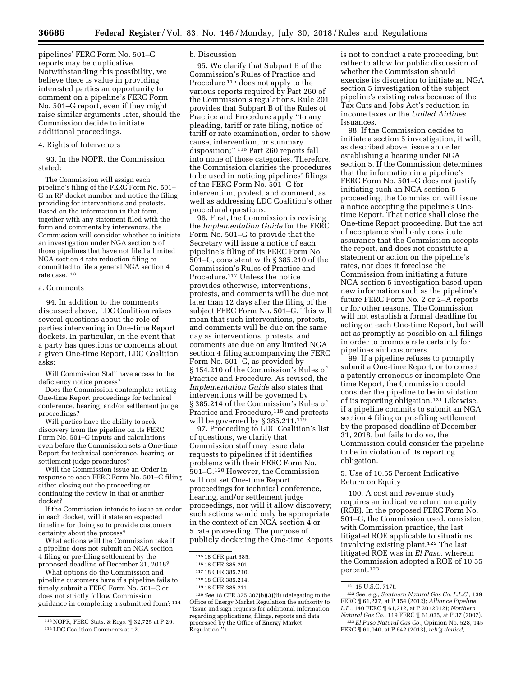pipelines' FERC Form No. 501–G reports may be duplicative. Notwithstanding this possibility, we believe there is value in providing interested parties an opportunity to comment on a pipeline's FERC Form No. 501–G report, even if they might raise similar arguments later, should the Commission decide to initiate additional proceedings.

## 4. Rights of Intervenors

93. In the NOPR, the Commission stated:

The Commission will assign each pipeline's filing of the FERC Form No. 501– G an RP docket number and notice the filing providing for interventions and protests. Based on the information in that form, together with any statement filed with the form and comments by intervenors, the Commission will consider whether to initiate an investigation under NGA section 5 of those pipelines that have not filed a limited NGA section 4 rate reduction filing or committed to file a general NGA section 4 rate case.113

#### a. Comments

94. In addition to the comments discussed above, LDC Coalition raises several questions about the role of parties intervening in One-time Report dockets. In particular, in the event that a party has questions or concerns about a given One-time Report, LDC Coalition asks:

Will Commission Staff have access to the deficiency notice process?

Does the Commission contemplate setting One-time Report proceedings for technical conference, hearing, and/or settlement judge proceedings?

Will parties have the ability to seek discovery from the pipeline on its FERC Form No. 501–G inputs and calculations even before the Commission sets a One-time Report for technical conference, hearing, or settlement judge procedures?

Will the Commission issue an Order in response to each FERC Form No. 501–G filing either closing out the proceeding or continuing the review in that or another docket?

If the Commission intends to issue an order in each docket, will it state an expected timeline for doing so to provide customers certainty about the process?

What actions will the Commission take if a pipeline does not submit an NGA section 4 filing or pre-filing settlement by the proposed deadline of December 31, 2018?

What options do the Commission and pipeline customers have if a pipeline fails to timely submit a FERC Form No. 501–G or does not strictly follow Commission guidance in completing a submitted form? 114

## b. Discussion

95. We clarify that Subpart B of the Commission's Rules of Practice and Procedure 115 does not apply to the various reports required by Part 260 of the Commission's regulations. Rule 201 provides that Subpart B of the Rules of Practice and Procedure apply ''to any pleading, tariff or rate filing, notice of tariff or rate examination, order to show cause, intervention, or summary disposition;'' 116 Part 260 reports fall into none of those categories. Therefore, the Commission clarifies the procedures to be used in noticing pipelines' filings of the FERC Form No. 501–G for intervention, protest, and comment, as well as addressing LDC Coalition's other procedural questions.

96. First, the Commission is revising the *Implementation Guide* for the FERC Form No. 501–G to provide that the Secretary will issue a notice of each pipeline's filing of its FERC Form No. 501–G, consistent with § 385.210 of the Commission's Rules of Practice and Procedure.117 Unless the notice provides otherwise, interventions, protests, and comments will be due not later than 12 days after the filing of the subject FERC Form No. 501–G. This will mean that such interventions, protests, and comments will be due on the same day as interventions, protests, and comments are due on any limited NGA section 4 filing accompanying the FERC Form No. 501–G, as provided by § 154.210 of the Commission's Rules of Practice and Procedure. As revised, the *Implementation Guide* also states that interventions will be governed by § 385.214 of the Commission's Rules of Practice and Procedure,<sup>118</sup> and protests will be governed by § 385.211.<sup>119</sup>

97. Proceeding to LDC Coalition's list of questions, we clarify that Commission staff may issue data requests to pipelines if it identifies problems with their FERC Form No. 501–G.120 However, the Commission will not set One-time Report proceedings for technical conference, hearing, and/or settlement judge proceedings, nor will it allow discovery; such actions would only be appropriate in the context of an NGA section 4 or 5 rate proceeding. The purpose of publicly docketing the One-time Reports

120*See* 18 CFR 375.307(b)(3)(ii) (delegating to the Office of Energy Market Regulation the authority to ''Issue and sign requests for additional information regarding applications, filings, reports and data processed by the Office of Energy Market Regulation.'').

is not to conduct a rate proceeding, but rather to allow for public discussion of whether the Commission should exercise its discretion to initiate an NGA section 5 investigation of the subject pipeline's existing rates because of the Tax Cuts and Jobs Act's reduction in income taxes or the *United Airlines*  Issuances.

98. If the Commission decides to initiate a section 5 investigation, it will, as described above, issue an order establishing a hearing under NGA section 5. If the Commission determines that the information in a pipeline's FERC Form No. 501–G does not justify initiating such an NGA section 5 proceeding, the Commission will issue a notice accepting the pipeline's Onetime Report. That notice shall close the One-time Report proceeding. But the act of acceptance shall only constitute assurance that the Commission accepts the report, and does not constitute a statement or action on the pipeline's rates, nor does it foreclose the Commission from initiating a future NGA section 5 investigation based upon new information such as the pipeline's future FERC Form No. 2 or 2–A reports or for other reasons. The Commission will not establish a formal deadline for acting on each One-time Report, but will act as promptly as possible on all filings in order to promote rate certainty for pipelines and customers.

99. If a pipeline refuses to promptly submit a One-time Report, or to correct a patently erroneous or incomplete Onetime Report, the Commission could consider the pipeline to be in violation of its reporting obligation.121 Likewise, if a pipeline commits to submit an NGA section 4 filing or pre-filing settlement by the proposed deadline of December 31, 2018, but fails to do so, the Commission could consider the pipeline to be in violation of its reporting obligation.

5. Use of 10.55 Percent Indicative Return on Equity

100. A cost and revenue study requires an indicative return on equity (ROE). In the proposed FERC Form No. 501–G, the Commission used, consistent with Commission practice, the last litigated ROE applicable to situations involving existing plant.122 The last litigated ROE was in *El Paso,* wherein the Commission adopted a ROE of 10.55 percent.123

<sup>113</sup>NOPR, FERC Stats. & Regs. ¶ 32,725 at P 29.

<sup>114</sup>LDC Coalition Comments at 12.

<sup>115</sup> 18 CFR part 385.

<sup>116</sup> 18 CFR 385.201.

<sup>117</sup> 18 CFR 385.210.

<sup>118</sup> 18 CFR 385.214.

<sup>119</sup> 18 CFR 385.211.

<sup>121</sup> 15 U.S.C. 717t.

<sup>122</sup>*See, e.g., Southern Natural Gas Co. L.L.C.,* 139 FERC ¶ 61,237, at P 154 (2012); *Alliance Pipeline L.P.,* 140 FERC ¶ 61,212, at P 20 (2012); *Northern Natural Gas Co.,* 119 FERC ¶ 61,035, at P 37 (2007). 123*El Paso Natural Gas Co.,* Opinion No. 528, 145 FERC ¶ 61,040, at P 642 (2013), *reh'g denied,*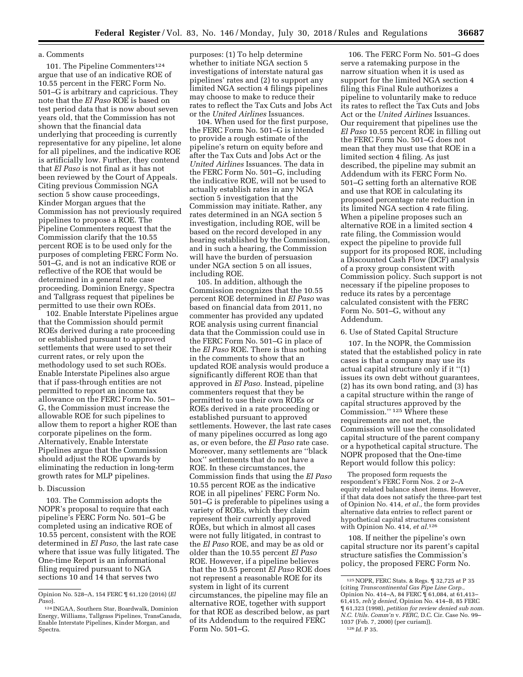## a. Comments

101. The Pipeline Commenters<sup>124</sup> argue that use of an indicative ROE of 10.55 percent in the FERC Form No. 501–G is arbitrary and capricious. They note that the *El Paso* ROE is based on test period data that is now about seven years old, that the Commission has not shown that the financial data underlying that proceeding is currently representative for any pipeline, let alone for all pipelines, and the indicative ROE is artificially low. Further, they contend that *El Paso* is not final as it has not been reviewed by the Court of Appeals. Citing previous Commission NGA section 5 show cause proceedings, Kinder Morgan argues that the Commission has not previously required pipelines to propose a ROE. The Pipeline Commenters request that the Commission clarify that the 10.55 percent ROE is to be used only for the purposes of completing FERC Form No. 501–G, and is not an indicative ROE or reflective of the ROE that would be determined in a general rate case proceeding. Dominion Energy, Spectra and Tallgrass request that pipelines be permitted to use their own ROEs.

102. Enable Interstate Pipelines argue that the Commission should permit ROEs derived during a rate proceeding or established pursuant to approved settlements that were used to set their current rates, or rely upon the methodology used to set such ROEs. Enable Interstate Pipelines also argue that if pass-through entities are not permitted to report an income tax allowance on the FERC Form No. 501– G, the Commission must increase the allowable ROE for such pipelines to allow them to report a higher ROE than corporate pipelines on the form. Alternatively, Enable Interstate Pipelines argue that the Commission should adjust the ROE upwards by eliminating the reduction in long-term growth rates for MLP pipelines.

## b. Discussion

103. The Commission adopts the NOPR's proposal to require that each pipeline's FERC Form No. 501–G be completed using an indicative ROE of 10.55 percent, consistent with the ROE determined in *El Paso,* the last rate case where that issue was fully litigated. The One-time Report is an informational filing required pursuant to NGA sections 10 and 14 that serves two

purposes: (1) To help determine whether to initiate NGA section 5 investigations of interstate natural gas pipelines' rates and (2) to support any limited NGA section 4 filings pipelines may choose to make to reduce their rates to reflect the Tax Cuts and Jobs Act or the *United Airlines* Issuances.

104. When used for the first purpose, the FERC Form No. 501–G is intended to provide a rough estimate of the pipeline's return on equity before and after the Tax Cuts and Jobs Act or the *United Airlines* Issuances. The data in the FERC Form No. 501–G, including the indicative ROE, will not be used to actually establish rates in any NGA section 5 investigation that the Commission may initiate. Rather, any rates determined in an NGA section 5 investigation, including ROE, will be based on the record developed in any hearing established by the Commission, and in such a hearing, the Commission will have the burden of persuasion under NGA section 5 on all issues, including ROE.

105. In addition, although the Commission recognizes that the 10.55 percent ROE determined in *El Paso* was based on financial data from 2011, no commenter has provided any updated ROE analysis using current financial data that the Commission could use in the FERC Form No. 501–G in place of the *El Paso* ROE. There is thus nothing in the comments to show that an updated ROE analysis would produce a significantly different ROE than that approved in *El Paso.* Instead, pipeline commenters request that they be permitted to use their own ROEs or ROEs derived in a rate proceeding or established pursuant to approved settlements. However, the last rate cases of many pipelines occurred as long ago as, or even before, the *El Paso* rate case. Moreover, many settlements are ''black box'' settlements that do not have a ROE. In these circumstances, the Commission finds that using the *El Paso*  10.55 percent ROE as the indicative ROE in all pipelines' FERC Form No. 501–G is preferable to pipelines using a variety of ROEs, which they claim represent their currently approved ROEs, but which in almost all cases were not fully litigated, in contrast to the *El Paso* ROE, and may be as old or older than the 10.55 percent *El Paso*  ROE. However, if a pipeline believes that the 10.55 percent *El Paso* ROE does not represent a reasonable ROE for its system in light of its current circumstances, the pipeline may file an alternative ROE, together with support for that ROE as described below, as part of its Addendum to the required FERC Form No. 501–G.

106. The FERC Form No. 501–G does serve a ratemaking purpose in the narrow situation when it is used as support for the limited NGA section 4 filing this Final Rule authorizes a pipeline to voluntarily make to reduce its rates to reflect the Tax Cuts and Jobs Act or the *United Airlines* Issuances. Our requirement that pipelines use the *El Paso* 10.55 percent ROE in filling out the FERC Form No. 501–G does not mean that they must use that ROE in a limited section 4 filing. As just described, the pipeline may submit an Addendum with its FERC Form No. 501–G setting forth an alternative ROE and use that ROE in calculating its proposed percentage rate reduction in its limited NGA section 4 rate filing. When a pipeline proposes such an alternative ROE in a limited section 4 rate filing, the Commission would expect the pipeline to provide full support for its proposed ROE, including a Discounted Cash Flow (DCF) analysis of a proxy group consistent with Commission policy. Such support is not necessary if the pipeline proposes to reduce its rates by a percentage calculated consistent with the FERC Form No. 501–G, without any Addendum.

#### 6. Use of Stated Capital Structure

107. In the NOPR, the Commission stated that the established policy in rate cases is that a company may use its actual capital structure only if it ''(1) issues its own debt without guarantees, (2) has its own bond rating, and (3) has a capital structure within the range of capital structures approved by the Commission.'' 125 Where these requirements are not met, the Commission will use the consolidated capital structure of the parent company or a hypothetical capital structure. The NOPR proposed that the One-time Report would follow this policy:

The proposed form requests the respondent's FERC Form Nos. 2 or 2–A equity related balance sheet items. However, if that data does not satisfy the three-part test of Opinion No. 414, *et al.,* the form provides alternative data entries to reflect parent or hypothetical capital structures consistent with Opinion No. 414, *et al.*126

108. If neither the pipeline's own capital structure nor its parent's capital structure satisfies the Commission's policy, the proposed FERC Form No.

Opinion No. 528–A, 154 FERC ¶ 61,120 (2016) (*El Paso*).

<sup>124</sup> INGAA, Southern Star, Boardwalk, Dominion Energy, Williams, Tallgrass Pipelines, TransCanada, Enable Interstate Pipelines, Kinder Morgan, and Spectra.

<sup>125</sup>NOPR, FERC Stats. & Regs. ¶ 32,725 at P 35 (citing *Transcontinental Gas Pipe Line Corp.,*  Opinion No. 414–A, 84 FERC ¶ 61,084, at 61,413– 61,415, *reh'g denied,* Opinion No. 414–B, 85 FERC ¶ 61,323 (1998), *petition for review denied sub nom. N.C. Utils. Comm'n* v. *FERC,* D.C. Cir. Case No. 99– 1037 (Feb. 7, 2000) (per curiam)). 126 *Id.* P 35.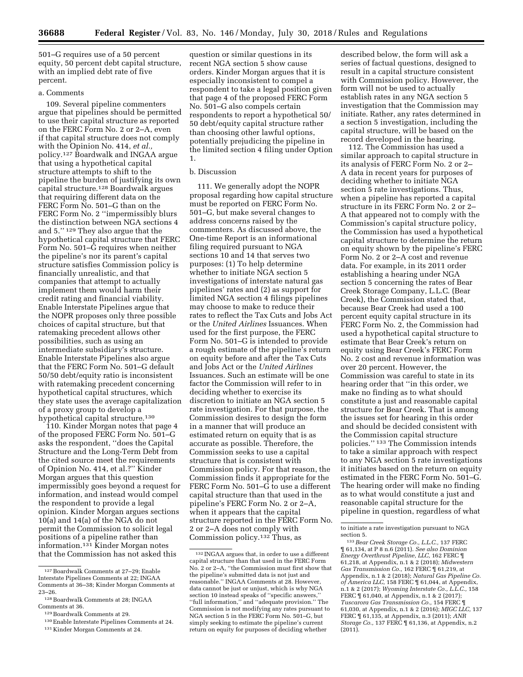501–G requires use of a 50 percent equity, 50 percent debt capital structure, with an implied debt rate of five percent.

# a. Comments

109. Several pipeline commenters argue that pipelines should be permitted to use their capital structure as reported on the FERC Form No. 2 or 2–A, even if that capital structure does not comply with the Opinion No. 414, *et al.,*  policy.127 Boardwalk and INGAA argue that using a hypothetical capital structure attempts to shift to the pipeline the burden of justifying its own capital structure.128 Boardwalk argues that requiring different data on the FERC Form No. 501–G than on the FERC Form No. 2 "impermissibly blurs the distinction between NGA sections 4 and 5.'' 129 They also argue that the hypothetical capital structure that FERC Form No. 501–G requires when neither the pipeline's nor its parent's capital structure satisfies Commission policy is financially unrealistic, and that companies that attempt to actually implement them would harm their credit rating and financial viability. Enable Interstate Pipelines argue that the NOPR proposes only three possible choices of capital structure, but that ratemaking precedent allows other possibilities, such as using an intermediate subsidiary's structure. Enable Interstate Pipelines also argue that the FERC Form No. 501–G default 50/50 debt/equity ratio is inconsistent with ratemaking precedent concerning hypothetical capital structures, which they state uses the average capitalization of a proxy group to develop a hypothetical capital structure.<sup>130</sup>

110. Kinder Morgan notes that page 4 of the proposed FERC Form No. 501–G asks the respondent, ''does the Capital Structure and the Long-Term Debt from the cited source meet the requirements of Opinion No. 414, et al.?'' Kinder Morgan argues that this question impermissibly goes beyond a request for information, and instead would compel the respondent to provide a legal opinion. Kinder Morgan argues sections 10(a) and 14(a) of the NGA do not permit the Commission to solicit legal positions of a pipeline rather than information.131 Kinder Morgan notes that the Commission has not asked this

#### b. Discussion

111. We generally adopt the NOPR proposal regarding how capital structure must be reported on FERC Form No. 501–G, but make several changes to address concerns raised by the commenters. As discussed above, the One-time Report is an informational filing required pursuant to NGA sections 10 and 14 that serves two purposes: (1) To help determine whether to initiate NGA section 5 investigations of interstate natural gas pipelines' rates and (2) as support for limited NGA section 4 filings pipelines may choose to make to reduce their rates to reflect the Tax Cuts and Jobs Act or the *United Airlines* Issuances. When used for the first purpose, the FERC Form No. 501–G is intended to provide a rough estimate of the pipeline's return on equity before and after the Tax Cuts and Jobs Act or the *United Airlines*  Issuances. Such an estimate will be one factor the Commission will refer to in deciding whether to exercise its discretion to initiate an NGA section 5 rate investigation. For that purpose, the Commission desires to design the form in a manner that will produce an estimated return on equity that is as accurate as possible. Therefore, the Commission seeks to use a capital structure that is consistent with Commission policy. For that reason, the Commission finds it appropriate for the FERC Form No. 501–G to use a different capital structure than that used in the pipeline's FERC Form No. 2 or 2–A, when it appears that the capital structure reported in the FERC Form No. 2 or 2–A does not comply with Commission policy.132 Thus, as

described below, the form will ask a series of factual questions, designed to result in a capital structure consistent with Commission policy. However, the form will not be used to actually establish rates in any NGA section 5 investigation that the Commission may initiate. Rather, any rates determined in a section 5 investigation, including the capital structure, will be based on the record developed in the hearing.

112. The Commission has used a similar approach to capital structure in its analysis of FERC Form No. 2 or 2– A data in recent years for purposes of deciding whether to initiate NGA section 5 rate investigations. Thus, when a pipeline has reported a capital structure in its FERC Form No. 2 or 2– A that appeared not to comply with the Commission's capital structure policy, the Commission has used a hypothetical capital structure to determine the return on equity shown by the pipeline's FERC Form No. 2 or 2–A cost and revenue data. For example, in its 2011 order establishing a hearing under NGA section 5 concerning the rates of Bear Creek Storage Company, L.L.C. (Bear Creek), the Commission stated that, because Bear Creek had used a 100 percent equity capital structure in its FERC Form No. 2, the Commission had used a hypothetical capital structure to estimate that Bear Creek's return on equity using Bear Creek's FERC Form No. 2 cost and revenue information was over 20 percent. However, the Commission was careful to state in its hearing order that ''in this order, we make no finding as to what should constitute a just and reasonable capital structure for Bear Creek. That is among the issues set for hearing in this order and should be decided consistent with the Commission capital structure policies.'' 133 The Commission intends to take a similar approach with respect to any NGA section 5 rate investigations it initiates based on the return on equity estimated in the FERC Form No. 501–G. The hearing order will make no finding as to what would constitute a just and reasonable capital structure for the pipeline in question, regardless of what

<sup>127</sup>Boardwalk Comments at 27–29; Enable Interstate Pipelines Comments at 22; INGAA Comments at 36–38; Kinder Morgan Comments at 23–26.

<sup>128</sup>Boardwalk Comments at 28; INGAA Comments at 36.

<sup>129</sup>Boardwalk Comments at 29.

<sup>130</sup>Enable Interstate Pipelines Comments at 24. 131 Kinder Morgan Comments at 24.

question or similar questions in its recent NGA section 5 show cause orders. Kinder Morgan argues that it is especially inconsistent to compel a respondent to take a legal position given that page 4 of the proposed FERC Form No. 501–G also compels certain respondents to report a hypothetical 50/ 50 debt/equity capital structure rather than choosing other lawful options, potentially prejudicing the pipeline in the limited section 4 filing under Option 1.

<sup>132</sup> INGAA argues that, in order to use a different capital structure than that used in the FERC Form No. 2 or 2–A, ''the Commission must first show that the pipeline's submitted data is not just and reasonable.'' INGAA Comments at 28. However, data cannot be just or unjust, which is why NGA section 10 instead speaks of "specific answers, ''full information,'' and ''adequate provision.'' The Commission is not modifying any rates pursuant to NGA section 5 in the FERC Form No. 501–G, but simply seeking to estimate the pipeline's current return on equity for purposes of deciding whether

to initiate a rate investigation pursuant to NGA

section 5. 133*Bear Creek Storage Co., L.L.C.,* 137 FERC ¶ 61,134, at P 8 n.6 (2011). *See also Dominion Energy Overthrust Pipeline, LLC,* 162 FERC ¶ 61,218, at Appendix, n.1 & 2 (2018); *Midwestern Gas Transmission Co.,* 162 FERC ¶ 61,219, at Appendix, n.1 & 2 (2018); *Natural Gas Pipeline Co. of America LLC,* 158 FERC ¶ 61,044, at Appendix, n.1 & 2 (2017); *Wyoming Interstate Co., L.L.C.,* 158 FERC ¶ 61,040, at Appendix, n.1 & 2 (2017); *Tuscarora Gas Transmission Co.,* 154 FERC ¶ 61,030, at Appendix, n.1 & 2 (2016); *MIGC LLC,* 137 FERC ¶ 61,135, at Appendix, n.3 (2011); *ANR Storage Co.,* 137 FERC ¶ 61,136, at Appendix, n.2  $(2011)$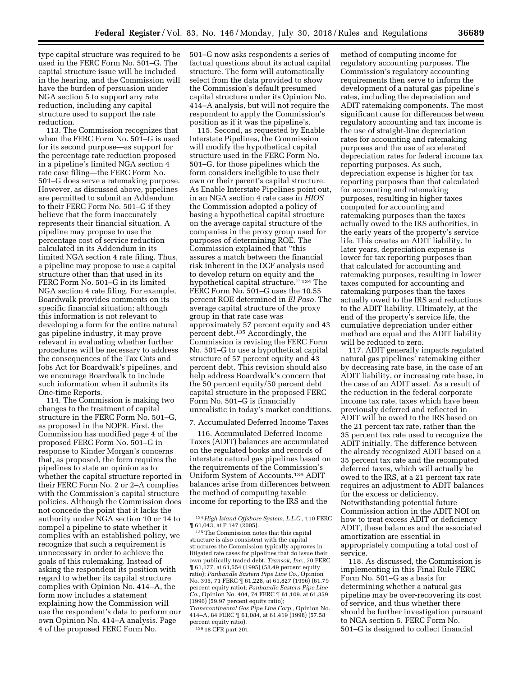type capital structure was required to be used in the FERC Form No. 501–G. The capital structure issue will be included in the hearing, and the Commission will have the burden of persuasion under NGA section 5 to support any rate reduction, including any capital structure used to support the rate reduction.

113. The Commission recognizes that when the FERC Form No. 501–G is used for its second purpose—as support for the percentage rate reduction proposed in a pipeline's limited NGA section 4 rate case filing—the FERC Form No. 501–G does serve a ratemaking purpose. However, as discussed above, pipelines are permitted to submit an Addendum to their FERC Form No. 501–G if they believe that the form inaccurately represents their financial situation. A pipeline may propose to use the percentage cost of service reduction calculated in its Addendum in its limited NGA section 4 rate filing. Thus, a pipeline may propose to use a capital structure other than that used in its FERC Form No. 501–G in its limited NGA section 4 rate filing. For example, Boardwalk provides comments on its specific financial situation; although this information is not relevant to developing a form for the entire natural gas pipeline industry, it may prove relevant in evaluating whether further procedures will be necessary to address the consequences of the Tax Cuts and Jobs Act for Boardwalk's pipelines, and we encourage Boardwalk to include such information when it submits its One-time Reports.

114. The Commission is making two changes to the treatment of capital structure in the FERC Form No. 501–G, as proposed in the NOPR. First, the Commission has modified page 4 of the proposed FERC Form No. 501–G in response to Kinder Morgan's concerns that, as proposed, the form requires the pipelines to state an opinion as to whether the capital structure reported in their FERC Form No. 2 or 2–A complies with the Commission's capital structure policies. Although the Commission does not concede the point that it lacks the authority under NGA section 10 or 14 to compel a pipeline to state whether it complies with an established policy, we recognize that such a requirement is unnecessary in order to achieve the goals of this rulemaking. Instead of asking the respondent its position with regard to whether its capital structure complies with Opinion No. 414–A, the form now includes a statement explaining how the Commission will use the respondent's data to perform our own Opinion No. 414–A analysis. Page 4 of the proposed FERC Form No.

501–G now asks respondents a series of factual questions about its actual capital structure. The form will automatically select from the data provided to show the Commission's default presumed capital structure under its Opinion No. 414–A analysis, but will not require the respondent to apply the Commission's position as if it was the pipeline's.

115. Second, as requested by Enable Interstate Pipelines, the Commission will modify the hypothetical capital structure used in the FERC Form No. 501–G, for those pipelines which the form considers ineligible to use their own or their parent's capital structure. As Enable Interstate Pipelines point out, in an NGA section 4 rate case in *HIOS*  the Commission adopted a policy of basing a hypothetical capital structure on the average capital structure of the companies in the proxy group used for purposes of determining ROE. The Commission explained that ''this assures a match between the financial risk inherent in the DCF analysis used to develop return on equity and the hypothetical capital structure.'' 134 The FERC Form No. 501–G uses the 10.55 percent ROE determined in *El Paso.* The average capital structure of the proxy group in that rate case was approximately 57 percent equity and 43 percent debt.135 Accordingly, the Commission is revising the FERC Form No. 501–G to use a hypothetical capital structure of 57 percent equity and 43 percent debt. This revision should also help address Boardwalk's concern that the 50 percent equity/50 percent debt capital structure in the proposed FERC Form No. 501–G is financially unrealistic in today's market conditions.

#### 7. Accumulated Deferred Income Taxes

116. Accumulated Deferred Income Taxes (ADIT) balances are accumulated on the regulated books and records of interstate natural gas pipelines based on the requirements of the Commission's Uniform System of Accounts.136 ADIT balances arise from differences between the method of computing taxable income for reporting to the IRS and the

136 18 CFR part 201.

method of computing income for regulatory accounting purposes. The Commission's regulatory accounting requirements then serve to inform the development of a natural gas pipeline's rates, including the depreciation and ADIT ratemaking components. The most significant cause for differences between regulatory accounting and tax income is the use of straight-line depreciation rates for accounting and ratemaking purposes and the use of accelerated depreciation rates for federal income tax reporting purposes. As such, depreciation expense is higher for tax reporting purposes than that calculated for accounting and ratemaking purposes, resulting in higher taxes computed for accounting and ratemaking purposes than the taxes actually owed to the IRS authorities, in the early years of the property's service life. This creates an ADIT liability. In later years, depreciation expense is lower for tax reporting purposes than that calculated for accounting and ratemaking purposes, resulting in lower taxes computed for accounting and ratemaking purposes than the taxes actually owed to the IRS and reductions to the ADIT liability. Ultimately, at the end of the property's service life, the cumulative depreciation under either method are equal and the ADIT liability will be reduced to zero.

117. ADIT generally impacts regulated natural gas pipelines' ratemaking either by decreasing rate base, in the case of an ADIT liability, or increasing rate base, in the case of an ADIT asset. As a result of the reduction in the federal corporate income tax rate, taxes which have been previously deferred and reflected in ADIT will be owed to the IRS based on the 21 percent tax rate, rather than the 35 percent tax rate used to recognize the ADIT initially. The difference between the already recognized ADIT based on a 35 percent tax rate and the recomputed deferred taxes, which will actually be owed to the IRS, at a 21 percent tax rate requires an adjustment to ADIT balances for the excess or deficiency. Notwithstanding potential future Commission action in the ADIT NOI on how to treat excess ADIT or deficiency ADIT, these balances and the associated amortization are essential in appropriately computing a total cost of service.

118. As discussed, the Commission is implementing in this Final Rule FERC Form No. 501–G as a basis for determining whether a natural gas pipeline may be over-recovering its cost of service, and thus whether there should be further investigation pursuant to NGA section 5. FERC Form No. 501–G is designed to collect financial

<sup>134</sup>*High Island Offshore System, L.L.C.,* 110 FERC  $\P$  61,043, at P 147 (2005).

<sup>135</sup>The Commission notes that this capital structure is also consistent with the capital structures the Commission typically approves in litigated rate cases for pipelines that do issue their own publically traded debt. *Transok, Inc.,* 70 FERC ¶ 61,177, at 61,554 (1995) (58.49 percent equity ratio); *Panhandle Eastern Pipe Line Co.,* Opinion No. 395, 71 FERC ¶ 61,228, at 61,827 (1996) (61.79 percent equity ratio); *Panhandle Eastern Pipe Line Co.,* Opinion No. 404, 74 FERC ¶ 61,109, at 61,359 (1996) (59.97 percent equity ratio); *Transcontinental Gas Pipe Line Corp.,* Opinion No. 414–A, 84 FERC ¶ 61,084, at 61,419 (1998) (57.58 percent equity ratio).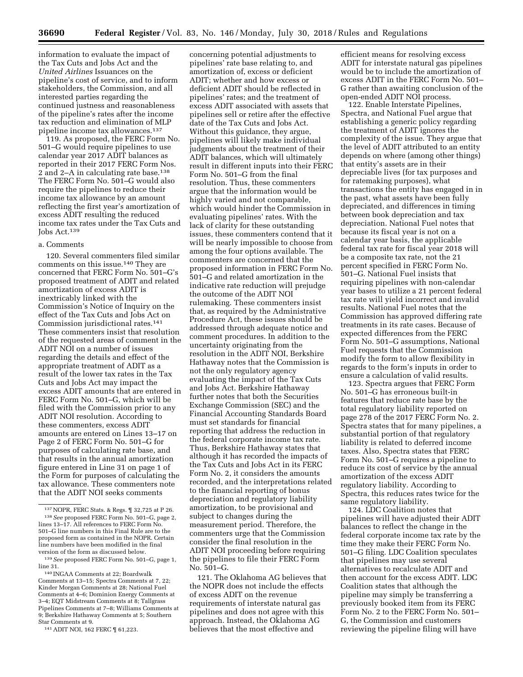information to evaluate the impact of the Tax Cuts and Jobs Act and the *United Airlines* Issuances on the pipeline's cost of service, and to inform stakeholders, the Commission, and all interested parties regarding the continued justness and reasonableness of the pipeline's rates after the income tax reduction and elimination of MLP pipeline income tax allowances.137

119. As proposed, the FERC Form No. 501–G would require pipelines to use calendar year 2017 ADIT balances as reported in their 2017 FERC Form Nos. 2 and 2–A in calculating rate base.138 The FERC Form No. 501–G would also require the pipelines to reduce their income tax allowance by an amount reflecting the first year's amortization of excess ADIT resulting the reduced income tax rates under the Tax Cuts and Jobs Act.139

#### a. Comments

120. Several commenters filed similar comments on this issue.140 They are concerned that FERC Form No. 501–G's proposed treatment of ADIT and related amortization of excess ADIT is inextricably linked with the Commission's Notice of Inquiry on the effect of the Tax Cuts and Jobs Act on Commission jurisdictional rates.141 These commenters insist that resolution of the requested areas of comment in the ADIT NOI on a number of issues regarding the details and effect of the appropriate treatment of ADIT as a result of the lower tax rates in the Tax Cuts and Jobs Act may impact the excess ADIT amounts that are entered in FERC Form No. 501–G, which will be filed with the Commission prior to any ADIT NOI resolution. According to these commenters, excess ADIT amounts are entered on Lines 13–17 on Page 2 of FERC Form No. 501–G for purposes of calculating rate base, and that results in the annual amortization figure entered in Line 31 on page 1 of the Form for purposes of calculating the tax allowance. These commenters note that the ADIT NOI seeks comments

concerning potential adjustments to pipelines' rate base relating to, and amortization of, excess or deficient ADIT; whether and how excess or deficient ADIT should be reflected in pipelines' rates; and the treatment of excess ADIT associated with assets that pipelines sell or retire after the effective date of the Tax Cuts and Jobs Act. Without this guidance, they argue, pipelines will likely make individual judgments about the treatment of their ADIT balances, which will ultimately result in different inputs into their FERC Form No. 501–G from the final resolution. Thus, these commenters argue that the information would be highly varied and not comparable, which would hinder the Commission in evaluating pipelines' rates. With the lack of clarity for these outstanding issues, these commenters contend that it will be nearly impossible to choose from among the four options available. The commenters are concerned that the proposed information in FERC Form No. 501–G and related amortization in the indicative rate reduction will prejudge the outcome of the ADIT NOI rulemaking. These commenters insist that, as required by the Administrative Procedure Act, these issues should be addressed through adequate notice and comment procedures. In addition to the uncertainty originating from the resolution in the ADIT NOI, Berkshire Hathaway notes that the Commission is not the only regulatory agency evaluating the impact of the Tax Cuts and Jobs Act. Berkshire Hathaway further notes that both the Securities Exchange Commission (SEC) and the Financial Accounting Standards Board must set standards for financial reporting that address the reduction in the federal corporate income tax rate. Thus, Berkshire Hathaway states that although it has recorded the impacts of the Tax Cuts and Jobs Act in its FERC Form No. 2, it considers the amounts recorded, and the interpretations related to the financial reporting of bonus depreciation and regulatory liability amortization, to be provisional and subject to changes during the measurement period. Therefore, the commenters urge that the Commission consider the final resolution in the ADIT NOI proceeding before requiring the pipelines to file their FERC Form No. 501–G.

121. The Oklahoma AG believes that the NOPR does not include the effects of excess ADIT on the revenue requirements of interstate natural gas pipelines and does not agree with this approach. Instead, the Oklahoma AG believes that the most effective and

efficient means for resolving excess ADIT for interstate natural gas pipelines would be to include the amortization of excess ADIT in the FERC Form No. 501– G rather than awaiting conclusion of the open-ended ADIT NOI process.

122. Enable Interstate Pipelines, Spectra, and National Fuel argue that establishing a generic policy regarding the treatment of ADIT ignores the complexity of the issue. They argue that the level of ADIT attributed to an entity depends on where (among other things) that entity's assets are in their depreciable lives (for tax purposes and for ratemaking purposes), what transactions the entity has engaged in in the past, what assets have been fully depreciated, and differences in timing between book depreciation and tax depreciation. National Fuel notes that because its fiscal year is not on a calendar year basis, the applicable federal tax rate for fiscal year 2018 will be a composite tax rate, not the 21 percent specified in FERC Form No. 501–G. National Fuel insists that requiring pipelines with non-calendar year bases to utilize a 21 percent federal tax rate will yield incorrect and invalid results. National Fuel notes that the Commission has approved differing rate treatments in its rate cases. Because of expected differences from the FERC Form No. 501–G assumptions, National Fuel requests that the Commission modify the form to allow flexibility in regards to the form's inputs in order to ensure a calculation of valid results.

123. Spectra argues that FERC Form No. 501–G has erroneous built-in features that reduce rate base by the total regulatory liability reported on page 278 of the 2017 FERC Form No. 2. Spectra states that for many pipelines, a substantial portion of that regulatory liability is related to deferred income taxes. Also, Spectra states that FERC Form No. 501–G requires a pipeline to reduce its cost of service by the annual amortization of the excess ADIT regulatory liability. According to Spectra, this reduces rates twice for the same regulatory liability.

124. LDC Coalition notes that pipelines will have adjusted their ADIT balances to reflect the change in the federal corporate income tax rate by the time they make their FERC Form No. 501–G filing. LDC Coalition speculates that pipelines may use several alternatives to recalculate ADIT and then account for the excess ADIT. LDC Coalition states that although the pipeline may simply be transferring a previously booked item from its FERC Form No. 2 to the FERC Form No. 501– G, the Commission and customers reviewing the pipeline filing will have

<sup>137</sup>NOPR, FERC Stats. & Regs. ¶ 32,725 at P 26. 138*See* proposed FERC Form No. 501–G, page 2, lines 13–17. All references to FERC Form No. 501–G line numbers in this Final Rule are to the proposed form as contained in the NOPR. Certain line numbers have been modified in the final version of the form as discussed below.

<sup>139</sup>*See* proposed FERC Form No. 501–G, page 1, line 31.

<sup>140</sup> INGAA Comments at 22; Boardwalk Comments at 13–15; Spectra Comments at 7, 22; Kinder Morgan Comments at 28; National Fuel Comments at 4–6; Dominion Energy Comments at 3–4; EQT Midstream Comments at 8; Tallgrass Pipelines Comments at 7–8; Williams Comments at 9; Berkshire Hathaway Comments at 5; Southern Star Comments at 9.

<sup>141</sup>ADIT NOI, 162 FERC ¶ 61,223.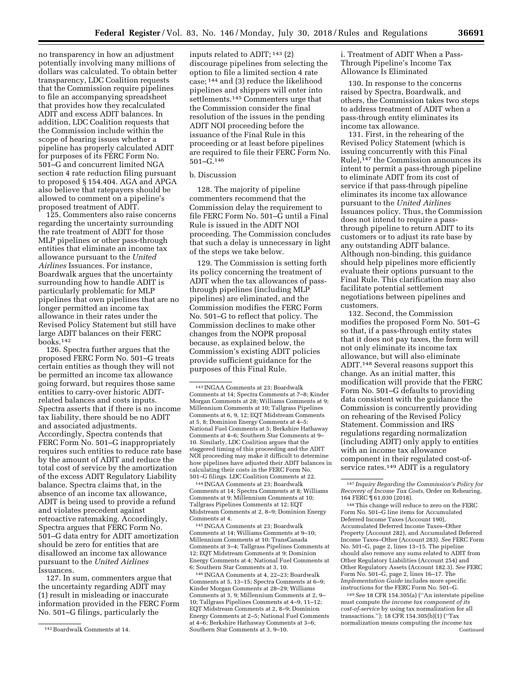no transparency in how an adjustment potentially involving many millions of dollars was calculated. To obtain better transparency, LDC Coalition requests that the Commission require pipelines to file an accompanying spreadsheet that provides how they recalculated ADIT and excess ADIT balances. In addition, LDC Coalition requests that the Commission include within the scope of hearing issues whether a pipeline has properly calculated ADIT for purposes of its FERC Form No. 501–G and concurrent limited NGA section 4 rate reduction filing pursuant to proposed § 154.404. AGA and APGA also believe that ratepayers should be allowed to comment on a pipeline's proposed treatment of ADIT.

125. Commenters also raise concerns regarding the uncertainty surrounding the rate treatment of ADIT for those MLP pipelines or other pass-through entities that eliminate an income tax allowance pursuant to the *United Airlines* Issuances. For instance, Boardwalk argues that the uncertainty surrounding how to handle ADIT is particularly problematic for MLP pipelines that own pipelines that are no longer permitted an income tax allowance in their rates under the Revised Policy Statement but still have large ADIT balances on their FERC books.142

126. Spectra further argues that the proposed FERC Form No. 501–G treats certain entities as though they will not be permitted an income tax allowance going forward, but requires those same entities to carry-over historic ADITrelated balances and costs inputs. Spectra asserts that if there is no income tax liability, there should be no ADIT and associated adjustments. Accordingly, Spectra contends that FERC Form No. 501–G inappropriately requires such entities to reduce rate base by the amount of ADIT and reduce the total cost of service by the amortization of the excess ADIT Regulatory Liability balance. Spectra claims that, in the absence of an income tax allowance, ADIT is being used to provide a refund and violates precedent against retroactive ratemaking. Accordingly, Spectra argues that FERC Form No. 501–G data entry for ADIT amortization should be zero for entities that are disallowed an income tax allowance pursuant to the *United Airlines*  Issuances.

127. In sum, commenters argue that the uncertainty regarding ADIT may (1) result in misleading or inaccurate information provided in the FERC Form No. 501–G filings, particularly the

inputs related to  $ADIT$ ;  $143$  (2) discourage pipelines from selecting the option to file a limited section 4 rate case; 144 and (3) reduce the likelihood pipelines and shippers will enter into settlements.145 Commenters urge that the Commission consider the final resolution of the issues in the pending ADIT NOI proceeding before the issuance of the Final Rule in this proceeding or at least before pipelines are required to file their FERC Form No. 501–G.146

## b. Discussion

128. The majority of pipeline commenters recommend that the Commission delay the requirement to file FERC Form No. 501–G until a Final Rule is issued in the ADIT NOI proceeding. The Commission concludes that such a delay is unnecessary in light of the steps we take below.

129. The Commission is setting forth its policy concerning the treatment of ADIT when the tax allowances of passthrough pipelines (including MLP pipelines) are eliminated, and the Commission modifies the FERC Form No. 501–G to reflect that policy. The Commission declines to make other changes from the NOPR proposal because, as explained below, the Commission's existing ADIT policies provide sufficient guidance for the purposes of this Final Rule.

143 INGAA Comments at 23; Boardwalk Comments at 14; Spectra Comments at 7–8; Kinder Morgan Comments at 28; Williams Comments at 9; Millennium Comments at 10; Tallgrass Pipelines Comments at 6, 9, 12; EQT Midstream Comments at 5, 8; Dominion Energy Comments at 4–5; National Fuel Comments at 5; Berkshire Hathaway Comments at 4–6; Southern Star Comments at 9– 10. Similarly, LDC Coalition argues that the staggered timing of this proceeding and the ADIT NOI proceeding may make it difficult to determine how pipelines have adjusted their ADIT balances in calculating their costs in the FERC Form No. 501–G filings. LDC Coalition Comments at 22.

144 INGAA Comments at 23; Boardwalk Comments at 14; Spectra Comments at 8; Williams Comments at 9; Millennium Comments at 10; Tallgrass Pipelines Comments at 12; EQT Midstream Comments at 2, 8–9; Dominion Energy Comments at 4.

145 INGAA Comments at 23; Boardwalk Comments at 14; Williams Comments at 9–10; Millennium Comments at 10; TransCanada Comments at 3–4; Tallgrass Pipelines Comments at 12; EQT Midstream Comments at 9; Dominion Energy Comments at 4; National Fuel Comments at 6; Southern Star Comments at 3, 10.

146 INGAA Comments at 4, 22–23; Boardwalk Comments at 5, 13–15; Spectra Comments at 6–9; Kinder Morgan Comments at 28–29; Williams Comments at 3, 9; Millennium Comments at 2, 9– 10; Tallgrass Pipelines Comments at 4–9, 11–12; EQT Midstream Comments at 2, 8–9; Dominion Energy Comments at 2–5; National Fuel Comments at 4–6; Berkshire Hathaway Comments at 3–6; Southern Star Comments at 3, 9–10.

i. Treatment of ADIT When a Pass-Through Pipeline's Income Tax Allowance Is Eliminated

130. In response to the concerns raised by Spectra, Boardwalk, and others, the Commission takes two steps to address treatment of ADIT when a pass-through entity eliminates its income tax allowance.

131. First, in the rehearing of the Revised Policy Statement (which is issuing concurrently with this Final Rule), $147$  the Commission announces its intent to permit a pass-through pipeline to eliminate ADIT from its cost of service if that pass-through pipeline eliminates its income tax allowance pursuant to the *United Airlines*  Issuances policy. Thus, the Commission does not intend to require a passthrough pipeline to return ADIT to its customers or to adjust its rate base by any outstanding ADIT balance. Although non-binding, this guidance should help pipelines more efficiently evaluate their options pursuant to the Final Rule. This clarification may also facilitate potential settlement negotiations between pipelines and customers.

132. Second, the Commission modifies the proposed Form No. 501–G so that, if a pass-through entity states that it does not pay taxes, the form will not only eliminate its income tax allowance, but will also eliminate ADIT.148 Several reasons support this change. As an initial matter, this modification will provide that the FERC Form No. 501–G defaults to providing data consistent with the guidance the Commission is concurrently providing on rehearing of the Revised Policy Statement. Commission and IRS regulations regarding normalization (including ADIT) only apply to entities with an income tax allowance component in their regulated cost-ofservice rates.<sup>149</sup> ADIT is a regulatory

148This change will reduce to zero on the FERC Form No. 501–G line items for Accumulated Deferred Income Taxes (Account 190), Accumulated Deferred Income Taxes–Other Property (Account 282), and Accumulated Deferred Income Taxes–Other (Account 283). *See* FERC Form No. 501–G, page 2, lines 13–15. The pipeline should also remove any sums related to ADIT from Other Regulatory Liabilities (Account 254) and Other Regulatory Assets (Account 182.3). *See* FERC Form No. 501–G, page 2, lines 16–17. The *Implementation Guide* includes more specific instructions for the FERC Form No. 501–G.

149*See* 18 CFR 154.305(a) (''An interstate pipeline must compute *the income tax component of its cost-of-service* by using tax normalization for all transactions.''); 18 CFR 154.305(b)(1) (''Tax normalization means computing *the income tax*  Continued

<sup>142</sup>Boardwalk Comments at 14.

<sup>147</sup> *Inquiry Regarding the Commission's Policy for Recovery of Income Tax Costs,* Order on Rehearing, 164 FERC ¶ 61,030 (2018).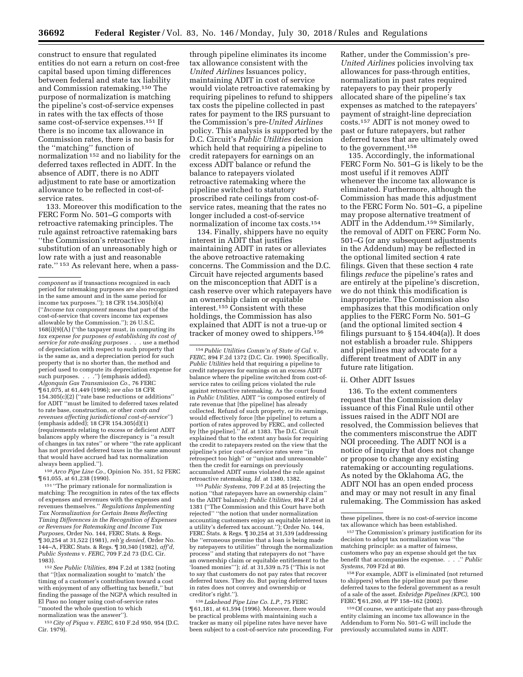construct to ensure that regulated entities do not earn a return on cost-free capital based upon timing differences between federal and state tax liability and Commission ratemaking.150 The purpose of normalization is matching the pipeline's cost-of-service expenses in rates with the tax effects of those same cost-of-service expenses.151 If there is no income tax allowance in Commission rates, there is no basis for the ''matching'' function of normalization<sup>152</sup> and no liability for the deferred taxes reflected in ADIT. In the absence of ADIT, there is no ADIT adjustment to rate base or amortization allowance to be reflected in cost-ofservice rates.

133. Moreover this modification to the FERC Form No. 501–G comports with retroactive ratemaking principles. The rule against retroactive ratemaking bars ''the Commission's retroactive substitution of an unreasonably high or low rate with a just and reasonable rate.'' 153 As relevant here, when a pass-

150*Arco Pipe Line Co.,* Opinion No. 351, 52 FERC ¶ 61,055, at 61,238 (1990).

151 ''The primary rationale for normalization is matching: The recognition in rates of the tax effects of expenses and revenues with the expenses and revenues themselves.'' *Regulations Implementing Tax Normalization for Certain Items Reflecting Timing Differences in the Recognition of Expenses or Revenues for Ratemaking and Income Tax Purposes,* Order No. 144, FERC Stats. & Regs. ¶ 30,254 at 31,522 (1981), *reh'g denied,* Order No. 144–A, FERC Stats. & Regs. ¶ 30,340 (1982), *aff'd, Public Systems* v. *FERC,* 709 F.2d 73 (D.C. Cir. 1983).

152*See Public Utilities,* 894 F.2d at 1382 (noting that ''[t]ax normalization sought to 'match' the timing of a customer's contribution toward a cost with enjoyment of any offsetting tax benefit,'' but finding the passage of the NGPA which resulted in El Paso no longer using cost-of-service rates ''mooted the whole question to which normalization was the answer'').

153*City of Piqua* v. *FERC,* 610 F.2d 950, 954 (D.C. Cir. 1979).

through pipeline eliminates its income tax allowance consistent with the *United Airlines* Issuances policy, maintaining ADIT in cost of service would violate retroactive ratemaking by requiring pipelines to refund to shippers tax costs the pipeline collected in past rates for payment to the IRS pursuant to the Commission's pre-*United Airlines*  policy. This analysis is supported by the D.C. Circuit's *Public Utilities* decision which held that requiring a pipeline to credit ratepayers for earnings on an excess ADIT balance or refund the balance to ratepayers violated retroactive ratemaking where the pipeline switched to statutory proscribed rate ceilings from cost-ofservice rates, meaning that the rates no longer included a cost-of-service normalization of income tax costs.154

134. Finally, shippers have no equity interest in ADIT that justifies maintaining ADIT in rates or alleviates the above retroactive ratemaking concerns. The Commission and the D.C. Circuit have rejected arguments based on the misconception that ADIT is a cash reserve over which ratepayers have an ownership claim or equitable interest.155 Consistent with these holdings, the Commission has also explained that ADIT is not a true-up or tracker of money owed to shippers.156

154*Public Utilities Comm'n of State of Cal.* v. *FERC,* 894 F.2d 1372 (D.C. Cir. 1990). Specifically, *Public Utilities* held that requiring a pipeline to credit ratepayers for earnings on an excess ADIT balance where the pipeline switched from cost-ofservice rates to ceiling prices violated the rule against retroactive ratemaking. As the court found in *Public Utilities,* ADIT ''is composed entirely of rate revenue that [the pipeline] has already collected. Refund of such property, or its earnings, would effectively force [the pipeline] to return a portion of rates approved by FERC, and collected by [the pipeline].'' *Id.* at 1383. The D.C. Circuit explained that to the extent any basis for requiring the credit to ratepayers rested on the view that the pipeline's prior cost-of-service rates were ''in retrospect too high'' or ''unjust and unreasonable'' then the credit for earnings on previously accumulated ADIT sums violated the rule against retroactive ratemaking. *Id.* at 1380, 1382.

155*Public Systems,* 709 F.2d at 85 (rejecting the notion ''that ratepayers have an ownership claim'' to the ADIT balance); *Public Utilities,* 894 F.2d at 1381 (''The Commission and this Court have both rejected'' ''the notion that under normalization accounting customers enjoy an equitable interest in a utility's deferred tax account.''); Order No. 144, FERC Stats. & Regs. ¶ 30,254 at 31,539 (addressing the ''erroneous premise that a loan is being made by ratepayers to utilities'' through the normalization process'' and stating that ratepayers do not ''have an ownership claim or equitable entitlement to the 'loaned monies'''); *id.* at 31,539 n.75 (''This is not to say that customers do not pay rates that recover deferred taxes. They do. But paying deferred taxes in rates does not convey and ownership or creditor's right.'').

156 *Lakehead Pipe Line Co. L.P.,* 75 FERC ¶ 61,181, at 61,594 (1996). Moreover, there would be practical problems with maintaining such a tracker as many oil pipeline rates have never have been subject to a cost-of-service rate proceeding. For Rather, under the Commission's pre-*United Airlines* policies involving tax allowances for pass-through entities, normalization in past rates required ratepayers to pay their properly allocated share of the pipeline's tax expenses as matched to the ratepayers' payment of straight-line depreciation costs.157 ADIT is not money owed to past or future ratepayers, but rather deferred taxes that are ultimately owed to the government.158

135. Accordingly, the informational FERC Form No. 501–G is likely to be the most useful if it removes ADIT whenever the income tax allowance is eliminated. Furthermore, although the Commission has made this adjustment to the FERC Form No. 501–G, a pipeline may propose alternative treatment of ADIT in the Addendum.159 Similarly, the removal of ADIT on FERC Form No. 501–G (or any subsequent adjustments in the Addendum) may be reflected in the optional limited section 4 rate filings. Given that these section 4 rate filings *reduce* the pipeline's rates and are entirely at the pipeline's discretion, we do not think this modification is inappropriate. The Commission also emphasizes that this modification only applies to the FERC Form No. 501–G (and the optional limited section 4 filings pursuant to  $\S 154.404(a)$ ). It does not establish a broader rule. Shippers and pipelines may advocate for a different treatment of ADIT in any future rate litigation.

# ii. Other ADIT Issues

136. To the extent commenters request that the Commission delay issuance of this Final Rule until other issues raised in the ADIT NOI are resolved, the Commission believes that the commenters misconstrue the ADIT NOI proceeding. The ADIT NOI is a notice of inquiry that does not change or propose to change any existing ratemaking or accounting regulations. As noted by the Oklahoma AG, the ADIT NOI has an open ended process and may or may not result in any final rulemaking. The Commission has asked

158For example, ADIT is eliminated (not returned to shippers) when the pipeline must pay these deferred taxes to the federal government as a result of a sale of the asset. *Enbridge Pipelines (KPC),* 100 FERC  $\P$  61,260, at PP 158-162 (2002).

159Of course, we anticipate that any pass-through entity claiming an income tax allowance in the Addendum to Form No. 501–G will include the previously accumulated sums in ADIT.

*component* as if transactions recognized in each period for ratemaking purposes are also recognized in the same amount and in the same period for income tax purposes.''); 18 CFR 154.305(b)(4) (''*Income tax component* means that part of the cost-of-service that covers income tax expenses allowable by the Commission.''); 26 U.S.C.  $168(i)(9)(A)$  ("the taxpayer must, in computing its *tax expense for purposes of establishing its cost of service for rate-making purposes* . . . use a method of depreciation with respect to such property that is the same as, and a depreciation period for such property that is no shorter than, the method and period used to compute its depreciation expense for such purposes. . . . . ") (emphasis added). *Algonquin Gas Transmission Co.,* 76 FERC ¶ 61,075, at 61,449 (1996); *see also* 18 CFR 154.305(c)(2) (''rate base reductions or additions'' for ADIT ''must be limited to deferred taxes related to rate base, construction, or other *costs and revenues affecting jurisdictional cost-of-service*'') (emphasis added); 18 CFR 154.305(d)(1) (requirements relating to excess or deficient ADIT balances apply where the discrepancy is ''a result of changes in tax rates'' or where ''the rate applicant has not provided deferred taxes in the same amount that would have accrued had tax normalization always been applied.'').

these pipelines, there is no cost-of-service income tax allowance which has been established.

<sup>157</sup>The Commission's primary justification for its decision to adopt tax normalization was ''the matching principle: as a matter of fairness, customers who pay an expense should get the tax benefit that accompanies the expense. . . .'' *Public Systems,* 709 F2d at 80.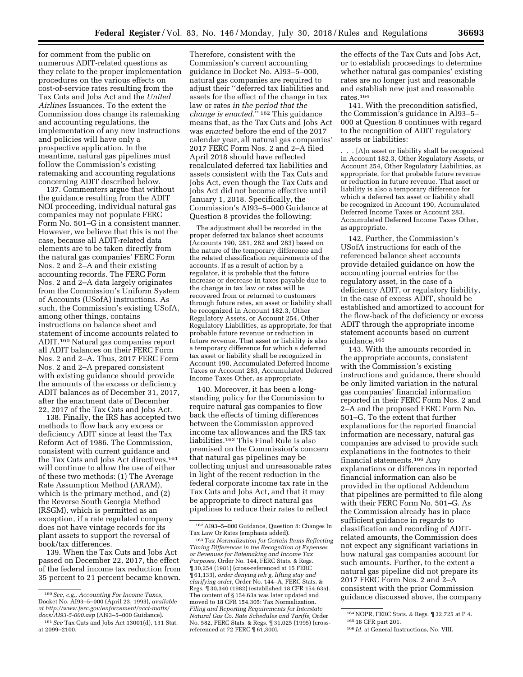for comment from the public on numerous ADIT-related questions as they relate to the proper implementation procedures on the various effects on cost-of-service rates resulting from the Tax Cuts and Jobs Act and the *United Airlines* Issuances. To the extent the Commission does change its ratemaking and accounting regulations, the implementation of any new instructions and policies will have only a prospective application. In the meantime, natural gas pipelines must follow the Commission's existing ratemaking and accounting regulations concerning ADIT described below.

137. Commenters argue that without the guidance resulting from the ADIT NOI proceeding, individual natural gas companies may not populate FERC Form No. 501–G in a consistent manner. However, we believe that this is not the case, because all ADIT-related data elements are to be taken directly from the natural gas companies' FERC Form Nos. 2 and 2–A and their existing accounting records. The FERC Form Nos. 2 and 2–A data largely originates from the Commission's Uniform System of Accounts (USofA) instructions. As such, the Commission's existing USofA, among other things, contains instructions on balance sheet and statement of income accounts related to ADIT.160 Natural gas companies report all ADIT balances on their FERC Form Nos. 2 and 2–A. Thus, 2017 FERC Form Nos. 2 and 2–A prepared consistent with existing guidance should provide the amounts of the excess or deficiency ADIT balances as of December 31, 2017, after the enactment date of December 22, 2017 of the Tax Cuts and Jobs Act.

138. Finally, the IRS has accepted two methods to flow back any excess or deficiency ADIT since at least the Tax Reform Act of 1986. The Commission, consistent with current guidance and the Tax Cuts and Jobs Act directives,<sup>161</sup> will continue to allow the use of either of these two methods: (1) The Average Rate Assumption Method (ARAM), which is the primary method, and (2) the Reverse South Georgia Method (RSGM), which is permitted as an exception, if a rate regulated company does not have vintage records for its plant assets to support the reversal of book/tax differences.

139. When the Tax Cuts and Jobs Act passed on December 22, 2017, the effect of the federal income tax reduction from 35 percent to 21 percent became known.

Therefore, consistent with the Commission's current accounting guidance in Docket No. AI93–5–000, natural gas companies are required to adjust their ''deferred tax liabilities and assets for the effect of the change in tax law or rates *in the period that the change is enacted.*'' 162 This guidance means that, as the Tax Cuts and Jobs Act was *enacted* before the end of the 2017 calendar year, all natural gas companies' 2017 FERC Form Nos. 2 and 2–A filed April 2018 should have reflected recalculated deferred tax liabilities and assets consistent with the Tax Cuts and Jobs Act, even though the Tax Cuts and Jobs Act did not become effective until January 1, 2018. Specifically, the Commission's AI93–5–000 Guidance at Question 8 provides the following:

The adjustment shall be recorded in the proper deferred tax balance sheet accounts (Accounts 190, 281, 282 and 283) based on the nature of the temporary difference and the related classification requirements of the accounts. If as a result of action by a regulator, it is probable that the future increase or decrease in taxes payable due to the change in tax law or rates will be recovered from or returned to customers through future rates, an asset or liability shall be recognized in Account 182.3, Other Regulatory Assets, or Account 254, Other Regulatory Liabilities, as appropriate, for that probable future revenue or reduction in future revenue. That asset or liability is also a temporary difference for which a deferred tax asset or liability shall be recognized in Account 190, Accumulated Deferred Income Taxes or Account 283, Accumulated Deferred Income Taxes Other, as appropriate.

140. Moreover, it has been a longstanding policy for the Commission to require natural gas companies to flow back the effects of timing differences between the Commission approved income tax allowances and the IRS tax liabilities.163 This Final Rule is also premised on the Commission's concern that natural gas pipelines may be collecting unjust and unreasonable rates in light of the recent reduction in the federal corporate income tax rate in the Tax Cuts and Jobs Act, and that it may be appropriate to direct natural gas pipelines to reduce their rates to reflect

the effects of the Tax Cuts and Jobs Act, or to establish proceedings to determine whether natural gas companies' existing rates are no longer just and reasonable and establish new just and reasonable rates.164

141. With the precondition satisfied, the Commission's guidance in AI93–5– 000 at Question 8 continues with regard to the recognition of ADIT regulatory assets or liabilities:

. . . [A]n asset or liability shall be recognized in Account 182.3, Other Regulatory Assets, or Account 254, Other Regulatory Liabilities, as appropriate, for that probable future revenue or reduction in future revenue. That asset or liability is also a temporary difference for which a deferred tax asset or liability shall be recognized in Account 190, Accumulated Deferred Income Taxes or Account 283, Accumulated Deferred Income Taxes Other, as appropriate.

142. Further, the Commission's USofA instructions for each of the referenced balance sheet accounts provide detailed guidance on how the accounting journal entries for the regulatory asset, in the case of a deficiency ADIT, or regulatory liability, in the case of excess ADIT, should be established and amortized to account for the flow-back of the deficiency or excess ADIT through the appropriate income statement accounts based on current guidance.165

143. With the amounts recorded in the appropriate accounts, consistent with the Commission's existing instructions and guidance, there should be only limited variation in the natural gas companies' financial information reported in their FERC Form Nos. 2 and 2–A and the proposed FERC Form No. 501–G. To the extent that further explanations for the reported financial information are necessary, natural gas companies are advised to provide such explanations in the footnotes to their financial statements.166 Any explanations or differences in reported financial information can also be provided in the optional Addendum that pipelines are permitted to file along with their FERC Form No. 501–G. As the Commission already has in place sufficient guidance in regards to classification and recording of ADITrelated amounts, the Commission does not expect any significant variations in how natural gas companies account for such amounts. Further, to the extent a natural gas pipeline did not prepare its 2017 FERC Form Nos. 2 and 2–A consistent with the prior Commission guidance discussed above, the company

<sup>160</sup>*See, e.g., Accounting For Income Taxes,*  Docket No. AI93–5–000 (April 23, 1993), *available at [http://www.ferc.gov/enforcement/acct-matts/](http://www.ferc.gov/enforcement/acct-matts/docs/AI93-5-000.asp) [docs/AI93-5-000.asp](http://www.ferc.gov/enforcement/acct-matts/docs/AI93-5-000.asp)* (AI93–5–000 Guidance).

<sup>161</sup>*See* Tax Cuts and Jobs Act 13001(d), 131 Stat. at 2099–2100.

<sup>162</sup>AI93–5–000 Guidance, Question 8: Changes In Tax Law Or Rates (emphasis added).

<sup>163</sup>*Tax Normalization for Certain Items Reflecting Timing Differences in the Recognition of Expenses or Revenues for Ratemaking and Income Tax Purposes,* Order No. 144, FERC Stats. & Regs. ¶ 30,254 (1981) (cross-referenced at 15 FERC ¶ 61,133), *order denying reh'g, lifting stay and clarifying order,* Order No. 144–A, FERC Stats. & Regs. ¶ 30,340 (1982) (established 18 CFR 154.63a). The content of § 154.63a was later updated and moved to 18 CFR 154.305: Tax Normalization. *Filing and Reporting Requirements for Interstate Natural Gas Co. Rate Schedules and Tariffs,* Order No. 582, FERC Stats. & Regs. ¶ 31,025 (1995) (crossreferenced at 72 FERC ¶ 61,300).

<sup>164</sup>NOPR, FERC Stats. & Regs. ¶ 32,725 at P 4.

<sup>165</sup> 18 CFR part 201.

<sup>166</sup> *Id.* at General Instructions, No. VIII.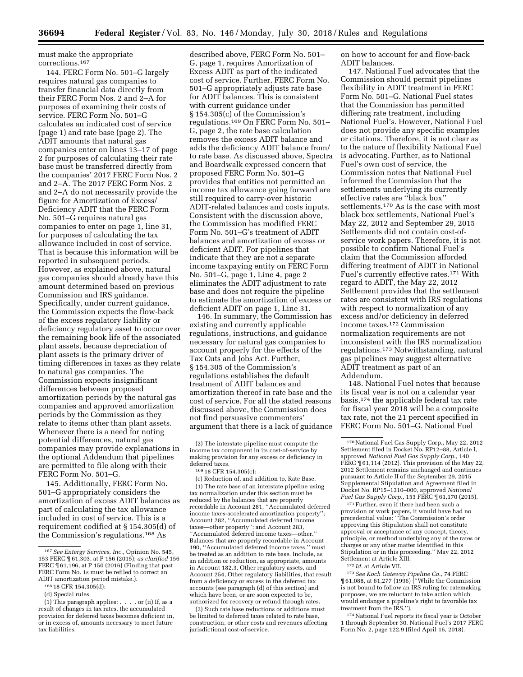must make the appropriate corrections.167

144. FERC Form No. 501–G largely requires natural gas companies to transfer financial data directly from their FERC Form Nos. 2 and 2–A for purposes of examining their costs of service. FERC Form No. 501–G calculates an indicated cost of service (page 1) and rate base (page 2). The ADIT amounts that natural gas companies enter on lines 13–17 of page 2 for purposes of calculating their rate base must be transferred directly from the companies' 2017 FERC Form Nos. 2 and 2–A. The 2017 FERC Form Nos. 2 and 2–A do not necessarily provide the figure for Amortization of Excess/ Deficiency ADIT that the FERC Form No. 501–G requires natural gas companies to enter on page 1, line 31, for purposes of calculating the tax allowance included in cost of service. That is because this information will be reported in subsequent periods. However, as explained above, natural gas companies should already have this amount determined based on previous Commission and IRS guidance. Specifically, under current guidance, the Commission expects the flow-back of the excess regulatory liability or deficiency regulatory asset to occur over the remaining book life of the associated plant assets, because depreciation of plant assets is the primary driver of timing differences in taxes as they relate to natural gas companies. The Commission expects insignificant differences between proposed amortization periods by the natural gas companies and approved amortization periods by the Commission as they relate to items other than plant assets. Whenever there is a need for noting potential differences, natural gas companies may provide explanations in the optional Addendum that pipelines are permitted to file along with their FERC Form No. 501–G.

145. Additionally, FERC Form No. 501–G appropriately considers the amortization of excess ADIT balances as part of calculating the tax allowance included in cost of service. This is a requirement codified at § 154.305(d) of the Commission's regulations.168 As

described above, FERC Form No. 501– G, page 1, requires Amortization of Excess ADIT as part of the indicated cost of service. Further, FERC Form No. 501–G appropriately adjusts rate base for ADIT balances. This is consistent with current guidance under § 154.305(c) of the Commission's regulations.169 On FERC Form No. 501– G, page 2, the rate base calculation removes the excess ADIT balance and adds the deficiency ADIT balance from/ to rate base. As discussed above, Spectra and Boardwalk expressed concern that proposed FERC Form No. 501–G provides that entities not permitted an income tax allowance going forward are still required to carry-over historic ADIT-related balances and costs inputs. Consistent with the discussion above, the Commission has modified FERC Form No. 501–G's treatment of ADIT balances and amortization of excess or deficient ADIT. For pipelines that indicate that they are not a separate income taxpaying entity on FERC Form No. 501–G, page 1, Line 4, page 2 eliminates the ADIT adjustment to rate base and does not require the pipeline to estimate the amortization of excess or deficient ADIT on page 1, Line 31.

146. In summary, the Commission has existing and currently applicable regulations, instructions, and guidance necessary for natural gas companies to account properly for the effects of the Tax Cuts and Jobs Act. Further, § 154.305 of the Commission's regulations establishes the default treatment of ADIT balances and amortization thereof in rate base and the cost of service. For all the stated reasons discussed above, the Commission does not find persuasive commenters' argument that there is a lack of guidance

(c) Reduction of, and addition to, Rate Base. (1) The rate base of an interstate pipeline using tax normalization under this section must be reduced by the balances that are properly recordable in Account 281, ''Accumulated deferred income taxes-accelerated amortization property' Account 282, ''Accumulated deferred income taxes—other property'': and Account 283, ''Accumulated deferred income taxes—other.'' Balances that are properly recordable in Account 190, ''Accumulated deferred income taxes,'' must be treated as an addition to rate base. Include, as an addition or reduction, as appropriate, amounts in Account 182.3, Other regulatory assets, and Account 254, Other regulatory liabilities, that result from a deficiency or excess in the deferred tax accounts (see paragraph (d) of this section) and which have been, or are soon expected to be, authorized for recovery or refund through rates.

(2) Such rate base reductions or additions must be limited to deferred taxes related to rate base, construction, or other costs and revenues affecting jurisdictional cost-of-service.

on how to account for and flow-back ADIT balances.

147. National Fuel advocates that the Commission should permit pipelines flexibility in ADIT treatment in FERC Form No. 501–G. National Fuel states that the Commission has permitted differing rate treatment, including National Fuel's. However, National Fuel does not provide any specific examples or citations. Therefore, it is not clear as to the nature of flexibility National Fuel is advocating. Further, as to National Fuel's own cost of service, the Commission notes that National Fuel informed the Commission that the settlements underlying its currently effective rates are ''black box'' settlements.170 As is the case with most black box settlements, National Fuel's May 22, 2012 and September 29, 2015 Settlements did not contain cost-ofservice work papers. Therefore, it is not possible to confirm National Fuel's claim that the Commission afforded differing treatment of ADIT in National Fuel's currently effective rates.171 With regard to ADIT, the May 22, 2012 Settlement provides that the settlement rates are consistent with IRS regulations with respect to normalization of any excess and/or deficiency in deferred income taxes.172 Commission normalization requirements are not inconsistent with the IRS normalization regulations.173 Notwithstanding, natural gas pipelines may suggest alternative ADIT treatment as part of an Addendum.

148. National Fuel notes that because its fiscal year is not on a calendar year basis,174 the applicable federal tax rate for fiscal year 2018 will be a composite tax rate, not the 21 percent specified in FERC Form No. 501–G. National Fuel

171Further, even if there had been such a provision or work papers, it would have had no precedential value: ''The Commission's order approving this Stipulation shall not constitute approval or acceptance of any concept, theory, principle, or method underlying any of the rates or charges or any other matter identified in this Stipulation or in this proceeding.'' May 22, 2012 Settlement at Article XIII.

173*See Koch Gateway Pipeline Co.,* 74 FERC ¶ 61,088, at 61,277 (1996) (''While the Commission is not bound to follow an IRS ruling for ratemaking purposes, we are reluctant to take action which would endanger a pipeline's right to favorable tax treatment from the IRS.'').

174National Fuel reports its fiscal year is October 1 through September 30. National Fuel's 2017 FERC Form No. 2, page 122.9 (filed April 16, 2018).

<sup>167</sup>*See Entergy Services, Inc.,* Opinion No. 545, 153 FERC ¶ 61,303, at P 156 (2015); *as clarified* 156 FERC ¶ 61,196, at P 150 (2016) (Finding that past FERC Form No. 1s must be refiled to correct an ADIT amortization period mistake.).

<sup>168</sup> 18 CFR 154.305(d):

<sup>(</sup>d) Special rules.

<sup>(1)</sup> This paragraph applies: . . . . or (ii) If, as a result of changes in tax rates, the accumulated provision for deferred taxes becomes deficient in, or in excess of, amounts necessary to meet future tax liabilities.

<sup>(2)</sup> The interstate pipeline must compute the income tax component in its cost-of-service by making provision for any excess or deficiency in deferred taxes.

<sup>169</sup> 18 CFR 154.305(c):

<sup>170</sup>National Fuel Gas Supply Corp., May 22, 2012 Settlement filed in Docket No. RP12–88, Article I, approved *National Fuel Gas Supply Corp.,* 140 FERC  $\P$  61,114 (2012). This provision of the May 22, 2012 Settlement remains unchanged and continues pursuant to Article II of the September 29, 2015 Supplemental Stipulation and Agreement filed in Docket No. RP15–1310–000, approved *National Fuel Gas Supply Corp.,* 153 FERC ¶ 61,170 (2015).

<sup>172</sup> *Id.* at Article VII.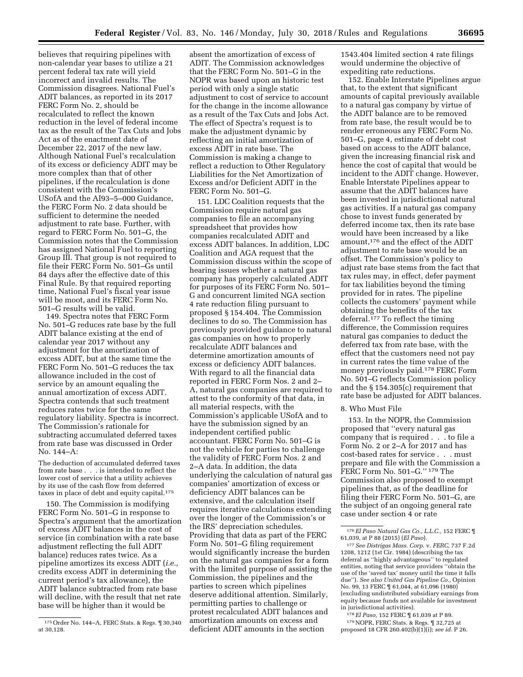believes that requiring pipelines with non-calendar year bases to utilize a 21 percent federal tax rate will yield incorrect and invalid results. The Commission disagrees. National Fuel's ADIT balances, as reported in its 2017 FERC Form No. 2, should be recalculated to reflect the known reduction in the level of federal income tax as the result of the Tax Cuts and Jobs Act as of the enactment date of December 22, 2017 of the new law. Although National Fuel's recalculation of its excess or deficiency ADIT may be more complex than that of other pipelines, if the recalculation is done consistent with the Commission's USofA and the AI93–5–000 Guidance, the FERC Form No. 2 data should be sufficient to determine the needed adjustment to rate base. Further, with regard to FERC Form No. 501–G, the Commission notes that the Commission has assigned National Fuel to reporting Group III. That group is not required to file their FERC Form No. 501–Gs until 84 days after the effective date of this Final Rule. By that required reporting time, National Fuel's fiscal year issue will be moot, and its FERC Form No. 501–G results will be valid.

149. Spectra notes that FERC Form No. 501–G reduces rate base by the full ADIT balance existing at the end of calendar year 2017 without any adiustment for the amortization of excess ADIT, but at the same time the FERC Form No. 501–G reduces the tax allowance included in the cost of service by an amount equaling the annual amortization of excess ADIT. Spectra contends that such treatment reduces rates twice for the same regulatory liability. Spectra is incorrect. The Commission's rationale for subtracting accumulated deferred taxes from rate base was discussed in Order No. 144–A:

The deduction of accumulated deferred taxes from rate base . . . is intended to reflect the lower cost of service that a utility achieves by its use of the cash flow from deferred taxes in place of debt and equity capital.175

150. The Commission is modifying FERC Form No. 501–G in response to Spectra's argument that the amortization of excess ADIT balances in the cost of service (in combination with a rate base adjustment reflecting the full ADIT balance) reduces rates twice. As a pipeline amortizes its excess ADIT (*i.e.,*  credits excess ADIT in determining the current period's tax allowance), the ADIT balance subtracted from rate base will decline, with the result that net rate base will be higher than it would be

absent the amortization of excess of ADIT. The Commission acknowledges that the FERC Form No. 501–G in the NOPR was based upon an historic test period with only a single static adjustment to cost of service to account for the change in the income allowance as a result of the Tax Cuts and Jobs Act. The effect of Spectra's request is to make the adjustment dynamic by reflecting an initial amortization of excess ADIT in rate base. The Commission is making a change to reflect a reduction to Other Regulatory Liabilities for the Net Amortization of Excess and/or Deficient ADIT in the FERC Form No. 501–G.

151. LDC Coalition requests that the Commission require natural gas companies to file an accompanying spreadsheet that provides how companies recalculated ADIT and excess ADIT balances. In addition, LDC Coalition and AGA request that the Commission discuss within the scope of hearing issues whether a natural gas company has properly calculated ADIT for purposes of its FERC Form No. 501– G and concurrent limited NGA section 4 rate reduction filing pursuant to proposed § 154.404. The Commission declines to do so. The Commission has previously provided guidance to natural gas companies on how to properly recalculate ADIT balances and determine amortization amounts of excess or deficiency ADIT balances. With regard to all the financial data reported in FERC Form Nos. 2 and 2– A, natural gas companies are required to attest to the conformity of that data, in all material respects, with the Commission's applicable USofA and to have the submission signed by an independent certified public accountant. FERC Form No. 501–G is not the vehicle for parties to challenge the validity of FERC Form Nos. 2 and 2–A data. In addition, the data underlying the calculation of natural gas companies' amortization of excess or deficiency ADIT balances can be extensive, and the calculation itself requires iterative calculations extending over the longer of the Commission's or the IRS' depreciation schedules. Providing that data as part of the FERC Form No. 501–G filing requirement would significantly increase the burden on the natural gas companies for a form with the limited purpose of assisting the Commission, the pipelines and the parties to screen which pipelines deserve additional attention. Similarly, permitting parties to challenge or protest recalculated ADIT balances and amortization amounts on excess and deficient ADIT amounts in the section

1543.404 limited section 4 rate filings would undermine the objective of expediting rate reductions.

152. Enable Interstate Pipelines argue that, to the extent that significant amounts of capital previously available to a natural gas company by virtue of the ADIT balance are to be removed from rate base, the result would be to render erroneous any FERC Form No. 501–G, page 4, estimate of debt cost based on access to the ADIT balance, given the increasing financial risk and hence the cost of capital that would be incident to the ADIT change. However, Enable Interstate Pipelines appear to assume that the ADIT balances have been invested in jurisdictional natural gas activities. If a natural gas company chose to invest funds generated by deferred income tax, then its rate base would have been increased by a like amount,176 and the effect of the ADIT adjustment to rate base would be an offset. The Commission's policy to adjust rate base stems from the fact that tax rules may, in effect, defer payment for tax liabilities beyond the timing provided for in rates. The pipeline collects the customers' payment while obtaining the benefits of the tax deferral.<sup>177</sup> To reflect the timing difference, the Commission requires natural gas companies to deduct the deferred tax from rate base, with the effect that the customers need not pay in current rates the time value of the money previously paid.178 FERC Form No. 501–G reflects Commission policy and the § 154.305(c) requirement that rate base be adjusted for ADIT balances.

## 8. Who Must File

153. In the NOPR, the Commission proposed that ''every natural gas company that is required . . . to file a Form No. 2 or 2–A for 2017 and has cost-based rates for service . . . must prepare and file with the Commission a FERC Form No. 501–G.'' 179 The Commission also proposed to exempt pipelines that, as of the deadline for filing their FERC Form No. 501–G, are the subject of an ongoing general rate case under section 4 or rate

178*El Paso,* 152 FERC ¶ 61,039 at P 89. 179NOPR, FERC Stats. & Regs. ¶ 32,725 at proposed 18 CFR 260.402(b)(1)(i); *see id.* P 26.

<sup>175</sup>Order No. 144–A, FERC Stats. & Regs. ¶ 30,340 at 30,128.

<sup>176</sup>*El Paso Natural Gas Co., L.L.C.,* 152 FERC ¶ 61,039, at P 88 (2015) (*El Paso*).

<sup>177</sup>*See Distrigas Mass. Corp.* v. *FERC,* 737 F.2d 1208, 1212 (1st Cir. 1984) (describing the tax deferral as ''highly advantageous'' to regulated entities, noting that service providers ''obtain the use of the 'saved tax' money until the time it falls due''). *See also United Gas Pipeline Co.,* Opinion No. 99, 13 FERC ¶ 61,044, at 61,096 (1980) (excluding undistributed subsidiary earnings from equity because funds not available for investment in jurisdictional activities).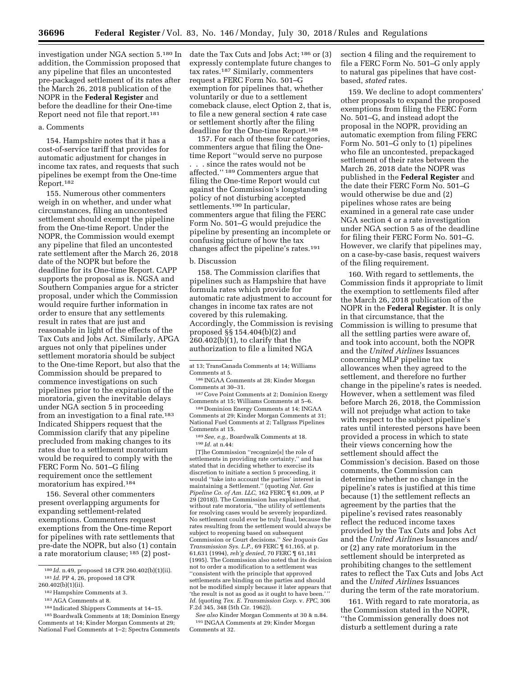investigation under NGA section 5.180 In addition, the Commission proposed that any pipeline that files an uncontested pre-packaged settlement of its rates after the March 26, 2018 publication of the NOPR in the **Federal Register** and before the deadline for their One-time Report need not file that report.181

## a. Comments

154. Hampshire notes that it has a cost-of-service tariff that provides for automatic adjustment for changes in income tax rates, and requests that such pipelines be exempt from the One-time Report.182

155. Numerous other commenters weigh in on whether, and under what circumstances, filing an uncontested settlement should exempt the pipeline from the One-time Report. Under the NOPR, the Commission would exempt any pipeline that filed an uncontested rate settlement after the March 26, 2018 date of the NOPR but before the deadline for its One-time Report. CAPP supports the proposal as is. NGSA and Southern Companies argue for a stricter proposal, under which the Commission would require further information in order to ensure that any settlements result in rates that are just and reasonable in light of the effects of the Tax Cuts and Jobs Act. Similarly, APGA argues not only that pipelines under settlement moratoria should be subject to the One-time Report, but also that the Commission should be prepared to commence investigations on such pipelines prior to the expiration of the moratoria, given the inevitable delays under NGA section 5 in proceeding from an investigation to a final rate.<sup>183</sup> Indicated Shippers request that the Commission clarify that any pipeline precluded from making changes to its rates due to a settlement moratorium would be required to comply with the FERC Form No. 501–G filing requirement once the settlement moratorium has expired.184

156. Several other commenters present overlapping arguments for expanding settlement-related exemptions. Commenters request exemptions from the One-time Report for pipelines with rate settlements that pre-date the NOPR, but also (1) contain a rate moratorium clause; 185 (2) postdate the Tax Cuts and Jobs Act; 186 or (3) expressly contemplate future changes to tax rates.187 Similarly, commenters request a FERC Form No. 501–G exemption for pipelines that, whether voluntarily or due to a settlement comeback clause, elect Option 2, that is, to file a new general section 4 rate case or settlement shortly after the filing deadline for the One-time Report.<sup>188</sup>

157. For each of these four categories, commenters argue that filing the Onetime Report ''would serve no purpose . . . since the rates would not be affected.'' 189 Commenters argue that filing the One-time Report would cut against the Commission's longstanding policy of not disturbing accepted settlements.190 In particular, commenters argue that filing the FERC Form No. 501–G would prejudice the pipeline by presenting an incomplete or confusing picture of how the tax changes affect the pipeline's rates.191

#### b. Discussion

158. The Commission clarifies that pipelines such as Hampshire that have formula rates which provide for automatic rate adjustment to account for changes in income tax rates are not covered by this rulemaking. Accordingly, the Commission is revising proposed §§ 154.404(b)(2) and  $260.402(b)(1)$ , to clarify that the authorization to file a limited NGA

186 INGAA Comments at 28; Kinder Morgan Comments at 30–31.

187Cove Point Comments at 2; Dominion Energy Comments at 15; Williams Comments at 5–6.

188 Dominion Energy Comments at 14; INGAA Comments at 29; Kinder Morgan Comments at 31; National Fuel Comments at 2; Tallgrass Pipelines Comments at 15.

189*See, e.g.,* Boardwalk Comments at 18. 190 *Id.* at n.44:

[T]he Commission ''recognize[s] the role of settlements in providing rate certainty,'' and has stated that in deciding whether to exercise its discretion to initiate a section 5 proceeding, it would ''take into account the parties' interest in maintaining a Settlement.'' (quoting *Nat. Gas Pipeline Co. of Am. LLC,* 162 FERC ¶ 61,009, at P 29 (2018)). The Commission has explained that, without rate moratoria, ''the utility of settlements for resolving cases would be severely jeopardized. No settlement could ever be truly final, because the rates resulting from the settlement would always be subject to reopening based on subsequent Commission or Court decisions.'' *See Iroquois Gas Transmission Sys. L.P.,* 69 FERC ¶ 61,165, at p. 61,631 (1994), *reh'g denied,* 70 FERC ¶ 61,181 (1995). The Commission also noted that its decision not to order a modification to a settlement was ''consistent with the principle that approved settlements are binding on the parties and should not be modified simply because it later appears that 'the result is not as good as it ought to have been.' '' *Id.* (quoting *Tex. E. Transmission Corp.* v. *FPC,* 306 F.2d 345, 348 (5th Cir. 1962)).

*See also* Kinder Morgan Comments at 30 & n.84. 191 INGAA Comments at 29; Kinder Morgan Comments at 32.

section 4 filing and the requirement to file a FERC Form No. 501–G only apply to natural gas pipelines that have costbased, *stated* rates.

159. We decline to adopt commenters' other proposals to expand the proposed exemptions from filing the FERC Form No. 501–G, and instead adopt the proposal in the NOPR, providing an automatic exemption from filing FERC Form No. 501–G only to (1) pipelines who file an uncontested, prepackaged settlement of their rates between the March 26, 2018 date the NOPR was published in the **Federal Register** and the date their FERC Form No. 501–G would otherwise be due and (2) pipelines whose rates are being examined in a general rate case under NGA section 4 or a rate investigation under NGA section 5 as of the deadline for filing their FERC Form No. 501–G. However, we clarify that pipelines may, on a case-by-case basis, request waivers of the filing requirement.

160. With regard to settlements, the Commission finds it appropriate to limit the exemption to settlements filed after the March 26, 2018 publication of the NOPR in the **Federal Register**. It is only in that circumstance, that the Commission is willing to presume that all the settling parties were aware of, and took into account, both the NOPR and the *United Airlines* Issuances concerning MLP pipeline tax allowances when they agreed to the settlement, and therefore no further change in the pipeline's rates is needed. However, when a settlement was filed before March 26, 2018, the Commission will not prejudge what action to take with respect to the subject pipeline's rates until interested persons have been provided a process in which to state their views concerning how the settlement should affect the Commission's decision. Based on those comments, the Commission can determine whether no change in the pipeline's rates is justified at this time because (1) the settlement reflects an agreement by the parties that the pipeline's revised rates reasonably reflect the reduced income taxes provided by the Tax Cuts and Jobs Act and the *United Airlines* Issuances and/ or (2) any rate moratorium in the settlement should be interpreted as prohibiting changes to the settlement rates to reflect the Tax Cuts and Jobs Act and the *United Airlines* Issuances during the term of the rate moratorium.

161. With regard to rate moratoria, as the Commission stated in the NOPR, ''the Commission generally does not disturb a settlement during a rate

<sup>180</sup> *Id.* n.49, proposed 18 CFR 260.402(b)(1)(ii). 181 *Id.* PP 4, 26, proposed 18 CFR

<sup>260.402(</sup>b)(1)(ii).

<sup>182</sup>Hampshire Comments at 3.

<sup>183</sup>AGA Comments at 8.

<sup>184</sup> Indicated Shippers Comments at 14–15.

<sup>185</sup> Boardwalk Comments at 18; Dominion Energy Comments at 14; Kinder Morgan Comments at 29; National Fuel Comments at 1–2; Spectra Comments

at 13; TransCanada Comments at 14; Williams Comments at 5.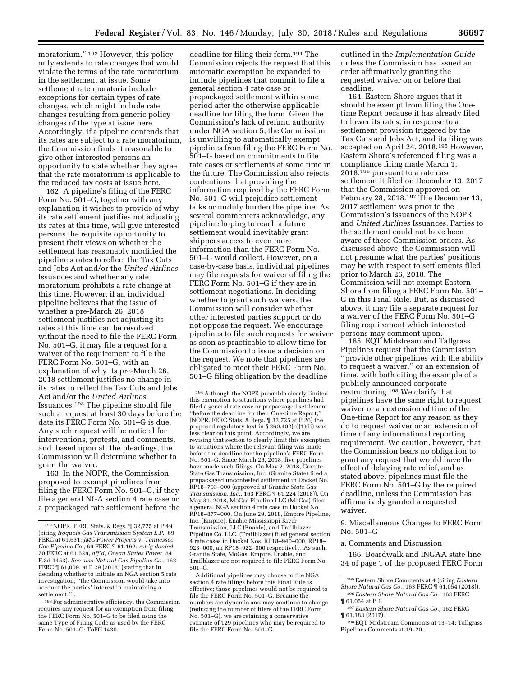moratorium.'' 192 However, this policy only extends to rate changes that would violate the terms of the rate moratorium in the settlement at issue. Some settlement rate moratoria include exceptions for certain types of rate changes, which might include rate changes resulting from generic policy changes of the type at issue here. Accordingly, if a pipeline contends that its rates are subject to a rate moratorium, the Commission finds it reasonable to give other interested persons an opportunity to state whether they agree that the rate moratorium is applicable to the reduced tax costs at issue here.

162. A pipeline's filing of the FERC Form No. 501–G, together with any explanation it wishes to provide of why its rate settlement justifies not adjusting its rates at this time, will give interested persons the requisite opportunity to present their views on whether the settlement has reasonably modified the pipeline's rates to reflect the Tax Cuts and Jobs Act and/or the *United Airlines*  Issuances and whether any rate moratorium prohibits a rate change at this time. However, if an individual pipeline believes that the issue of whether a pre-March 26, 2018 settlement justifies not adjusting its rates at this time can be resolved without the need to file the FERC Form No. 501–G, it may file a request for a waiver of the requirement to file the FERC Form No. 501–G, with an explanation of why its pre-March 26, 2018 settlement justifies no change in its rates to reflect the Tax Cuts and Jobs Act and/or the *United Airlines*  Issuances.193 The pipeline should file such a request at least 30 days before the date its FERC Form No. 501–G is due. Any such request will be noticed for interventions, protests, and comments, and, based upon all the pleadings, the Commission will determine whether to grant the waiver.

163. In the NOPR, the Commission proposed to exempt pipelines from filing the FERC Form No. 501–G, if they file a general NGA section 4 rate case or a prepackaged rate settlement before the

deadline for filing their form.194 The Commission rejects the request that this automatic exemption be expanded to include pipelines that commit to file a general section 4 rate case or prepackaged settlement within some period after the otherwise applicable deadline for filing the form. Given the Commission's lack of refund authority under NGA section 5, the Commission is unwilling to automatically exempt pipelines from filing the FERC Form No. 501–G based on commitments to file rate cases or settlements at some time in the future. The Commission also rejects contentions that providing the information required by the FERC Form No. 501–G will prejudice settlement talks or unduly burden the pipeline. As several commenters acknowledge, any pipeline hoping to reach a future settlement would inevitably grant shippers access to even more information than the FERC Form No. 501–G would collect. However, on a case-by-case basis, individual pipelines may file requests for waiver of filing the FERC Form No. 501–G if they are in settlement negotiations. In deciding whether to grant such waivers, the Commission will consider whether other interested parties support or do not oppose the request. We encourage pipelines to file such requests for waiver as soon as practicable to allow time for the Commission to issue a decision on the request. We note that pipelines are obligated to meet their FERC Form No. 501–G filing obligation by the deadline

Additional pipelines may choose to file NGA section 4 rate filings before this Final Rule is effective; those pipelines would not be required to file the FERC Form No. 501–G. Because the numbers are dynamic and may continue to change (reducing the number of filers of the FERC Form No. 501–G), we are retaining a conservative estimate of 129 pipelines who may be required to file the FERC Form No. 501–G.

outlined in the *Implementation Guide*  unless the Commission has issued an order affirmatively granting the requested waiver on or before that deadline.

164. Eastern Shore argues that it should be exempt from filing the Onetime Report because it has already filed to lower its rates, in response to a settlement provision triggered by the Tax Cuts and Jobs Act, and its filing was accepted on April 24, 2018.195 However, Eastern Shore's referenced filing was a compliance filing made March 1,  $2018,196$  pursuant to a rate case settlement it filed on December 13, 2017 that the Commission approved on February 28, 2018.197 The December 13, 2017 settlement was prior to the Commission's issuances of the NOPR and *United Airlines* Issuances. Parties to the settlement could not have been aware of these Commission orders. As discussed above, the Commission will not presume what the parties' positions may be with respect to settlements filed prior to March 26, 2018. The Commission will not exempt Eastern Shore from filing a FERC Form No. 501– G in this Final Rule. But, as discussed above, it may file a separate request for a waiver of the FERC Form No. 501–G filing requirement which interested persons may comment upon.

165. EQT Midstream and Tallgrass Pipelines request that the Commission ''provide other pipelines with the ability to request a waiver,'' or an extension of time, with both citing the example of a publicly announced corporate restructuring.198 We clarify that pipelines have the same right to request waiver or an extension of time of the One-time Report for any reason as they do to request waiver or an extension of time of any informational reporting requirement. We caution, however, that the Commission bears no obligation to grant any request that would have the effect of delaying rate relief, and as stated above, pipelines must file the FERC Form No. 501–G by the required deadline, unless the Commission has affirmatively granted a requested waiver.

9. Miscellaneous Changes to FERC Form No. 501–G

#### a. Comments and Discussion

166. Boardwalk and INGAA state line 34 of page 1 of the proposed FERC Form

<sup>192</sup>NOPR, FERC Stats. & Regs. ¶ 32,725 at P 49 (citing *Iroquois Gas Transmission System L.P.,* 69 FERC at 61,631; *JMC Power Projects* v. *Tennessee Gas Pipeline Co.,* 69 FERC ¶ 61,162, *reh'g denied,*  70 FERC at 61,528, *aff'd, Ocean States Power,* 84 F.3d 1453). *See also Natural Gas Pipeline Co.,* 162 FERC ¶ 61,009, at P 29 (2018) (stating that in deciding whether to initiate an NGA section 5 rate investigation, ''the Commission would take into account the parties' interest in maintaining a settlement.'').

<sup>193</sup>For administrative efficiency, the Commission requires any request for an exemption from filing the FERC Form No. 501–G to be filed using the same Type of Filing Code as used by the FERC Form No. 501–G: ToFC 1430.

<sup>194</sup>Although the NOPR preamble clearly limited this exemption to situations where pipelines had filed a general rate case or prepackaged settlement ''before the deadline for their One-time Report,'' (NOPR, FERC Stats. & Regs.  $\frac{1}{2}$  32,725 at P 26) the proposed regulatory text in  $\frac{8}{9}$  260.402(b)(1)(ii) was less clear on this point. Accordingly, we are revising that section to clearly limit this exemption to situations where the relevant filing was made before the deadline for the pipeline's FERC Form No. 501–G. Since March 26, 2018, five pipelines have made such filings. On May 2, 2018, Granite State Gas Transmission, Inc. (Granite State) filed a prepackaged uncontested settlement in Docket No. RP18–793–000 (approved at *Granite State Gas Transmission, Inc.,* 163 FERC ¶ 61,224 (2018)). On May 31, 2018, MoGas Pipeline LLC (MoGas) filed a general NGA section 4 rate case in Docket No. RP18–877–000. On June 29, 2018, Empire Pipeline, Inc. (Empire), Enable Mississippi River Transmission, LLC (Enable), and Trailblazer Pipeline Co. LLC, (Trailblazer) filed general section 4 rate cases in Docket Nos. RP18–940–000, RP18– 923–000, an RP18–922–000 respectively. As such, Granite State, MoGas, Empire, Enable, and Trailblazer are not required to file FERC Form No. 501–G.

<sup>195</sup>Eastern Shore Comments at 4 (citing *Eastern Shore Natural Gas Co.,* 163 FERC ¶ 61,054 (2018)). 196*Eastern Shore Natural Gas Co.,* 163 FERC

<sup>¶ 61,054</sup> at P 1. 197*Eastern Shore Natural Gas Co.,* 162 FERC

<sup>198</sup> EQT Midstream Comments at 13-14; Tallgrass Pipelines Comments at 19–20.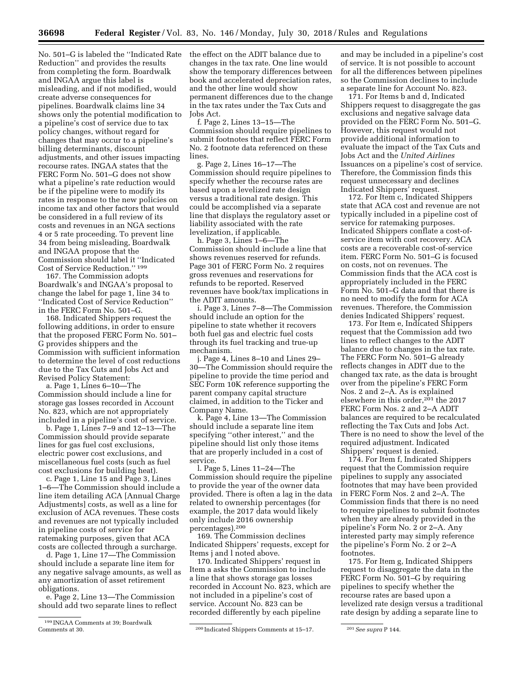No. 501–G is labeled the ''Indicated Rate Reduction'' and provides the results from completing the form. Boardwalk and INGAA argue this label is misleading, and if not modified, would create adverse consequences for pipelines. Boardwalk claims line 34 shows only the potential modification to a pipeline's cost of service due to tax policy changes, without regard for changes that may occur to a pipeline's billing determinants, discount adjustments, and other issues impacting recourse rates. INGAA states that the FERC Form No. 501–G does not show what a pipeline's rate reduction would be if the pipeline were to modify its rates in response to the new policies on income tax and other factors that would be considered in a full review of its costs and revenues in an NGA sections 4 or 5 rate proceeding. To prevent line 34 from being misleading, Boardwalk and INGAA propose that the Commission should label it ''Indicated Cost of Service Reduction.'' 199

167. The Commission adopts Boardwalk's and INGAA's proposal to change the label for page 1, line 34 to ''Indicated Cost of Service Reduction'' in the FERC Form No. 501–G.

168. Indicated Shippers request the following additions, in order to ensure that the proposed FERC Form No. 501– G provides shippers and the Commission with sufficient information to determine the level of cost reductions due to the Tax Cuts and Jobs Act and Revised Policy Statement:

a. Page 1, Lines 6–10—The Commission should include a line for storage gas losses recorded in Account No. 823, which are not appropriately included in a pipeline's cost of service.

b. Page 1, Lines 7–9 and 12–13—The Commission should provide separate lines for gas fuel cost exclusions, electric power cost exclusions, and miscellaneous fuel costs (such as fuel cost exclusions for building heat).

c. Page 1, Line 15 and Page 3, Lines 1–6—The Commission should include a line item detailing ACA [Annual Charge Adjustments] costs, as well as a line for exclusion of ACA revenues. These costs and revenues are not typically included in pipeline costs of service for ratemaking purposes, given that ACA costs are collected through a surcharge.

d. Page 1, Line 17—The Commission should include a separate line item for any negative salvage amounts, as well as any amortization of asset retirement obligations.

e. Page 2, Line 13—The Commission should add two separate lines to reflect the effect on the ADIT balance due to changes in the tax rate. One line would show the temporary differences between book and accelerated depreciation rates, and the other line would show permanent differences due to the change in the tax rates under the Tax Cuts and Jobs Act.

f. Page 2, Lines 13–15—The Commission should require pipelines to submit footnotes that reflect FERC Form No. 2 footnote data referenced on these lines.

g. Page 2, Lines 16–17—The Commission should require pipelines to specify whether the recourse rates are based upon a levelized rate design versus a traditional rate design. This could be accomplished via a separate line that displays the regulatory asset or liability associated with the rate levelization, if applicable.

h. Page 3, Lines 1–6—The Commission should include a line that shows revenues reserved for refunds. Page 301 of FERC Form No. 2 requires gross revenues and reservations for refunds to be reported. Reserved revenues have book/tax implications in the ADIT amounts.

i. Page 3, Lines 7–8—The Commission should include an option for the pipeline to state whether it recovers both fuel gas and electric fuel costs through its fuel tracking and true-up mechanism.

j. Page 4, Lines 8–10 and Lines 29– 30—The Commission should require the pipeline to provide the time period and SEC Form 10K reference supporting the parent company capital structure claimed, in addition to the Ticker and Company Name.

k. Page 4, Line 13—The Commission should include a separate line item specifying ''other interest,'' and the pipeline should list only those items that are properly included in a cost of service.

l. Page 5, Lines 11–24—The Commission should require the pipeline to provide the year of the owner data provided. There is often a lag in the data related to ownership percentages (for example, the 2017 data would likely only include 2016 ownership percentages).200

169. The Commission declines Indicated Shippers' requests, except for Items j and l noted above.

170. Indicated Shippers' request in Item a asks the Commission to include a line that shows storage gas losses recorded in Account No. 823, which are not included in a pipeline's cost of service. Account No. 823 can be recorded differently by each pipeline

and may be included in a pipeline's cost of service. It is not possible to account for all the differences between pipelines so the Commission declines to include a separate line for Account No. 823.

171. For Items b and d, Indicated Shippers request to disaggregate the gas exclusions and negative salvage data provided on the FERC Form No. 501–G. However, this request would not provide additional information to evaluate the impact of the Tax Cuts and Jobs Act and the *United Airlines*  Issuances on a pipeline's cost of service. Therefore, the Commission finds this request unnecessary and declines Indicated Shippers' request.

172. For Item c, Indicated Shippers state that ACA cost and revenue are not typically included in a pipeline cost of service for ratemaking purposes. Indicated Shippers conflate a cost-ofservice item with cost recovery. ACA costs are a recoverable cost-of-service item. FERC Form No. 501–G is focused on costs, not on revenues. The Commission finds that the ACA cost is appropriately included in the FERC Form No. 501–G data and that there is no need to modify the form for ACA revenues. Therefore, the Commission denies Indicated Shippers' request.

173. For Item e, Indicated Shippers request that the Commission add two lines to reflect changes to the ADIT balance due to changes in the tax rate. The FERC Form No. 501–G already reflects changes in ADIT due to the changed tax rate, as the data is brought over from the pipeline's FERC Form Nos. 2 and 2–A. As is explained elsewhere in this order, $2^{01}$  the 2017 FERC Form Nos. 2 and 2–A ADIT balances are required to be recalculated reflecting the Tax Cuts and Jobs Act. There is no need to show the level of the required adjustment. Indicated Shippers' request is denied.

174. For Item f, Indicated Shippers request that the Commission require pipelines to supply any associated footnotes that may have been provided in FERC Form Nos. 2 and 2–A. The Commission finds that there is no need to require pipelines to submit footnotes when they are already provided in the pipeline's Form No. 2 or 2–A. Any interested party may simply reference the pipeline's Form No. 2 or 2–A footnotes.

175. For Item g, Indicated Shippers request to disaggregate the data in the FERC Form No. 501–G by requiring pipelines to specify whether the recourse rates are based upon a levelized rate design versus a traditional rate design by adding a separate line to

<sup>&</sup>lt;sup>199</sup> INGAA Comments at 39; Boardwalk<br>Comments at 30.

Comments at 30. 200 Indicated Shippers Comments at 15–17. 201*See supra* P 144.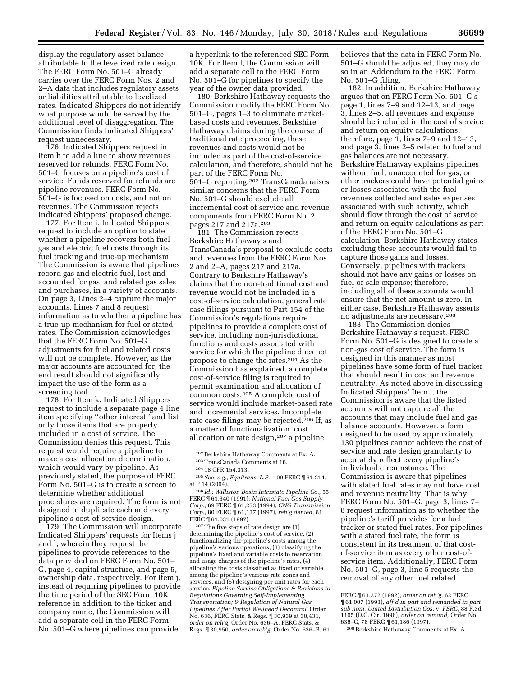display the regulatory asset balance attributable to the levelized rate design. The FERC Form No. 501–G already carries over the FERC Form Nos. 2 and 2–A data that includes regulatory assets or liabilities attributable to levelized rates. Indicated Shippers do not identify what purpose would be served by the additional level of disaggregation. The Commission finds Indicated Shippers' request unnecessary.

176. Indicated Shippers request in Item h to add a line to show revenues reserved for refunds. FERC Form No. 501–G focuses on a pipeline's cost of service. Funds reserved for refunds are pipeline revenues. FERC Form No. 501–G is focused on costs, and not on revenues. The Commission rejects Indicated Shippers' proposed change.

177. For Item i, Indicated Shippers request to include an option to state whether a pipeline recovers both fuel gas and electric fuel costs through its fuel tracking and true-up mechanism. The Commission is aware that pipelines record gas and electric fuel, lost and accounted for gas, and related gas sales and purchases, in a variety of accounts. On page 3, Lines 2–4 capture the major accounts. Lines 7 and 8 request information as to whether a pipeline has a true-up mechanism for fuel or stated rates. The Commission acknowledges that the FERC Form No. 501–G adjustments for fuel and related costs will not be complete. However, as the major accounts are accounted for, the end result should not significantly impact the use of the form as a screening tool.

178. For Item k, Indicated Shippers request to include a separate page 4 line item specifying ''other interest'' and list only those items that are properly included in a cost of service. The Commission denies this request. This request would require a pipeline to make a cost allocation determination, which would vary by pipeline. As previously stated, the purpose of FERC Form No. 501–G is to create a screen to determine whether additional procedures are required. The form is not designed to duplicate each and every pipeline's cost-of-service design.

179. The Commission will incorporate Indicated Shippers' requests for Items j and l, wherein they request the pipelines to provide references to the data provided on FERC Form No. 501– G, page 4, capital structure, and page 5, ownership data, respectively. For Item j, instead of requiring pipelines to provide the time period of the SEC Form 10K reference in addition to the ticker and company name, the Commission will add a separate cell in the FERC Form No. 501–G where pipelines can provide

a hyperlink to the referenced SEC Form 10K. For Item l, the Commission will add a separate cell to the FERC Form No. 501–G for pipelines to specify the year of the owner data provided.

180. Berkshire Hathaway requests the Commission modify the FERC Form No. 501–G, pages 1–3 to eliminate marketbased costs and revenues. Berkshire Hathaway claims during the course of traditional rate proceeding, these revenues and costs would not be included as part of the cost-of-service calculation, and therefore, should not be part of the FERC Form No. 501–G reporting.202 TransCanada raises similar concerns that the FERC Form No. 501–G should exclude all incremental cost of service and revenue components from FERC Form No. 2 pages 217 and 217a.203

181. The Commission rejects Berkshire Hathaway's and TransCanada's proposal to exclude costs and revenues from the FERC Form Nos. 2 and 2–A, pages 217 and 217a. Contrary to Berkshire Hathaway's claims that the non-traditional cost and revenue would not be included in a cost-of-service calculation, general rate case filings pursuant to Part 154 of the Commission's regulations require pipelines to provide a complete cost of service, including non-jurisdictional functions and costs associated with service for which the pipeline does not propose to change the rates.204 As the Commission has explained, a complete cost-of-service filing is required to permit examination and allocation of common costs.205 A complete cost of service would include market-based rate and incremental services. Incomplete rate case filings may be rejected.206 If, as a matter of functionalization, cost allocation or rate design,207 a pipeline

207The five steps of rate design are (1) determining the pipeline's cost of service, (2) functionalizing the pipeline's costs among the pipeline's various operations, (3) classifying the pipeline's fixed and variable costs to reservation and usage charges of the pipeline's rates, (4) allocating the costs classified as fixed or variable among the pipeline's various rate zones and services, and (5) designing per unit rates for each service. *Pipeline Service Obligations & Revisions to Regulations Governing Self-Implementing Transportation; & Regulation of Natural Gas Pipelines After Partial Wellhead Decontrol,* Order No. 636, FERC Stats. & Regs. ¶ 30,939 at 30,431, *order on reh'g,* Order No. 636–A, FERC Stats. & Regs. ¶ 30,950, *order on reh'g,* Order No. 636–B, 61

believes that the data in FERC Form No. 501–G should be adjusted, they may do so in an Addendum to the FERC Form No. 501–G filing.

182. In addition, Berkshire Hathaway argues that on FERC Form No. 501–G's page 1, lines 7–9 and 12–13, and page 3, lines 2–5, all revenues and expense should be included in the cost of service and return on equity calculations; therefore, page 1, lines 7–9 and 12–13, and page 3, lines 2–5 related to fuel and gas balances are not necessary. Berkshire Hathaway explains pipelines without fuel, unaccounted for gas, or other trackers could have potential gains or losses associated with the fuel revenues collected and sales expenses associated with such activity, which should flow through the cost of service and return on equity calculations as part of the FERC Form No. 501–G calculation. Berkshire Hathaway states excluding these accounts would fail to capture those gains and losses. Conversely, pipelines with trackers should not have any gains or losses on fuel or sale expense; therefore, including all of these accounts would ensure that the net amount is zero. In either case, Berkshire Hathaway asserts no adjustments are necessary.208

183. The Commission denies Berkshire Hathaway's request. FERC Form No. 501–G is designed to create a non-gas cost of service. The form is designed in this manner as most pipelines have some form of fuel tracker that should result in cost and revenue neutrality. As noted above in discussing Indicated Shippers' Item i, the Commission is aware that the listed accounts will not capture all the accounts that may include fuel and gas balance accounts. However, a form designed to be used by approximately 130 pipelines cannot achieve the cost of service and rate design granularity to accurately reflect every pipeline's individual circumstance. The Commission is aware that pipelines with stated fuel rates may not have cost and revenue neutrality. That is why FERC Form No. 501–G, page 3, lines 7– 8 request information as to whether the pipeline's tariff provides for a fuel tracker or stated fuel rates. For pipelines with a stated fuel rate, the form is consistent in its treatment of that costof-service item as every other cost-ofservice item. Additionally, FERC Form No. 501–G, page 3, line 5 requests the removal of any other fuel related

<sup>202</sup>Berkshire Hathaway Comments at Ex. A.

<sup>203</sup>TransCanada Comments at 16.

<sup>204</sup> 18 CFR 154.313.

<sup>205</sup>*See, e.g., Equitrans, L.P.,* 109 FERC ¶ 61,214, at P 14 (2004).

<sup>206</sup> *Id.; Williston Basin Interstate Pipeline Co.,* 55 FERC ¶ 61,340 (1991); *National Fuel Gas Supply Corp.,* 69 FERC ¶ 61,253 (1994); *CNG Transmission Corp.,* 80 FERC ¶ 61,137 (1997), *reh'g denied,* 81 FERC ¶ 61,031 (1997).

FERC ¶ 61,272 (1992), *order on reh'g,* 62 FERC ¶ 61,007 (1993), *aff'd in part and remanded in part sub nom. United Distribution Cos.* v. *FERC,* 88 F.3d 1105 (D.C. Cir. 1996), *order on remand,* Order No. 636–C, 78 FERC ¶ 61,186 (1997).

<sup>208</sup>Berkshire Hathaway Comments at Ex. A.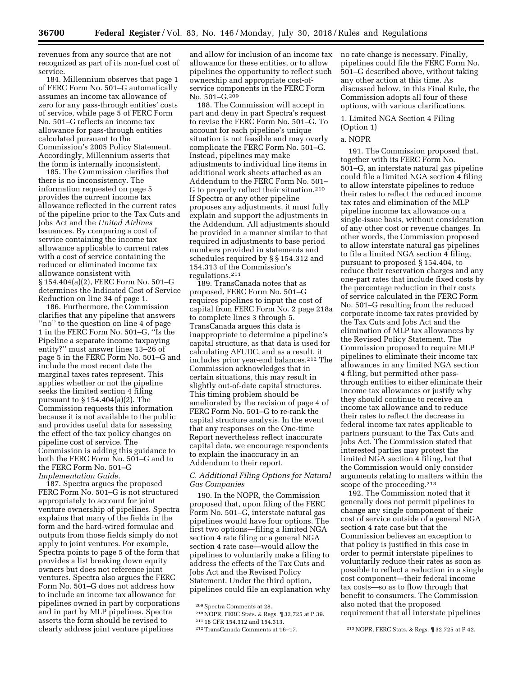revenues from any source that are not recognized as part of its non-fuel cost of service.

184. Millennium observes that page 1 of FERC Form No. 501–G automatically assumes an income tax allowance of zero for any pass-through entities' costs of service, while page 5 of FERC Form No. 501–G reflects an income tax allowance for pass-through entities calculated pursuant to the Commission's 2005 Policy Statement. Accordingly, Millennium asserts that the form is internally inconsistent.

185. The Commission clarifies that there is no inconsistency. The information requested on page 5 provides the current income tax allowance reflected in the current rates of the pipeline prior to the Tax Cuts and Jobs Act and the *United Airlines*  Issuances. By comparing a cost of service containing the income tax allowance applicable to current rates with a cost of service containing the reduced or eliminated income tax allowance consistent with § 154.404(a)(2), FERC Form No. 501–G determines the Indicated Cost of Service Reduction on line 34 of page 1.

186. Furthermore, the Commission clarifies that any pipeline that answers ''no'' to the question on line 4 of page 1 in the FERC Form No. 501–G, ''Is the Pipeline a separate income taxpaying entity?'' must answer lines 13–26 of page 5 in the FERC Form No. 501–G and include the most recent date the marginal taxes rates represent. This applies whether or not the pipeline seeks the limited section 4 filing pursuant to § 154.404(a)(2). The Commission requests this information because it is not available to the public and provides useful data for assessing the effect of the tax policy changes on pipeline cost of service. The Commission is adding this guidance to both the FERC Form No. 501–G and to the FERC Form No. 501–G *Implementation Guide.* 

187. Spectra argues the proposed FERC Form No. 501–G is not structured appropriately to account for joint venture ownership of pipelines. Spectra explains that many of the fields in the form and the hard-wired formulae and outputs from those fields simply do not apply to joint ventures. For example, Spectra points to page 5 of the form that provides a list breaking down equity owners but does not reference joint ventures. Spectra also argues the FERC Form No. 501–G does not address how to include an income tax allowance for pipelines owned in part by corporations and in part by MLP pipelines. Spectra asserts the form should be revised to clearly address joint venture pipelines

and allow for inclusion of an income tax allowance for these entities, or to allow pipelines the opportunity to reflect such ownership and appropriate cost-ofservice components in the FERC Form No. 501–G.209

188. The Commission will accept in part and deny in part Spectra's request to revise the FERC Form No. 501–G. To account for each pipeline's unique situation is not feasible and may overly complicate the FERC Form No. 501–G. Instead, pipelines may make adjustments to individual line items in additional work sheets attached as an Addendum to the FERC Form No. 501– G to properly reflect their situation.210 If Spectra or any other pipeline proposes any adjustments, it must fully explain and support the adjustments in the Addendum. All adjustments should be provided in a manner similar to that required in adjustments to base period numbers provided in statements and schedules required by § § 154.312 and 154.313 of the Commission's regulations.211

189. TransCanada notes that as proposed, FERC Form No. 501–G requires pipelines to input the cost of capital from FERC Form No. 2 page 218a to complete lines 3 through 5. TransCanada argues this data is inappropriate to determine a pipeline's capital structure, as that data is used for calculating AFUDC, and as a result, it includes prior year-end balances.212 The Commission acknowledges that in certain situations, this may result in slightly out-of-date capital structures. This timing problem should be ameliorated by the revision of page 4 of FERC Form No. 501–G to re-rank the capital structure analysis. In the event that any responses on the One-time Report nevertheless reflect inaccurate capital data, we encourage respondents to explain the inaccuracy in an Addendum to their report.

# *C. Additional Filing Options for Natural Gas Companies*

190. In the NOPR, the Commission proposed that, upon filing of the FERC Form No. 501–G, interstate natural gas pipelines would have four options. The first two options—filing a limited NGA section 4 rate filing or a general NGA section 4 rate case—would allow the pipelines to voluntarily make a filing to address the effects of the Tax Cuts and Jobs Act and the Revised Policy Statement. Under the third option, pipelines could file an explanation why no rate change is necessary. Finally, pipelines could file the FERC Form No. 501–G described above, without taking any other action at this time. As discussed below, in this Final Rule, the Commission adopts all four of these options, with various clarifications.

## 1. Limited NGA Section 4 Filing (Option 1)

## a. NOPR

191. The Commission proposed that, together with its FERC Form No. 501–G, an interstate natural gas pipeline could file a limited NGA section 4 filing to allow interstate pipelines to reduce their rates to reflect the reduced income tax rates and elimination of the MLP pipeline income tax allowance on a single-issue basis, without consideration of any other cost or revenue changes. In other words, the Commission proposed to allow interstate natural gas pipelines to file a limited NGA section 4 filing, pursuant to proposed § 154.404, to reduce their reservation charges and any one-part rates that include fixed costs by the percentage reduction in their costs of service calculated in the FERC Form No. 501–G resulting from the reduced corporate income tax rates provided by the Tax Cuts and Jobs Act and the elimination of MLP tax allowances by the Revised Policy Statement. The Commission proposed to require MLP pipelines to eliminate their income tax allowances in any limited NGA section 4 filing, but permitted other passthrough entities to either eliminate their income tax allowances or justify why they should continue to receive an income tax allowance and to reduce their rates to reflect the decrease in federal income tax rates applicable to partners pursuant to the Tax Cuts and Jobs Act. The Commission stated that interested parties may protest the limited NGA section 4 filing, but that the Commission would only consider arguments relating to matters within the scope of the proceeding.<sup>213</sup>

192. The Commission noted that it generally does not permit pipelines to change any single component of their cost of service outside of a general NGA section 4 rate case but that the Commission believes an exception to that policy is justified in this case in order to permit interstate pipelines to voluntarily reduce their rates as soon as possible to reflect a reduction in a single cost component—their federal income tax costs—so as to flow through that benefit to consumers. The Commission also noted that the proposed requirement that all interstate pipelines

<sup>209</sup>Spectra Comments at 28.

<sup>210</sup>NOPR, FERC Stats. & Regs. ¶ 32,725 at P 39.

<sup>211</sup> 18 CFR 154.312 and 154.313.

<sup>213</sup> NOPR, FERC Stats. & Regs. ¶ 32,725 at P 42.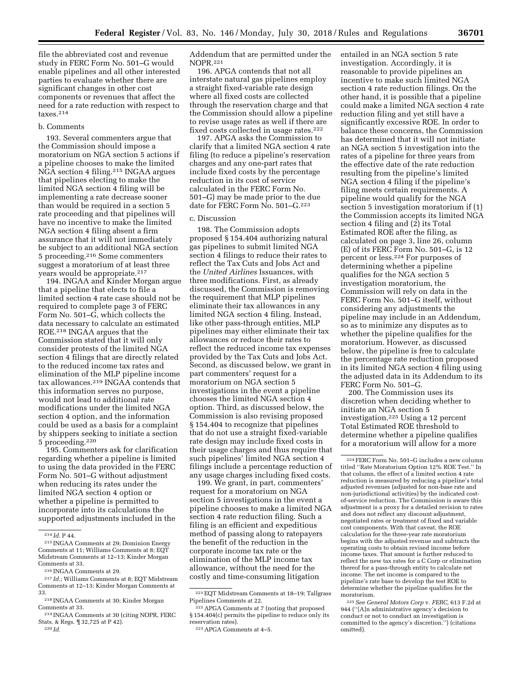file the abbreviated cost and revenue study in FERC Form No. 501–G would enable pipelines and all other interested parties to evaluate whether there are significant changes in other cost components or revenues that affect the need for a rate reduction with respect to taxes.214

#### b. Comments

193. Several commenters argue that the Commission should impose a moratorium on NGA section 5 actions if a pipeline chooses to make the limited NGA section 4 filing.215 INGAA argues that pipelines electing to make the limited NGA section 4 filing will be implementing a rate decrease sooner than would be required in a section 5 rate proceeding and that pipelines will have no incentive to make the limited NGA section 4 filing absent a firm assurance that it will not immediately be subject to an additional NGA section 5 proceeding.216 Some commenters suggest a moratorium of at least three years would be appropriate.<sup>217</sup>

194. INGAA and Kinder Morgan argue that a pipeline that elects to file a limited section 4 rate case should not be required to complete page 3 of FERC Form No. 501–G, which collects the data necessary to calculate an estimated ROE.218 INGAA argues that the Commission stated that it will only consider protests of the limited NGA section 4 filings that are directly related to the reduced income tax rates and elimination of the MLP pipeline income tax allowances.219 INGAA contends that this information serves no purpose, would not lead to additional rate modifications under the limited NGA section 4 option, and the information could be used as a basis for a complaint by shippers seeking to initiate a section 5 proceeding.220

195. Commenters ask for clarification regarding whether a pipeline is limited to using the data provided in the FERC Form No. 501–G without adjustment when reducing its rates under the limited NGA section 4 option or whether a pipeline is permitted to incorporate into its calculations the supported adjustments included in the

220 *Id.* 

Addendum that are permitted under the NOPR.221

196. APGA contends that not all interstate natural gas pipelines employ a straight fixed-variable rate design where all fixed costs are collected through the reservation charge and that the Commission should allow a pipeline to revise usage rates as well if there are fixed costs collected in usage rates.<sup>222</sup>

197. APGA asks the Commission to clarify that a limited NGA section 4 rate filing (to reduce a pipeline's reservation charges and any one-part rates that include fixed costs by the percentage reduction in its cost of service calculated in the FERC Form No. 501–G) may be made prior to the due date for FERC Form No. 501-G.<sup>223</sup>

#### c. Discussion

198. The Commission adopts proposed § 154.404 authorizing natural gas pipelines to submit limited NGA section 4 filings to reduce their rates to reflect the Tax Cuts and Jobs Act and the *United Airlines* Issuances, with three modifications. First, as already discussed, the Commission is removing the requirement that MLP pipelines eliminate their tax allowances in any limited NGA section 4 filing. Instead, like other pass-through entities, MLP pipelines may either eliminate their tax allowances or reduce their rates to reflect the reduced income tax expenses provided by the Tax Cuts and Jobs Act. Second, as discussed below, we grant in part commenters' request for a moratorium on NGA section 5 investigations in the event a pipeline chooses the limited NGA section 4 option. Third, as discussed below, the Commission is also revising proposed § 154.404 to recognize that pipelines that do not use a straight fixed-variable rate design may include fixed costs in their usage charges and thus require that such pipelines' limited NGA section 4 filings include a percentage reduction of any usage charges including fixed costs.

199. We grant, in part, commenters' request for a moratorium on NGA section 5 investigations in the event a pipeline chooses to make a limited NGA section 4 rate reduction filing. Such a filing is an efficient and expeditious method of passing along to ratepayers the benefit of the reduction in the corporate income tax rate or the elimination of the MLP income tax allowance, without the need for the costly and time-consuming litigation

entailed in an NGA section 5 rate investigation. Accordingly, it is reasonable to provide pipelines an incentive to make such limited NGA section 4 rate reduction filings. On the other hand, it is possible that a pipeline could make a limited NGA section 4 rate reduction filing and yet still have a significantly excessive ROE. In order to balance these concerns, the Commission has determined that it will not initiate an NGA section 5 investigation into the rates of a pipeline for three years from the effective date of the rate reduction resulting from the pipeline's limited NGA section 4 filing if the pipeline's filing meets certain requirements. A pipeline would qualify for the NGA section 5 investigation moratorium if (1) the Commission accepts its limited NGA section 4 filing and (2) its Total Estimated ROE after the filing, as calculated on page 3, line 26, column (E) of its FERC Form No. 501–G, is 12 percent or less.224 For purposes of determining whether a pipeline qualifies for the NGA section 5 investigation moratorium, the Commission will rely on data in the FERC Form No. 501–G itself, without considering any adjustments the pipeline may include in an Addendum, so as to minimize any disputes as to whether the pipeline qualifies for the moratorium. However, as discussed below, the pipeline is free to calculate the percentage rate reduction proposed in its limited NGA section 4 filing using the adjusted data in its Addendum to its FERC Form No. 501–G.

200. The Commission uses its discretion when deciding whether to initiate an NGA section 5 investigation.225 Using a 12 percent Total Estimated ROE threshold to determine whether a pipeline qualifies for a moratorium will allow for a more

<sup>214</sup> *Id.* P 44.

<sup>215</sup> INGAA Comments at 29; Dominion Energy Comments at 11; Williams Comments at 8; EQT Midstream Comments at 12–13; Kinder Morgan Comments at 33.

<sup>216</sup> INGAA Comments at 29.

<sup>217</sup> *Id.*; Williams Comments at 8; EQT Midstream Comments at 12–13; Kinder Morgan Comments at 33.

<sup>218</sup> INGAA Comments at 30; Kinder Morgan Comments at 33.

<sup>219</sup> INGAA Comments at 30 (citing NOPR, FERC Stats. & Regs. ¶ 32,725 at P 42).

<sup>221</sup>EQT Midstream Comments at 18–19; Tallgrass Pipelines Comments at 22.

<sup>&</sup>lt;sup>222</sup> APGA Comments at 7 (noting that proposed § 154.404(c) permits the pipeline to reduce only its reservation rates).

<sup>223</sup>APGA Comments at 4–5.

<sup>224</sup>FERC Form No. 501–G includes a new column titled ''Rate Moratorium Option 12% ROE Test.'' In that column, the effect of a limited section 4 rate reduction is measured by reducing a pipeline's total adjusted revenues (adjusted for non-base rate and non-jurisdictional activities) by the indicated costof-service reduction. The Commission is aware this adjustment is a proxy for a detailed revision to rates and does not reflect any discount adjustment, negotiated rates or treatment of fixed and variable cost components. With that caveat, the ROE calculation for the three-year rate moratorium begins with the adjusted revenue and subtracts the operating costs to obtain revised income before income taxes. That amount is further reduced to reflect the new tax rates for a C Corp or elimination thereof for a pass-through entity to calculate net income. The net income is compared to the pipeline's rate base to develop the test ROE to determine whether the pipeline qualifies for the moratorium.

<sup>225</sup>*See General Motors Corp* v. *FERC,* 613 F.2d at 944 (''[A]n administrative agency's decision to conduct or not to conduct an investigation is committed to the agency's discretion.'') (citations omitted).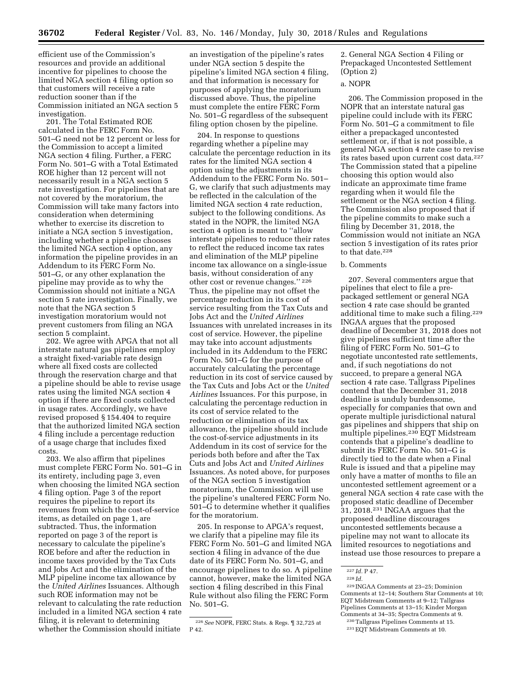efficient use of the Commission's resources and provide an additional incentive for pipelines to choose the

limited NGA section 4 filing option so that customers will receive a rate reduction sooner than if the Commission initiated an NGA section 5 investigation.

201. The Total Estimated ROE calculated in the FERC Form No. 501–G need not be 12 percent or less for the Commission to accept a limited NGA section 4 filing. Further, a FERC Form No. 501–G with a Total Estimated ROE higher than 12 percent will not necessarily result in a NGA section 5 rate investigation. For pipelines that are not covered by the moratorium, the Commission will take many factors into consideration when determining whether to exercise its discretion to initiate a NGA section 5 investigation, including whether a pipeline chooses the limited NGA section 4 option, any information the pipeline provides in an Addendum to its FERC Form No. 501–G, or any other explanation the pipeline may provide as to why the Commission should not initiate a NGA section 5 rate investigation. Finally, we note that the NGA section 5 investigation moratorium would not prevent customers from filing an NGA section 5 complaint.

202. We agree with APGA that not all interstate natural gas pipelines employ a straight fixed-variable rate design where all fixed costs are collected through the reservation charge and that a pipeline should be able to revise usage rates using the limited NGA section 4 option if there are fixed costs collected in usage rates. Accordingly, we have revised proposed § 154.404 to require that the authorized limited NGA section 4 filing include a percentage reduction of a usage charge that includes fixed costs.

203. We also affirm that pipelines must complete FERC Form No. 501–G in its entirety, including page 3, even when choosing the limited NGA section 4 filing option. Page 3 of the report requires the pipeline to report its revenues from which the cost-of-service items, as detailed on page 1, are subtracted. Thus, the information reported on page 3 of the report is necessary to calculate the pipeline's ROE before and after the reduction in income taxes provided by the Tax Cuts and Jobs Act and the elimination of the MLP pipeline income tax allowance by the *United Airlines* Issuances. Although such ROE information may not be relevant to calculating the rate reduction included in a limited NGA section 4 rate filing, it is relevant to determining whether the Commission should initiate

an investigation of the pipeline's rates under NGA section 5 despite the pipeline's limited NGA section 4 filing, and that information is necessary for purposes of applying the moratorium discussed above. Thus, the pipeline must complete the entire FERC Form No. 501–G regardless of the subsequent filing option chosen by the pipeline.

204. In response to questions regarding whether a pipeline may calculate the percentage reduction in its rates for the limited NGA section 4 option using the adjustments in its Addendum to the FERC Form No. 501– G, we clarify that such adjustments may be reflected in the calculation of the limited NGA section 4 rate reduction, subject to the following conditions. As stated in the NOPR, the limited NGA section 4 option is meant to ''allow interstate pipelines to reduce their rates to reflect the reduced income tax rates and elimination of the MLP pipeline income tax allowance on a single-issue basis, without consideration of any other cost or revenue changes.'' 226 Thus, the pipeline may not offset the percentage reduction in its cost of service resulting from the Tax Cuts and Jobs Act and the *United Airlines*  Issuances with unrelated increases in its cost of service. However, the pipeline may take into account adjustments included in its Addendum to the FERC Form No. 501–G for the purpose of accurately calculating the percentage reduction in its cost of service caused by the Tax Cuts and Jobs Act or the *United Airlines* Issuances. For this purpose, in calculating the percentage reduction in its cost of service related to the reduction or elimination of its tax allowance, the pipeline should include the cost-of-service adjustments in its Addendum in its cost of service for the periods both before and after the Tax Cuts and Jobs Act and *United Airlines*  Issuances. As noted above, for purposes of the NGA section 5 investigation moratorium, the Commission will use the pipeline's unaltered FERC Form No. 501–G to determine whether it qualifies for the moratorium.

205. In response to APGA's request, we clarify that a pipeline may file its FERC Form No. 501–G and limited NGA section 4 filing in advance of the due date of its FERC Form No. 501–G, and encourage pipelines to do so. A pipeline cannot, however, make the limited NGA section 4 filing described in this Final Rule without also filing the FERC Form No. 501–G.

2. General NGA Section 4 Filing or Prepackaged Uncontested Settlement (Option 2)

# a. NOPR

206. The Commission proposed in the NOPR that an interstate natural gas pipeline could include with its FERC Form No. 501–G a commitment to file either a prepackaged uncontested settlement or, if that is not possible, a general NGA section 4 rate case to revise its rates based upon current cost data.227 The Commission stated that a pipeline choosing this option would also indicate an approximate time frame regarding when it would file the settlement or the NGA section 4 filing. The Commission also proposed that if the pipeline commits to make such a filing by December 31, 2018, the Commission would not initiate an NGA section 5 investigation of its rates prior to that date.<sup>228</sup>

#### b. Comments

207. Several commenters argue that pipelines that elect to file a prepackaged settlement or general NGA section 4 rate case should be granted additional time to make such a filing.<sup>229</sup> INGAA argues that the proposed deadline of December 31, 2018 does not give pipelines sufficient time after the filing of FERC Form No. 501–G to negotiate uncontested rate settlements, and, if such negotiations do not succeed, to prepare a general NGA section 4 rate case. Tallgrass Pipelines contend that the December 31, 2018 deadline is unduly burdensome, especially for companies that own and operate multiple jurisdictional natural gas pipelines and shippers that ship on multiple pipelines.230 EQT Midstream contends that a pipeline's deadline to submit its FERC Form No. 501–G is directly tied to the date when a Final Rule is issued and that a pipeline may only have a matter of months to file an uncontested settlement agreement or a general NGA section 4 rate case with the proposed static deadline of December 31, 2018.231 INGAA argues that the proposed deadline discourages uncontested settlements because a pipeline may not want to allocate its limited resources to negotiations and instead use those resources to prepare a

<sup>226</sup>*See* NOPR, FERC Stats. & Regs. ¶ 32,725 at P 42.

<sup>227</sup> *Id.* P 47.

<sup>228</sup> *Id.* 

<sup>229</sup> INGAA Comments at 23–25; Dominion Comments at 12–14; Southern Star Comments at 10; EQT Midstream Comments at 9–12; Tallgrass Pipelines Comments at 13–15; Kinder Morgan Comments at 34–35; Spectra Comments at 9.

<sup>230</sup>Tallgrass Pipelines Comments at 15.

<sup>231</sup>EQT Midstream Comments at 10.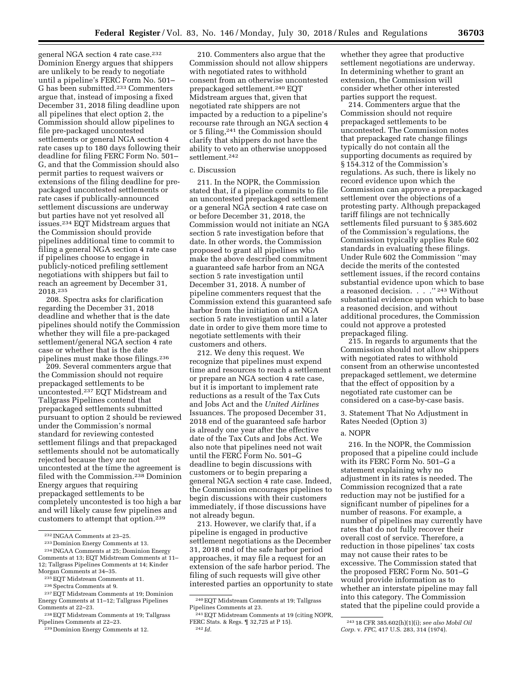general NGA section 4 rate case.<sup>232</sup> Dominion Energy argues that shippers are unlikely to be ready to negotiate until a pipeline's FERC Form No. 501– G has been submitted.233 Commenters argue that, instead of imposing a fixed December 31, 2018 filing deadline upon all pipelines that elect option 2, the Commission should allow pipelines to file pre-packaged uncontested settlements or general NGA section 4 rate cases up to 180 days following their deadline for filing FERC Form No. 501– G, and that the Commission should also permit parties to request waivers or extensions of the filing deadline for prepackaged uncontested settlements or rate cases if publically-announced settlement discussions are underway but parties have not yet resolved all issues.234 EQT Midstream argues that the Commission should provide pipelines additional time to commit to filing a general NGA section 4 rate case if pipelines choose to engage in publicly-noticed prefiling settlement negotiations with shippers but fail to reach an agreement by December 31, 2018.235

208. Spectra asks for clarification regarding the December 31, 2018 deadline and whether that is the date pipelines should notify the Commission whether they will file a pre-packaged settlement/general NGA section 4 rate case or whether that is the date pipelines must make those filings.236

209. Several commenters argue that the Commission should not require prepackaged settlements to be uncontested.237 EQT Midstream and Tallgrass Pipelines contend that prepackaged settlements submitted pursuant to option 2 should be reviewed under the Commission's normal standard for reviewing contested settlement filings and that prepackaged settlements should not be automatically rejected because they are not uncontested at the time the agreement is filed with the Commission.238 Dominion Energy argues that requiring prepackaged settlements to be completely uncontested is too high a bar and will likely cause few pipelines and customers to attempt that option.239

210. Commenters also argue that the Commission should not allow shippers with negotiated rates to withhold consent from an otherwise uncontested prepackaged settlement.240 EQT Midstream argues that, given that negotiated rate shippers are not impacted by a reduction to a pipeline's recourse rate through an NGA section 4 or 5 filing,241 the Commission should clarify that shippers do not have the ability to veto an otherwise unopposed settlement.242

#### c. Discussion

211. In the NOPR, the Commission stated that, if a pipeline commits to file an uncontested prepackaged settlement or a general NGA section 4 rate case on or before December 31, 2018, the Commission would not initiate an NGA section 5 rate investigation before that date. In other words, the Commission proposed to grant all pipelines who make the above described commitment a guaranteed safe harbor from an NGA section 5 rate investigation until December 31, 2018. A number of pipeline commenters request that the Commission extend this guaranteed safe harbor from the initiation of an NGA section 5 rate investigation until a later date in order to give them more time to negotiate settlements with their customers and others.

212. We deny this request. We recognize that pipelines must expend time and resources to reach a settlement or prepare an NGA section 4 rate case, but it is important to implement rate reductions as a result of the Tax Cuts and Jobs Act and the *United Airlines*  Issuances. The proposed December 31, 2018 end of the guaranteed safe harbor is already one year after the effective date of the Tax Cuts and Jobs Act. We also note that pipelines need not wait until the FERC Form No. 501–G deadline to begin discussions with customers or to begin preparing a general NGA section 4 rate case. Indeed, the Commission encourages pipelines to begin discussions with their customers immediately, if those discussions have not already begun.

213. However, we clarify that, if a pipeline is engaged in productive settlement negotiations as the December 31, 2018 end of the safe harbor period approaches, it may file a request for an extension of the safe harbor period. The filing of such requests will give other interested parties an opportunity to state

whether they agree that productive settlement negotiations are underway. In determining whether to grant an extension, the Commission will consider whether other interested parties support the request.

214. Commenters argue that the Commission should not require prepackaged settlements to be uncontested. The Commission notes that prepackaged rate change filings typically do not contain all the supporting documents as required by § 154.312 of the Commission's regulations. As such, there is likely no record evidence upon which the Commission can approve a prepackaged settlement over the objections of a protesting party. Although prepackaged tariff filings are not technically settlements filed pursuant to § 385.602 of the Commission's regulations, the Commission typically applies Rule 602 standards in evaluating these filings. Under Rule 602 the Commission ''may decide the merits of the contested settlement issues, if the record contains substantial evidence upon which to base a reasoned decision. . . . "243 Without substantial evidence upon which to base a reasoned decision, and without additional procedures, the Commission could not approve a protested prepackaged filing.

215. In regards to arguments that the Commission should not allow shippers with negotiated rates to withhold consent from an otherwise uncontested prepackaged settlement, we determine that the effect of opposition by a negotiated rate customer can be considered on a case-by-case basis.

3. Statement That No Adjustment in Rates Needed (Option 3)

#### a. NOPR

216. In the NOPR, the Commission proposed that a pipeline could include with its FERC Form No. 501–G a statement explaining why no adjustment in its rates is needed. The Commission recognized that a rate reduction may not be justified for a significant number of pipelines for a number of reasons. For example, a number of pipelines may currently have rates that do not fully recover their overall cost of service. Therefore, a reduction in those pipelines' tax costs may not cause their rates to be excessive. The Commission stated that the proposed FERC Form No. 501–G would provide information as to whether an interstate pipeline may fall into this category. The Commission stated that the pipeline could provide a

<sup>232</sup> INGAA Comments at 23–25. 233 Dominion Energy Comments at 13. 234 INGAA Comments at 25; Dominion Energy Comments at 13; EQT Midstream Comments at 11– 12; Tallgrass Pipelines Comments at 14; Kinder Morgan Comments at 34–35.

<sup>235</sup>EQT Midstream Comments at 11.

<sup>236</sup>Spectra Comments at 9.

<sup>237</sup>EQT Midstream Comments at 19; Dominion Energy Comments at 11–12; Tallgrass Pipelines Comments at 22–23.

<sup>238</sup>EQT Midstream Comments at 19; Tallgrass Pipelines Comments at 22–23.

<sup>&</sup>lt;sup>239</sup> Dominion Energy Comments at 12.

<sup>240</sup>EQT Midstream Comments at 19; Tallgrass Pipelines Comments at 23.

<sup>241</sup>EQT Midstream Comments at 19 (citing NOPR, FERC Stats. & Regs. ¶ 32,725 at P 15). 242 *Id.* 

<sup>243</sup> 18 CFR 385.602(h)(1)(i); *see also Mobil Oil Corp.* v. *FPC,* 417 U.S. 283, 314 (1974).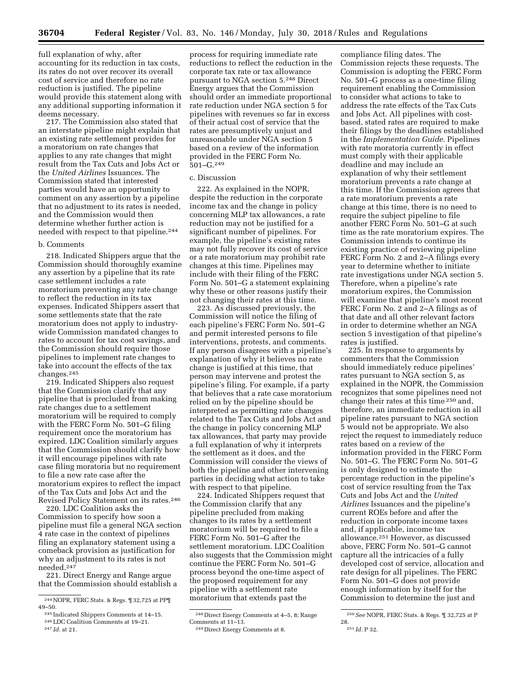full explanation of why, after accounting for its reduction in tax costs, its rates do not over recover its overall cost of service and therefore no rate reduction is justified. The pipeline would provide this statement along with any additional supporting information it deems necessary.

217. The Commission also stated that an interstate pipeline might explain that an existing rate settlement provides for a moratorium on rate changes that applies to any rate changes that might result from the Tax Cuts and Jobs Act or the *United Airlines* Issuances. The Commission stated that interested parties would have an opportunity to comment on any assertion by a pipeline that no adjustment to its rates is needed, and the Commission would then determine whether further action is needed with respect to that pipeline.244

#### b. Comments

218. Indicated Shippers argue that the Commission should thoroughly examine any assertion by a pipeline that its rate case settlement includes a rate moratorium preventing any rate change to reflect the reduction in its tax expenses. Indicated Shippers assert that some settlements state that the rate moratorium does not apply to industrywide Commission mandated changes to rates to account for tax cost savings, and the Commission should require those pipelines to implement rate changes to take into account the effects of the tax changes.245

219. Indicated Shippers also request that the Commission clarify that any pipeline that is precluded from making rate changes due to a settlement moratorium will be required to comply with the FERC Form No. 501–G filing requirement once the moratorium has expired. LDC Coalition similarly argues that the Commission should clarify how it will encourage pipelines with rate case filing moratoria but no requirement to file a new rate case after the moratorium expires to reflect the impact of the Tax Cuts and Jobs Act and the Revised Policy Statement on its rates.246

220. LDC Coalition asks the Commission to specify how soon a pipeline must file a general NGA section 4 rate case in the context of pipelines filing an explanatory statement using a comeback provision as justification for why an adjustment to its rates is not needed.247

221. Direct Energy and Range argue that the Commission should establish a

process for requiring immediate rate reductions to reflect the reduction in the corporate tax rate or tax allowance pursuant to NGA section 5.248 Direct Energy argues that the Commission should order an immediate proportional rate reduction under NGA section 5 for pipelines with revenues so far in excess of their actual cost of service that the rates are presumptively unjust and unreasonable under NGA section 5 based on a review of the information provided in the FERC Form No.  $501 - C<sub>1</sub>$ . 249

## c. Discussion

222. As explained in the NOPR, despite the reduction in the corporate income tax and the change in policy concerning MLP tax allowances, a rate reduction may not be justified for a significant number of pipelines. For example, the pipeline's existing rates may not fully recover its cost of service or a rate moratorium may prohibit rate changes at this time. Pipelines may include with their filing of the FERC Form No. 501–G a statement explaining why these or other reasons justify their not changing their rates at this time.

223. As discussed previously, the Commission will notice the filing of each pipeline's FERC Form No. 501–G and permit interested persons to file interventions, protests, and comments. If any person disagrees with a pipeline's explanation of why it believes no rate change is justified at this time, that person may intervene and protest the pipeline's filing. For example, if a party that believes that a rate case moratorium relied on by the pipeline should be interpreted as permitting rate changes related to the Tax Cuts and Jobs Act and the change in policy concerning MLP tax allowances, that party may provide a full explanation of why it interprets the settlement as it does, and the Commission will consider the views of both the pipeline and other intervening parties in deciding what action to take with respect to that pipeline.

224. Indicated Shippers request that the Commission clarify that any pipeline precluded from making changes to its rates by a settlement moratorium will be required to file a FERC Form No. 501–G after the settlement moratorium. LDC Coalition also suggests that the Commission might continue the FERC Form No. 501–G process beyond the one-time aspect of the proposed requirement for any pipeline with a settlement rate moratorium that extends past the

compliance filing dates. The Commission rejects these requests. The Commission is adopting the FERC Form No. 501–G process as a one-time filing requirement enabling the Commission to consider what actions to take to address the rate effects of the Tax Cuts and Jobs Act. All pipelines with costbased, stated rates are required to make their filings by the deadlines established in the *Implementation Guide.* Pipelines with rate moratoria currently in effect must comply with their applicable deadline and may include an explanation of why their settlement moratorium prevents a rate change at this time. If the Commission agrees that a rate moratorium prevents a rate change at this time, there is no need to require the subject pipeline to file another FERC Form No. 501–G at such time as the rate moratorium expires. The Commission intends to continue its existing practice of reviewing pipeline FERC Form No. 2 and 2–A filings every year to determine whether to initiate rate investigations under NGA section 5. Therefore, when a pipeline's rate moratorium expires, the Commission will examine that pipeline's most recent FERC Form No. 2 and 2–A filings as of that date and all other relevant factors in order to determine whether an NGA section 5 investigation of that pipeline's rates is justified.

225. In response to arguments by commenters that the Commission should immediately reduce pipelines' rates pursuant to NGA section 5, as explained in the NOPR, the Commission recognizes that some pipelines need not change their rates at this time 250 and, therefore, an immediate reduction in all pipeline rates pursuant to NGA section 5 would not be appropriate. We also reject the request to immediately reduce rates based on a review of the information provided in the FERC Form No. 501–G. The FERC Form No. 501–G is only designed to estimate the percentage reduction in the pipeline's cost of service resulting from the Tax Cuts and Jobs Act and the *United Airlines* Issuances and the pipeline's current ROEs before and after the reduction in corporate income taxes and, if applicable, income tax allowance.251 However, as discussed above, FERC Form No. 501–G cannot capture all the intricacies of a fully developed cost of service, allocation and rate design for all pipelines. The FERC Form No. 501–G does not provide enough information by itself for the Commission to determine the just and

<sup>&</sup>lt;sup>244</sup> NOPR, FERC Stats. & Regs.  $\P$  32,725 at PP $\P$ <br>49-50.

<sup>49–50. 245</sup> Indicated Shippers Comments at 14–15. 246LDC Coalition Comments at 19–21. 247 *Id.* at 21.

<sup>248</sup> Direct Energy Comments at 4–5, 8; Range Comments at 11–13.

<sup>249</sup> Direct Energy Comments at 8.

<sup>250</sup>*See* NOPR, FERC Stats. & Regs. ¶ 32,725 at P 28. 251 *Id.* P 32.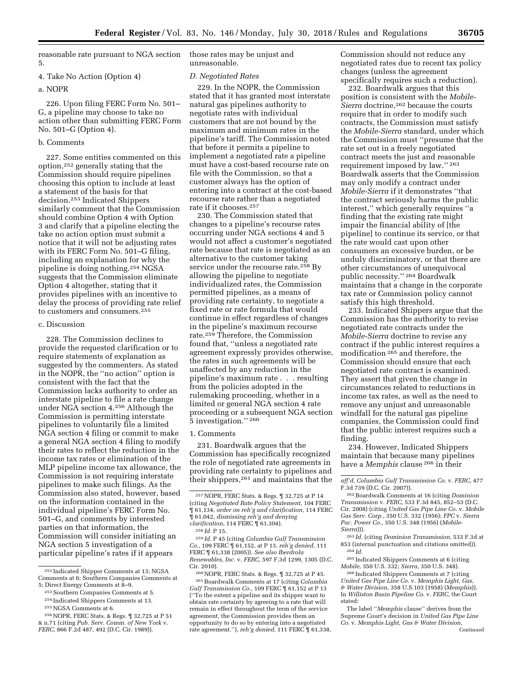reasonable rate pursuant to NGA section 5.

# 4. Take No Action (Option 4)

a. NOPR

226. Upon filing FERC Form No. 501– G, a pipeline may choose to take no action other than submitting FERC Form No. 501–G (Option 4).

## b. Comments

227. Some entities commented on this option,252 generally stating that the Commission should require pipelines choosing this option to include at least a statement of the basis for that decision.253 Indicated Shippers similarly comment that the Commission should combine Option 4 with Option 3 and clarify that a pipeline electing the take no action option must submit a notice that it will not be adjusting rates with its FERC Form No. 501–G filing, including an explanation for why the pipeline is doing nothing.254 NGSA suggests that the Commission eliminate Option 4 altogether, stating that it provides pipelines with an incentive to delay the process of providing rate relief to customers and consumers.255

## c. Discussion

228. The Commission declines to provide the requested clarification or to require statements of explanation as suggested by the commenters. As stated in the NOPR, the ''no action'' option is consistent with the fact that the Commission lacks authority to order an interstate pipeline to file a rate change under NGA section 4.256 Although the Commission is permitting interstate pipelines to voluntarily file a limited NGA section 4 filing or commit to make a general NGA section 4 filing to modify their rates to reflect the reduction in the income tax rates or elimination of the MLP pipeline income tax allowance, the Commission is not requiring interstate pipelines to make such filings. As the Commission also stated, however, based on the information contained in the individual pipeline's FERC Form No. 501–G, and comments by interested parties on that information, the Commission will consider initiating an NGA section 5 investigation of a particular pipeline's rates if it appears

- 256NOPR, FERC Stats. & Regs. ¶ 32,725 at P 51 & n.71 (citing *Pub. Serv. Comm. of New York* v.
- *FERC,* 866 F.2d 487, 492 (D.C. Cir. 1989)).

those rates may be unjust and unreasonable.

## *D. Negotiated Rates*

229. In the NOPR, the Commission stated that it has granted most interstate natural gas pipelines authority to negotiate rates with individual customers that are not bound by the maximum and minimum rates in the pipeline's tariff. The Commission noted that before it permits a pipeline to implement a negotiated rate a pipeline must have a cost-based recourse rate on file with the Commission, so that a customer always has the option of entering into a contract at the cost-based recourse rate rather than a negotiated rate if it chooses.257

230. The Commission stated that changes to a pipeline's recourse rates occurring under NGA sections 4 and 5 would not affect a customer's negotiated rate because that rate is negotiated as an alternative to the customer taking service under the recourse rate.<sup>258</sup> By allowing the pipeline to negotiate individualized rates, the Commission permitted pipelines, as a means of providing rate certainty, to negotiate a fixed rate or rate formula that would continue in effect regardless of changes in the pipeline's maximum recourse rate.259 Therefore, the Commission found that, ''unless a negotiated rate agreement expressly provides otherwise, the rates in such agreements will be unaffected by any reduction in the pipeline's maximum rate . . . resulting from the policies adopted in the rulemaking proceeding, whether in a limited or general NGA section 4 rate proceeding or a subsequent NGA section 5 investigation.'' 260

1. Comments

231. Boardwalk argues that the Commission has specifically recognized the role of negotiated rate agreements in providing rate certainty to pipelines and their shippers,261 and maintains that the

259 *Id.* P 45 (citing *Columbia Gulf Transmission Co.,* 109 FERC ¶ 61,152, at P 13, *reh'g denied,* 111 FERC ¶ 61,338 (2005)). *See also Iberdrola Renewables, Inc.* v. *FERC,* 597 F.3d 1299, 1305 (D.C. Cir. 2010).

 $^{260}\,$  NOPR, FERC Stats. & Regs.  $\mathop{\textstyle\mathop{\P}}$  32,725 at P 45. 261Boardwalk Comments at 17 (citing *Columbia Gulf Transmission Co.,* 109 FERC ¶ 61,152 at P 13 (''To the extent a pipeline and its shipper want to obtain rate certainty by agreeing to a rate that will remain in effect throughout the term of the service agreement, the Commission provides them an opportunity to do so by entering into a negotiated rate agreement.''), *reh'g denied,* 111 FERC ¶ 61,338, Commission should not reduce any negotiated rates due to recent tax policy changes (unless the agreement specifically requires such a reduction).

232. Boardwalk argues that this position is consistent with the *Mobile-Sierra* doctrine,<sup>262</sup> because the courts require that in order to modify such contracts, the Commission must satisfy the *Mobile-Sierra* standard, under which the Commission must ''presume that the rate set out in a freely negotiated contract meets the just and reasonable requirement imposed by law.'' 263 Boardwalk asserts that the Commission may only modify a contract under *Mobile-Sierra* if it demonstrates ''that the contract seriously harms the public interest,'' which generally requires ''a finding that the existing rate might impair the financial ability of [the pipeline] to continue its service, or that the rate would cast upon other consumers an excessive burden, or be unduly discriminatory, or that there are other circumstances of unequivocal public necessity.'' 264 Boardwalk maintains that a change in the corporate tax rate or Commission policy cannot satisfy this high threshold.

233. Indicated Shippers argue that the Commission has the authority to revise negotiated rate contracts under the *Mobile-Sierra* doctrine to revise any contract if the public interest requires a modification 265 and therefore, the Commission should ensure that each negotiated rate contract is examined. They assert that given the change in circumstances related to reductions in income tax rates, as well as the need to remove any unjust and unreasonable windfall for the natural gas pipeline companies, the Commission could find that the public interest requires such a finding.

234. However, Indicated Shippers maintain that because many pipelines have a *Memphis* clause 266 in their

263 *Id.* (citing *Dominion Transmission,* 533 F.3d at 853 (internal punctuation and citations omitted)). 264 *Id.* 

265 Indicated Shippers Comments at 6 (citing *Mobile,* 350 U.S. 332; *Sierra,* 350 U.S. 348).

266 Indicated Shippers Comments at 7 (citing *United Gas Pipe Line Co.* v. *Memphis Light, Gas, & Water Division,* 358 U.S.103 (1958) (*Memphis*)). In *Williston Basin Pipeline Co.* v. *FERC,* the Court stated:

The label ''*Memphis* clause'' derives from the Supreme Court's decision in *United Gas Pipe Line Co.* v. *Memphis Light, Gas & Water Division,*  Continued

<sup>252</sup> Indicated Shipper Comments at 13; NGSA Comments at 6; Southern Companies Comments at 5; Direct Energy Comments at 8–9.

<sup>253</sup>Southern Companies Comments at 5.

<sup>254</sup> Indicated Shippers Comments at 13.

<sup>255</sup>NGSA Comments at 6.

<sup>257</sup>NOPR, FERC Stats. & Regs. ¶ 32,725 at P 14 (citing *Negotiated Rate Policy Statement,* 104 FERC ¶ 61,134, *order on reh'g and clarification,* 114 FERC ¶ 61,042, *dismissing reh'g and denying clarification,* 114 FERC ¶ 61,304).

<sup>258</sup> *Id.* P 15.

*aff'd, Columbia Gulf Transmission Co.* v. *FERC,* 477 F.3d 739 (D.C. Cir. 2007)).

<sup>262</sup>Boardwalk Comments at 16 (citing *Dominion Transmission* v. *FERC,* 533 F.3d 845, 852–53 (D.C. Cir. 2008) (citing *United Gas Pipe Line Co.* v. *Mobile Gas Serv. Corp.,* 350 U.S. 332 (1956); *FPC* v. *Sierra Pac. Power Co.,* 350 U.S. 348 (1956) (*Mobile-Sierra*))).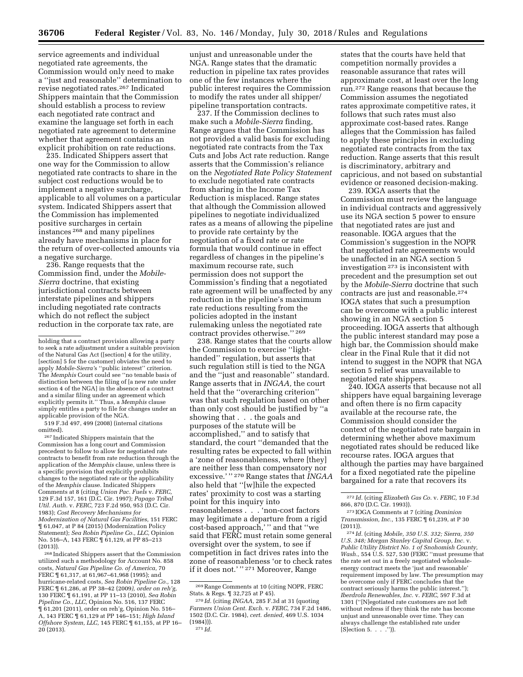service agreements and individual negotiated rate agreements, the Commission would only need to make a ''just and reasonable'' determination to revise negotiated rates.267 Indicated Shippers maintain that the Commission should establish a process to review each negotiated rate contract and examine the language set forth in each negotiated rate agreement to determine whether that agreement contains an explicit prohibition on rate reductions.

235. Indicated Shippers assert that one way for the Commission to allow negotiated rate contracts to share in the subject cost reductions would be to implement a negative surcharge, applicable to all volumes on a particular system. Indicated Shippers assert that the Commission has implemented positive surcharges in certain instances 268 and many pipelines already have mechanisms in place for the return of over-collected amounts via a negative surcharge.

236. Range requests that the Commission find, under the *Mobile-Sierra* doctrine, that existing jurisdictional contracts between interstate pipelines and shippers including negotiated rate contracts which do not reflect the subject reduction in the corporate tax rate, are

519 F.3d 497, 499 (2008) (internal citations omitted).

267 Indicated Shippers maintain that the Commission has a long court and Commission precedent to follow to allow for negotiated rate contracts to benefit from rate reduction through the application of the *Memphis* clause, unless there is a specific provision that explicitly prohibits changes to the negotiated rate or the applicability of the *Memphis* clause. Indicated Shippers Comments at 8 (citing *Union Pac. Fuels* v. *FERC,*  129 F.3d 157, 161 (D.C. Cir. 1997); *Papago Tribal Util. Auth.* v. *FERC,* 723 F.2d 950, 953 (D.C. Cir. 1983); *Cost Recovery Mechanisms for Modernization of Natural Gas Facilities,* 151 FERC ¶ 61,047, at P 84 (2015) (Modernization Policy Statement); *Sea Robin Pipeline Co., LLC,* Opinion No. 516–A, 143 FERC ¶ 61,129, at PP 85–213 (2013)).

268 Indicated Shippers assert that the Commission utilized such a methodology for Account No. 858 costs, *Natural Gas Pipeline Co. of America,* 70 FERC ¶ 61,317, at 61,967–61,968 (1995); and hurricane-related costs, *Sea Robin Pipeline Co.,* 128 FERC ¶ 61,286, at PP 38–42 (2009*), order on reh'g,*  130 FERC ¶ 61,191, at PP 11–13 (2010), *Sea Robin Pipeline Co., LLC,* Opinion No. 516, 137 FERC ¶ 61,201 (2011), order on reh'g, Opinion No. 516– A, 143 FERC ¶ 61,129 at PP 146–151; *High Island Offshore System, LLC,* 145 FERC ¶ 61,155, at PP 16–  $20(2013)$ .

unjust and unreasonable under the NGA. Range states that the dramatic reduction in pipeline tax rates provides one of the few instances where the public interest requires the Commission to modify the rates under all shipper/ pipeline transportation contracts.

237. If the Commission declines to make such a *Mobile-Sierra* finding, Range argues that the Commission has not provided a valid basis for excluding negotiated rate contracts from the Tax Cuts and Jobs Act rate reduction. Range asserts that the Commission's reliance on the *Negotiated Rate Policy Statement*  to exclude negotiated rate contracts from sharing in the Income Tax Reduction is misplaced. Range states that although the Commission allowed pipelines to negotiate individualized rates as a means of allowing the pipeline to provide rate certainty by the negotiation of a fixed rate or rate formula that would continue in effect regardless of changes in the pipeline's maximum recourse rate, such permission does not support the Commission's finding that a negotiated rate agreement will be unaffected by any reduction in the pipeline's maximum rate reductions resulting from the policies adopted in the instant rulemaking unless the negotiated rate contract provides otherwise.'' 269

238. Range states that the courts allow the Commission to exercise ''lighthanded'' regulation, but asserts that such regulation still is tied to the NGA and the ''just and reasonable'' standard. Range asserts that in *INGAA,* the court held that the ''overarching criterion'' was that such regulation based on other than only cost should be justified by ''a showing that . . . the goals and purposes of the statute will be accomplished,'' and to satisfy that standard, the court ''demanded that the resulting rates be expected to fall within a 'zone of reasonableness, where [they] are neither less than compensatory nor excessive.' '' 270 Range states that *INGAA*  also held that ''[w]hile the expected rates' proximity to cost was a starting point for this inquiry into reasonableness . . . 'non-cost factors may legitimate a departure from a rigid cost-based approach,' '' and that ''we said that FERC must retain some general oversight over the system, to see if competition in fact drives rates into the zone of reasonableness 'or to check rates if it does not.'"<sup>271</sup> Moreover, Range

states that the courts have held that competition normally provides a reasonable assurance that rates will approximate cost, at least over the long run.272 Range reasons that because the Commission assumes the negotiated rates approximate competitive rates, it follows that such rates must also approximate cost-based rates. Range alleges that the Commission has failed to apply these principles in excluding negotiated rate contracts from the tax reduction. Range asserts that this result is discriminatory, arbitrary and capricious, and not based on substantial evidence or reasoned decision-making.

239. IOGA asserts that the Commission must review the language in individual contracts and aggressively use its NGA section 5 power to ensure that negotiated rates are just and reasonable. IOGA argues that the Commission's suggestion in the NOPR that negotiated rate agreements would be unaffected in an NGA section 5 investigation 273 is inconsistent with precedent and the presumption set out by the *Mobile-Sierra* doctrine that such contracts are just and reasonable.274 IOGA states that such a presumption can be overcome with a public interest showing in an NGA section 5 proceeding. IOGA asserts that although the public interest standard may pose a high bar, the Commission should make clear in the Final Rule that it did not intend to suggest in the NOPR that NGA section 5 relief was unavailable to negotiated rate shippers.

240. IOGA asserts that because not all shippers have equal bargaining leverage and often there is no firm capacity available at the recourse rate, the Commission should consider the context of the negotiated rate bargain in determining whether above maximum negotiated rates should be reduced like recourse rates. IOGA argues that although the parties may have bargained for a fixed negotiated rate the pipeline bargained for a rate that recovers its

274 *Id.* (citing *Mobile, 350 U.S. 332; Sierra, 350 U.S. 348; Morgan Stanley Capital Group, Inc.* v. *Public Utility District No. 1 of Snohomish County, Wash.,* 554 U.S. 527, 530 (FERC ''must presume that the rate set out in a freely negotiated wholesaleenergy contract meets the 'just and reasonable' requirement imposed by law. The presumption may be overcome only if FERC concludes that the contract seriously harms the public interest.''); *Iberdrola Renewables, Inc.* v. *FERC,* 597 F.3d at 1301 (''[N]egotiated rate customers are not left without redress if they think the rate has become unjust and unreasonable over time. They can always challenge the established rate under  $[S]$ ection 5. . . .'').

holding that a contract provision allowing a party to seek a rate adjustment under a suitable provision of the Natural Gas Act ([section] 4 for the utility, [section] 5 for the customer) obviates the need to apply *Mobile-Sierra'*s ''public interest'' criterion. The *Memphis* Court could see ''no tenable basis of distinction between the filing of [a new rate under section 4 of the NGA] in the absence of a contract and a similar filing under an agreement which explicitly permits it.'' Thus, a *Memphis* clause simply entitles a party to file for changes under an applicable provision of the NGA.

<sup>269</sup>Range Comments at 10 (citing NOPR, FERC Stats. & Regs. ¶ 32,725 at P 45).

<sup>270</sup> *Id.* (citing *INGAA,* 285 F.3d at 31 (quoting *Farmers Union Cent. Exch.* v. *FERC,* 734 F.2d 1486, 1502 (D.C. Cir. 1984), *cert. denied,* 469 U.S. 1034  $(1984))$ . 271 *Id.* 

<sup>272</sup> *Id.* (citing *Elizabeth Gas Co.* v. *FERC,* 10 F.3d 866, 870 (D.C. Cir. 1993)).

<sup>273</sup> IOGA Comments at 7 (citing *Dominion Transmission, Inc.,* 135 FERC ¶ 61,239, at P 30 (2011)).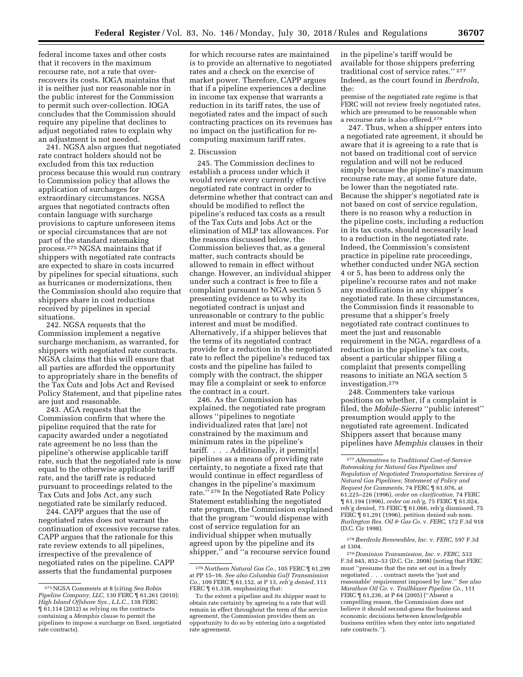federal income taxes and other costs that it recovers in the maximum recourse rate, not a rate that overrecovers its costs. IOGA maintains that it is neither just nor reasonable nor in the public interest for the Commission to permit such over-collection. IOGA concludes that the Commission should require any pipeline that declines to adjust negotiated rates to explain why an adjustment is not needed.

241. NGSA also argues that negotiated rate contract holders should not be excluded from this tax reduction process because this would run contrary to Commission policy that allows the application of surcharges for extraordinary circumstances. NGSA argues that negotiated contracts often contain language with surcharge provisions to capture unforeseen items or special circumstances that are not part of the standard ratemaking process.275 NGSA maintains that if shippers with negotiated rate contracts are expected to share in costs incurred by pipelines for special situations, such as hurricanes or modernizations, then the Commission should also require that shippers share in cost reductions received by pipelines in special situations.

242. NGSA requests that the Commission implement a negative surcharge mechanism, as warranted, for shippers with negotiated rate contracts. NGSA claims that this will ensure that all parties are afforded the opportunity to appropriately share in the benefits of the Tax Cuts and Jobs Act and Revised Policy Statement, and that pipeline rates are just and reasonable.

243. AGA requests that the Commission confirm that where the pipeline required that the rate for capacity awarded under a negotiated rate agreement be no less than the pipeline's otherwise applicable tariff rate, such that the negotiated rate is now equal to the otherwise applicable tariff rate, and the tariff rate is reduced pursuant to proceedings related to the Tax Cuts and Jobs Act, any such negotiated rate be similarly reduced.

244. CAPP argues that the use of negotiated rates does not warrant the continuation of excessive recourse rates. CAPP argues that the rationale for this rate review extends to all pipelines, irrespective of the prevalence of negotiated rates on the pipeline. CAPP asserts that the fundamental purposes

for which recourse rates are maintained is to provide an alternative to negotiated rates and a check on the exercise of market power. Therefore, CAPP argues that if a pipeline experiences a decline in income tax expense that warrants a reduction in its tariff rates, the use of negotiated rates and the impact of such contracting practices on its revenues has no impact on the justification for recomputing maximum tariff rates.

#### 2. Discussion

245. The Commission declines to establish a process under which it would review every currently effective negotiated rate contract in order to determine whether that contract can and should be modified to reflect the pipeline's reduced tax costs as a result of the Tax Cuts and Jobs Act or the elimination of MLP tax allowances. For the reasons discussed below, the Commission believes that, as a general matter, such contracts should be allowed to remain in effect without change. However, an individual shipper under such a contract is free to file a complaint pursuant to NGA section 5 presenting evidence as to why its negotiated contract is unjust and unreasonable or contrary to the public interest and must be modified. Alternatively, if a shipper believes that the terms of its negotiated contract provide for a reduction in the negotiated rate to reflect the pipeline's reduced tax costs and the pipeline has failed to comply with the contract, the shipper may file a complaint or seek to enforce the contract in a court.

246. As the Commission has explained, the negotiated rate program allows ''pipelines to negotiate individualized rates that [are] not constrained by the maximum and minimum rates in the pipeline's tariff. . . . Additionally, it permit[s] pipelines as a means of providing rate certainty, to negotiate a fixed rate that would continue in effect regardless of changes in the pipeline's maximum rate."<sup>276</sup> In the Negotiated Rate Policy Statement establishing the negotiated rate program, the Commission explained that the program ''would dispense with cost of service regulation for an individual shipper when mutually agreed upon by the pipeline and its shipper,'' and ''a recourse service found

in the pipeline's tariff would be available for those shippers preferring traditional cost of service rates.'' 277 Indeed, as the court found in *Iberdrola,*  the:

premise of the negotiated rate regime is that FERC will not review freely negotiated rates, which are presumed to be reasonable when a recourse rate is also offered.278

247. Thus, when a shipper enters into a negotiated rate agreement, it should be aware that it is agreeing to a rate that is not based on traditional cost of service regulation and will not be reduced simply because the pipeline's maximum recourse rate may, at some future date, be lower than the negotiated rate. Because the shipper's negotiated rate is not based on cost of service regulation, there is no reason why a reduction in the pipeline costs, including a reduction in its tax costs, should necessarily lead to a reduction in the negotiated rate. Indeed, the Commission's consistent practice in pipeline rate proceedings, whether conducted under NGA section 4 or 5, has been to address only the pipeline's recourse rates and not make any modifications in any shipper's negotiated rate. In these circumstances, the Commission finds it reasonable to presume that a shipper's freely negotiated rate contract continues to meet the just and reasonable requirement in the NGA, regardless of a reduction in the pipeline's tax costs, absent a particular shipper filing a complaint that presents compelling reasons to initiate an NGA section 5 investigation.279

248. Commenters take various positions on whether, if a complaint is filed, the *Mobile-Sierra* ''public interest'' presumption would apply to the negotiated rate agreement. Indicated Shippers assert that because many pipelines have *Memphis* clauses in their

278 *Iberdrola Renewables, Inc.* v. *FERC,* 597 F.3d at 1304.

279 *Dominion Transmission, Inc.* v. *FERC,* 533 F.3d 845, 852–53 (D.C. Cir. 2008) (noting that FERC must ''presume that the rate set out in a freely negotiated . . . contract meets the 'just and reasonable' requirement imposed by law.'' *See also Marathon Oil Co.* v. *Trailblazer Pipeline Co.,* 111 FERC ¶ 61,236, at P 64 (2005) (''Absent a compelling reason, the Commission does not believe it should second-guess the business and economic decisions between knowledgeable business entities when they enter into negotiated rate contracts.'').

<sup>275</sup>NGSA Comments at 8 (citing *Sea Robin Pipeline Company, LLC,* 130 FERC ¶ 61,261 (2010); *High Island Offshore Sys., L.L.C.,* 138 FERC ¶ 61,114 (2012) as relying on the contracts containing a *Memphis* clause to permit the pipelines to impose a surcharge on fixed, negotiated rate contracts).

<sup>276</sup>*Northern Natural Gas Co.,* 105 FERC ¶ 61,299 at PP 15–16. *See also Columbia Gulf Transmission Co.,* 109 FERC ¶ 61,152, at P 13, *reh'g denied,* 111 FERC  $\P$  61,338, emphasizing that:

To the extent a pipeline and its shipper want to obtain rate certainty by agreeing to a rate that will remain in effect throughout the term of the service agreement, the Commission provides them an opportunity to do so by entering into a negotiated rate agreement.

<sup>277</sup>*Alternatives to Traditional Cost-of-Service Ratemaking for Natural Gas Pipelines and Regulation of Negotiated Transportation Services of Natural Gas Pipelines; Statement of Policy and Request for Comments,* 74 FERC ¶ 61,076, at 61,225–226 (1996), *order on clarification,* 74 FERC ¶ 61,194 (1996), *order on reh'g,* 75 FERC ¶ 61,024, reh'g denied, 75 FERC ¶ 61,066, reh'g dismissed, 75 FERC ¶ 61,291 (1996), petition denied sub nom. *Burlington Res. Oil & Gas Co.* v. *FERC,* 172 F.3d 918 (D.C. Cir 1998).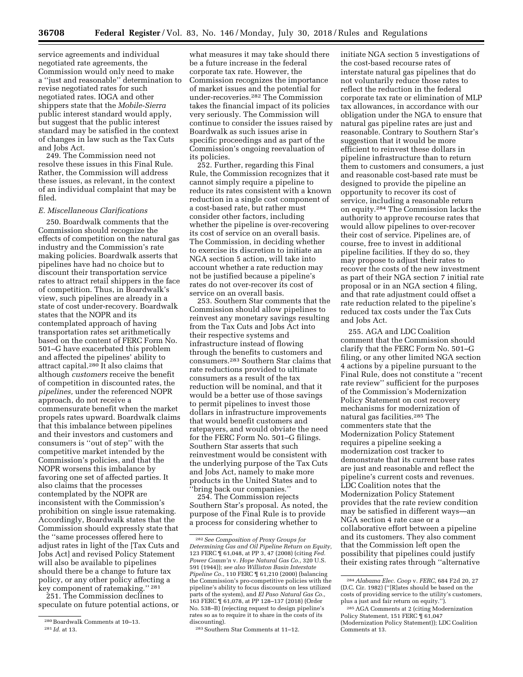**36708 Federal Register** / Vol. 83, No. 146 / Monday, July 30, 2018 / Rules and Regulations

service agreements and individual negotiated rate agreements, the Commission would only need to make a ''just and reasonable'' determination to revise negotiated rates for such negotiated rates. IOGA and other shippers state that the *Mobile-Sierra*  public interest standard would apply, but suggest that the public interest standard may be satisfied in the context of changes in law such as the Tax Cuts and Jobs Act.

249. The Commission need not resolve these issues in this Final Rule. Rather, the Commission will address these issues, as relevant, in the context of an individual complaint that may be filed.

#### *E. Miscellaneous Clarifications*

250. Boardwalk comments that the Commission should recognize the effects of competition on the natural gas industry and the Commission's rate making policies. Boardwalk asserts that pipelines have had no choice but to discount their transportation service rates to attract retail shippers in the face of competition. Thus, in Boardwalk's view, such pipelines are already in a state of cost under-recovery. Boardwalk states that the NOPR and its contemplated approach of having transportation rates set arithmetically based on the content of FERC Form No. 501–G have exacerbated this problem and affected the pipelines' ability to attract capital.280 It also claims that although *customers* receive the benefit of competition in discounted rates, the *pipelines,* under the referenced NOPR approach, do not receive a commensurate benefit when the market propels rates upward. Boardwalk claims that this imbalance between pipelines and their investors and customers and consumers is ''out of step'' with the competitive market intended by the Commission's policies, and that the NOPR worsens this imbalance by favoring one set of affected parties. It also claims that the processes contemplated by the NOPR are inconsistent with the Commission's prohibition on single issue ratemaking. Accordingly, Boardwalk states that the Commission should expressly state that the ''same processes offered here to adjust rates in light of the [Tax Cuts and Jobs Act] and revised Policy Statement will also be available to pipelines should there be a change to future tax policy, or any other policy affecting a key component of ratemaking.'' 281

251. The Commission declines to speculate on future potential actions, or

what measures it may take should there be a future increase in the federal corporate tax rate. However, the Commission recognizes the importance of market issues and the potential for under-recoveries.282 The Commission takes the financial impact of its policies very seriously. The Commission will continue to consider the issues raised by Boardwalk as such issues arise in specific proceedings and as part of the Commission's ongoing reevaluation of its policies.

252. Further, regarding this Final Rule, the Commission recognizes that it cannot simply require a pipeline to reduce its rates consistent with a known reduction in a single cost component of a cost-based rate, but rather must consider other factors, including whether the pipeline is over-recovering its cost of service on an overall basis. The Commission, in deciding whether to exercise its discretion to initiate an NGA section 5 action, will take into account whether a rate reduction may not be justified because a pipeline's rates do not over-recover its cost of service on an overall basis.

253. Southern Star comments that the Commission should allow pipelines to reinvest any monetary savings resulting from the Tax Cuts and Jobs Act into their respective systems and infrastructure instead of flowing through the benefits to customers and consumers.283 Southern Star claims that rate reductions provided to ultimate consumers as a result of the tax reduction will be nominal, and that it would be a better use of those savings to permit pipelines to invest those dollars in infrastructure improvements that would benefit customers and ratepayers, and would obviate the need for the FERC Form No. 501–G filings. Southern Star asserts that such reinvestment would be consistent with the underlying purpose of the Tax Cuts and Jobs Act, namely to make more products in the United States and to ''bring back our companies.''

254. The Commission rejects Southern Star's proposal. As noted, the purpose of the Final Rule is to provide a process for considering whether to

initiate NGA section 5 investigations of the cost-based recourse rates of interstate natural gas pipelines that do not voluntarily reduce those rates to reflect the reduction in the federal corporate tax rate or elimination of MLP tax allowances, in accordance with our obligation under the NGA to ensure that natural gas pipeline rates are just and reasonable. Contrary to Southern Star's suggestion that it would be more efficient to reinvest these dollars in pipeline infrastructure than to return them to customers and consumers, a just and reasonable cost-based rate must be designed to provide the pipeline an opportunity to recover its cost of service, including a reasonable return on equity.284 The Commission lacks the authority to approve recourse rates that would allow pipelines to over-recover their cost of service. Pipelines are, of course, free to invest in additional pipeline facilities. If they do so, they may propose to adjust their rates to recover the costs of the new investment as part of their NGA section 7 initial rate proposal or in an NGA section 4 filing, and that rate adjustment could offset a rate reduction related to the pipeline's reduced tax costs under the Tax Cuts and Jobs Act.

255. AGA and LDC Coalition comment that the Commission should clarify that the FERC Form No. 501–G filing, or any other limited NGA section 4 actions by a pipeline pursuant to the Final Rule, does not constitute a ''recent rate review'' sufficient for the purposes of the Commission's Modernization Policy Statement on cost recovery mechanisms for modernization of natural gas facilities.285 The commenters state that the Modernization Policy Statement requires a pipeline seeking a modernization cost tracker to demonstrate that its current base rates are just and reasonable and reflect the pipeline's current costs and revenues. LDC Coalition notes that the Modernization Policy Statement provides that the rate review condition may be satisfied in different ways—an NGA section 4 rate case or a collaborative effort between a pipeline and its customers. They also comment that the Commission left open the possibility that pipelines could justify their existing rates through ''alternative

<sup>280</sup>Boardwalk Comments at 10–13. 281 *Id.* at 13.

<sup>282</sup>*See Composition of Proxy Groups for Determining Gas and Oil Pipeline Return on Equity,*  123 FERC ¶ 61,048, at PP 3, 47 (2008) (citing *Fed. Power Comm'n* v. *Hope Natural Gas Co.,* 320 U.S. 591 (1944)); *see also Williston Basin Interstate Pipeline Co.,* 110 FERC ¶ 61,210 (2000) (balancing the Commission's pro-competitive policies with the pipeline's ability to focus discounts on less utilized parts of the system), and *El Paso Natural Gas Co.,*  163 FERC ¶ 61,078, at PP 128–137 (2018) (Order No. 538–B) (rejecting request to design pipeline's rates so as to require it to share in the costs of its discounting).

<sup>283</sup>Southern Star Comments at 11–12.

<sup>284</sup>*Alabama Elec. Coop* v. *FERC,* 684 F2d 20, 27 (D.C. Cir. 1982) (''[R]ates should be based on the costs of providing service to the utility's customers, plus a just and fair return on equity.")

<sup>285</sup>AGA Comments at 2 (citing Modernization Policy Statement, 151 FERC  $\frac{1}{2}$  61,047 (Modernization Policy Statement)); LDC Coalition Comments at 13.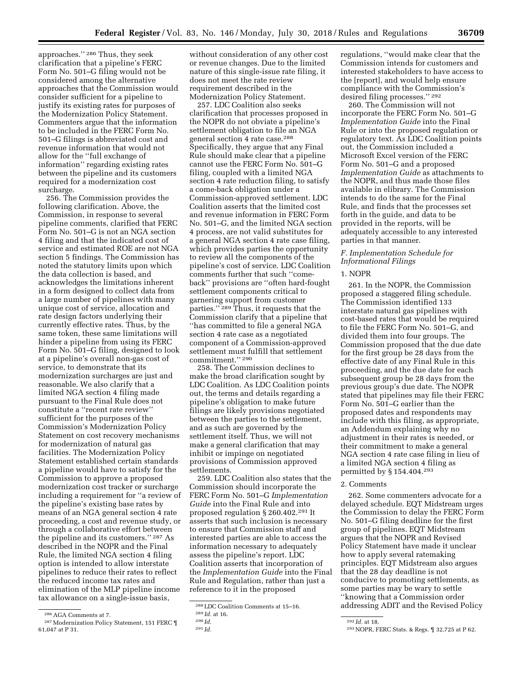approaches.'' 286 Thus, they seek clarification that a pipeline's FERC Form No. 501–G filing would not be considered among the alternative approaches that the Commission would consider sufficient for a pipeline to justify its existing rates for purposes of the Modernization Policy Statement. Commenters argue that the information to be included in the FERC Form No. 501–G filings is abbreviated cost and revenue information that would not allow for the ''full exchange of information'' regarding existing rates between the pipeline and its customers required for a modernization cost surcharge.

256. The Commission provides the following clarification. Above, the Commission, in response to several pipeline comments, clarified that FERC Form No. 501–G is not an NGA section 4 filing and that the indicated cost of service and estimated ROE are not NGA section 5 findings. The Commission has noted the statutory limits upon which the data collection is based, and acknowledges the limitations inherent in a form designed to collect data from a large number of pipelines with many unique cost of service, allocation and rate design factors underlying their currently effective rates. Thus, by the same token, these same limitations will hinder a pipeline from using its FERC Form No. 501–G filing, designed to look at a pipeline's overall non-gas cost of service, to demonstrate that its modernization surcharges are just and reasonable. We also clarify that a limited NGA section 4 filing made pursuant to the Final Rule does not constitute a ''recent rate review'' sufficient for the purposes of the Commission's Modernization Policy Statement on cost recovery mechanisms for modernization of natural gas facilities. The Modernization Policy Statement established certain standards a pipeline would have to satisfy for the Commission to approve a proposed modernization cost tracker or surcharge including a requirement for ''a review of the pipeline's existing base rates by means of an NGA general section 4 rate proceeding, a cost and revenue study, or through a collaborative effort between the pipeline and its customers.'' 287 As described in the NOPR and the Final Rule, the limited NGA section 4 filing option is intended to allow interstate pipelines to reduce their rates to reflect the reduced income tax rates and elimination of the MLP pipeline income tax allowance on a single-issue basis,

without consideration of any other cost or revenue changes. Due to the limited nature of this single-issue rate filing, it does not meet the rate review requirement described in the Modernization Policy Statement.

257. LDC Coalition also seeks clarification that processes proposed in the NOPR do not obviate a pipeline's settlement obligation to file an NGA general section 4 rate case.288 Specifically, they argue that any Final Rule should make clear that a pipeline cannot use the FERC Form No. 501–G filing, coupled with a limited NGA section 4 rate reduction filing, to satisfy a come-back obligation under a Commission-approved settlement. LDC Coalition asserts that the limited cost and revenue information in FERC Form No. 501–G, and the limited NGA section 4 process, are not valid substitutes for a general NGA section 4 rate case filing, which provides parties the opportunity to review all the components of the pipeline's cost of service. LDC Coalition comments further that such ''comeback'' provisions are ''often hard-fought settlement components critical to garnering support from customer parties.'' 289 Thus, it requests that the Commission clarify that a pipeline that ''has committed to file a general NGA section 4 rate case as a negotiated component of a Commission-approved settlement must fulfill that settlement commitment.'' 290

258. The Commission declines to make the broad clarification sought by LDC Coalition. As LDC Coalition points out, the terms and details regarding a pipeline's obligation to make future filings are likely provisions negotiated between the parties to the settlement, and as such are governed by the settlement itself. Thus, we will not make a general clarification that may inhibit or impinge on negotiated provisions of Commission approved settlements.

259. LDC Coalition also states that the Commission should incorporate the FERC Form No. 501–G *Implementation Guide* into the Final Rule and into proposed regulation § 260.402.291 It asserts that such inclusion is necessary to ensure that Commission staff and interested parties are able to access the information necessary to adequately assess the pipeline's report. LDC Coalition asserts that incorporation of the *Implementation Guide* into the Final Rule and Regulation, rather than just a reference to it in the proposed

regulations, ''would make clear that the Commission intends for customers and interested stakeholders to have access to the [report], and would help ensure compliance with the Commission's desired filing processes.'' 292

260. The Commission will not incorporate the FERC Form No. 501–G *Implementation Guide* into the Final Rule or into the proposed regulation or regulatory text. As LDC Coalition points out, the Commission included a Microsoft Excel version of the FERC Form No. 501–G and a proposed *Implementation Guide* as attachments to the NOPR, and thus made those files available in elibrary. The Commission intends to do the same for the Final Rule, and finds that the processes set forth in the guide, and data to be provided in the reports, will be adequately accessible to any interested parties in that manner.

## *F. Implementation Schedule for Informational Filings*

#### 1. NOPR

261. In the NOPR, the Commission proposed a staggered filing schedule. The Commission identified 133 interstate natural gas pipelines with cost-based rates that would be required to file the FERC Form No. 501–G, and divided them into four groups. The Commission proposed that the due date for the first group be 28 days from the effective date of any Final Rule in this proceeding, and the due date for each subsequent group be 28 days from the previous group's due date. The NOPR stated that pipelines may file their FERC Form No. 501–G earlier than the proposed dates and respondents may include with this filing, as appropriate, an Addendum explaining why no adjustment in their rates is needed, or their commitment to make a general NGA section 4 rate case filing in lieu of a limited NGA section 4 filing as permitted by § 154.404.293

#### 2. Comments

262. Some commenters advocate for a delayed schedule. EQT Midstream urges the Commission to delay the FERC Form No. 501–G filing deadline for the first group of pipelines. EQT Midstream argues that the NOPR and Revised Policy Statement have made it unclear how to apply several ratemaking principles. EQT Midstream also argues that the 28 day deadline is not conducive to promoting settlements, as some parties may be wary to settle ''knowing that a Commission order addressing ADIT and the Revised Policy

<sup>286</sup>AGA Comments at 7.

<sup>287</sup>Modernization Policy Statement, 151 FERC ¶ 61,047 at P 31.

<sup>288</sup>LDC Coalition Comments at 15–16.

<sup>289</sup> *Id.* at 16.

<sup>290</sup> *Id.* 

<sup>291</sup> *Id.* 

<sup>292</sup> *Id.* at 18. 293NOPR, FERC Stats. & Regs. ¶ 32,725 at P 62.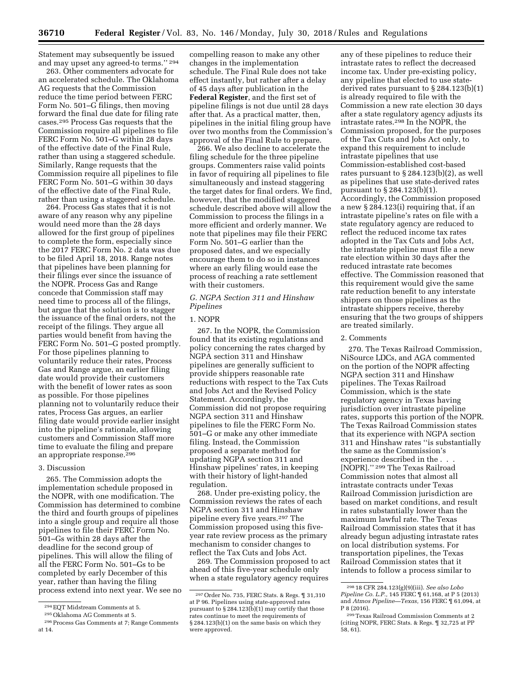Statement may subsequently be issued and may upset any agreed-to terms.'' 294

263. Other commenters advocate for an accelerated schedule. The Oklahoma AG requests that the Commission reduce the time period between FERC Form No. 501–G filings, then moving forward the final due date for filing rate cases.295 Process Gas requests that the Commission require all pipelines to file FERC Form No. 501–G within 28 days of the effective date of the Final Rule, rather than using a staggered schedule. Similarly, Range requests that the Commission require all pipelines to file FERC Form No. 501–G within 30 days of the effective date of the Final Rule, rather than using a staggered schedule.

264. Process Gas states that it is not aware of any reason why any pipeline would need more than the 28 days allowed for the first group of pipelines to complete the form, especially since the 2017 FERC Form No. 2 data was due to be filed April 18, 2018. Range notes that pipelines have been planning for their filings ever since the issuance of the NOPR. Process Gas and Range concede that Commission staff may need time to process all of the filings, but argue that the solution is to stagger the issuance of the final orders, not the receipt of the filings. They argue all parties would benefit from having the FERC Form No. 501–G posted promptly. For those pipelines planning to voluntarily reduce their rates, Process Gas and Range argue, an earlier filing date would provide their customers with the benefit of lower rates as soon as possible. For those pipelines planning not to voluntarily reduce their rates, Process Gas argues, an earlier filing date would provide earlier insight into the pipeline's rationale, allowing customers and Commission Staff more time to evaluate the filing and prepare an appropriate response.296

#### 3. Discussion

265. The Commission adopts the implementation schedule proposed in the NOPR, with one modification. The Commission has determined to combine the third and fourth groups of pipelines into a single group and require all those pipelines to file their FERC Form No. 501–Gs within 28 days after the deadline for the second group of pipelines. This will allow the filing of all the FERC Form No. 501–Gs to be completed by early December of this year, rather than having the filing process extend into next year. We see no

compelling reason to make any other changes in the implementation schedule. The Final Rule does not take effect instantly, but rather after a delay of 45 days after publication in the **Federal Register**, and the first set of pipeline filings is not due until 28 days after that. As a practical matter, then, pipelines in the initial filing group have over two months from the Commission's approval of the Final Rule to prepare.

266. We also decline to accelerate the filing schedule for the three pipeline groups. Commenters raise valid points in favor of requiring all pipelines to file simultaneously and instead staggering the target dates for final orders. We find, however, that the modified staggered schedule described above will allow the Commission to process the filings in a more efficient and orderly manner. We note that pipelines may file their FERC Form No. 501–G earlier than the proposed dates, and we especially encourage them to do so in instances where an early filing would ease the process of reaching a rate settlement with their customers.

# *G. NGPA Section 311 and Hinshaw Pipelines*

## 1. NOPR

267. In the NOPR, the Commission found that its existing regulations and policy concerning the rates charged by NGPA section 311 and Hinshaw pipelines are generally sufficient to provide shippers reasonable rate reductions with respect to the Tax Cuts and Jobs Act and the Revised Policy Statement. Accordingly, the Commission did not propose requiring NGPA section 311 and Hinshaw pipelines to file the FERC Form No. 501–G or make any other immediate filing. Instead, the Commission proposed a separate method for updating NGPA section 311 and Hinshaw pipelines' rates, in keeping with their history of light-handed regulation.

268. Under pre-existing policy, the Commission reviews the rates of each NGPA section 311 and Hinshaw pipeline every five years.297 The Commission proposed using this fiveyear rate review process as the primary mechanism to consider changes to reflect the Tax Cuts and Jobs Act.

269. The Commission proposed to act ahead of this five-year schedule only when a state regulatory agency requires

any of these pipelines to reduce their intrastate rates to reflect the decreased income tax. Under pre-existing policy, any pipeline that elected to use statederived rates pursuant to § 284.123(b)(1) is already required to file with the Commission a new rate election 30 days after a state regulatory agency adjusts its intrastate rates.298 In the NOPR, the Commission proposed, for the purposes of the Tax Cuts and Jobs Act only, to expand this requirement to include intrastate pipelines that use Commission-established cost-based rates pursuant to  $\S 284.123(b)(2)$ , as well as pipelines that use state-derived rates pursuant to § 284.123(b)(1). Accordingly, the Commission proposed a new § 284.123(i) requiring that, if an intrastate pipeline's rates on file with a state regulatory agency are reduced to reflect the reduced income tax rates adopted in the Tax Cuts and Jobs Act, the intrastate pipeline must file a new rate election within 30 days after the reduced intrastate rate becomes effective. The Commission reasoned that this requirement would give the same rate reduction benefit to any interstate shippers on those pipelines as the intrastate shippers receive, thereby ensuring that the two groups of shippers are treated similarly.

## 2. Comments

270. The Texas Railroad Commission, NiSource LDCs, and AGA commented on the portion of the NOPR affecting NGPA section 311 and Hinshaw pipelines. The Texas Railroad Commission, which is the state regulatory agency in Texas having jurisdiction over intrastate pipeline rates, supports this portion of the NOPR. The Texas Railroad Commission states that its experience with NGPA section 311 and Hinshaw rates ''is substantially the same as the Commission's experience described in the . . . [NOPR].'' 299 The Texas Railroad Commission notes that almost all intrastate contracts under Texas Railroad Commission jurisdiction are based on market conditions, and result in rates substantially lower than the maximum lawful rate. The Texas Railroad Commission states that it has already begun adjusting intrastate rates on local distribution systems. For transportation pipelines, the Texas Railroad Commission states that it intends to follow a process similar to

<sup>294</sup>EQT Midstream Comments at 5.

<sup>295</sup>Oklahoma AG Comments at 5.

<sup>296</sup>Process Gas Comments at 7; Range Comments at 14.

<sup>297</sup>Order No. 735, FERC Stats. & Regs. ¶ 31,310 at P 96. Pipelines using state-approved rates pursuant to  $\S 284.123(b)(1)$  may certify that those rates continue to meet the requirements of § 284.123(b)(1) on the same basis on which they were approved.

<sup>298</sup> 18 CFR 284.123(g)(9)(iii). *See also Lobo Pipeline Co. L.P.,* 145 FERC ¶ 61,168, at P 5 (2013) and *Atmos Pipeline—Texas,* 156 FERC ¶ 61,094, at P 8 (2016).

<sup>299</sup>Texas Railroad Commission Comments at 2 (citing NOPR, FERC Stats. & Regs. ¶ 32,725 at PP 58, 61).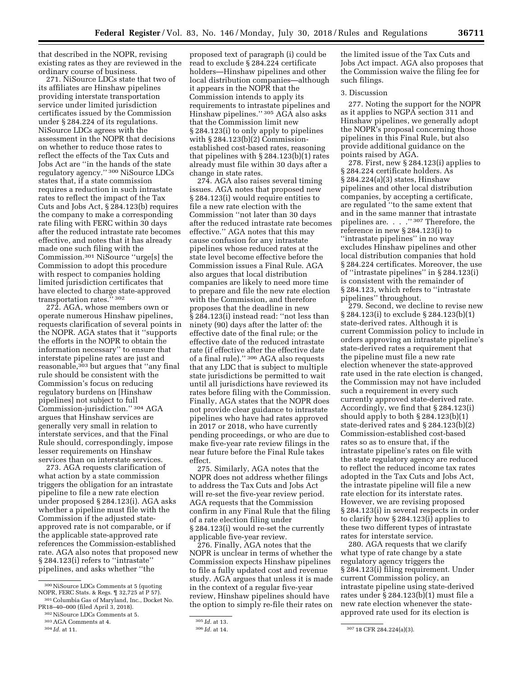that described in the NOPR, revising existing rates as they are reviewed in the ordinary course of business.

271. NiSource LDCs state that two of its affiliates are Hinshaw pipelines providing interstate transportation service under limited jurisdiction certificates issued by the Commission under § 284.224 of its regulations. NiSource LDCs agrees with the assessment in the NOPR that decisions on whether to reduce those rates to reflect the effects of the Tax Cuts and Jobs Act are ''in the hands of the state regulatory agency.'' 300 NiSource LDCs states that, if a state commission requires a reduction in such intrastate rates to reflect the impact of the Tax Cuts and Jobs Act, § 284.123(b) requires the company to make a corresponding rate filing with FERC within 30 days after the reduced intrastate rate becomes effective, and notes that it has already made one such filing with the Commission.301 NiSource ''urge[s] the Commission to adopt this procedure with respect to companies holding limited jurisdiction certificates that have elected to charge state-approved transportation rates." 302

272. AGA, whose members own or operate numerous Hinshaw pipelines, requests clarification of several points in the NOPR. AGA states that it ''supports the efforts in the NOPR to obtain the information necessary'' to ensure that interstate pipeline rates are just and reasonable,<sup>303</sup> but argues that "any final rule should be consistent with the Commission's focus on reducing regulatory burdens on [Hinshaw pipelines] not subject to full Commission-jurisdiction.'' 304 AGA argues that Hinshaw services are generally very small in relation to interstate services, and that the Final Rule should, correspondingly, impose lesser requirements on Hinshaw services than on interstate services.

273. AGA requests clarification of what action by a state commission triggers the obligation for an intrastate pipeline to file a new rate election under proposed § 284.123(i). AGA asks whether a pipeline must file with the Commission if the adjusted stateapproved rate is not comparable, or if the applicable state-approved rate references the Commission-established rate. AGA also notes that proposed new § 284.123(i) refers to ''intrastate'' pipelines, and asks whether ''the

proposed text of paragraph (i) could be read to exclude § 284.224 certificate holders—Hinshaw pipelines and other local distribution companies—although it appears in the NOPR that the Commission intends to apply its requirements to intrastate pipelines and Hinshaw pipelines.'' 305 AGA also asks that the Commission limit new § 284.123(i) to only apply to pipelines with § 284.123(b)(2) Commissionestablished cost-based rates, reasoning that pipelines with § 284.123(b)(1) rates already must file within 30 days after a change in state rates.

274. AGA also raises several timing issues. AGA notes that proposed new § 284.123(i) would require entities to file a new rate election with the Commission ''not later than 30 days after the reduced intrastate rate becomes effective.'' AGA notes that this may cause confusion for any intrastate pipelines whose reduced rates at the state level become effective before the Commission issues a Final Rule. AGA also argues that local distribution companies are likely to need more time to prepare and file the new rate election with the Commission, and therefore proposes that the deadline in new § 284.123(i) instead read: "not less than ninety (90) days after the latter of: the effective date of the final rule; or the effective date of the reduced intrastate rate (if effective after the effective date of a final rule).'' 306 AGA also requests that any LDC that is subject to multiple state jurisdictions be permitted to wait until all jurisdictions have reviewed its rates before filing with the Commission. Finally, AGA states that the NOPR does not provide clear guidance to intrastate pipelines who have had rates approved in 2017 or 2018, who have currently pending proceedings, or who are due to make five-year rate review filings in the near future before the Final Rule takes effect.

275. Similarly, AGA notes that the NOPR does not address whether filings to address the Tax Cuts and Jobs Act will re-set the five-year review period. AGA requests that the Commission confirm in any Final Rule that the filing of a rate election filing under § 284.123(i) would re-set the currently applicable five-year review.

276. Finally, AGA notes that the NOPR is unclear in terms of whether the Commission expects Hinshaw pipelines to file a fully updated cost and revenue study. AGA argues that unless it is made in the context of a regular five-year review, Hinshaw pipelines should have the option to simply re-file their rates on

the limited issue of the Tax Cuts and Jobs Act impact. AGA also proposes that the Commission waive the filing fee for such filings.

#### 3. Discussion

277. Noting the support for the NOPR as it applies to NGPA section 311 and Hinshaw pipelines, we generally adopt the NOPR's proposal concerning those pipelines in this Final Rule, but also provide additional guidance on the points raised by AGA.

278. First, new § 284.123(i) applies to § 284.224 certificate holders. As § 284.224(a)(3) states, Hinshaw pipelines and other local distribution companies, by accepting a certificate, are regulated ''to the same extent that and in the same manner that intrastate pipelines are. . . .'' 307 Therefore, the reference in new § 284.123(i) to ''intrastate pipelines'' in no way excludes Hinshaw pipelines and other local distribution companies that hold § 284.224 certificates. Moreover, the use of ''intrastate pipelines'' in § 284.123(i) is consistent with the remainder of § 284.123, which refers to ''intrastate pipelines'' throughout.

279. Second, we decline to revise new § 284.123(i) to exclude § 284.123(b)(1) state-derived rates. Although it is current Commission policy to include in orders approving an intrastate pipeline's state-derived rates a requirement that the pipeline must file a new rate election whenever the state-approved rate used in the rate election is changed, the Commission may not have included such a requirement in every such currently approved state-derived rate. Accordingly, we find that § 284.123(i) should apply to both § 284.123(b)(1) state-derived rates and § 284.123(b)(2) Commission-established cost-based rates so as to ensure that, if the intrastate pipeline's rates on file with the state regulatory agency are reduced to reflect the reduced income tax rates adopted in the Tax Cuts and Jobs Act, the intrastate pipeline will file a new rate election for its interstate rates. However, we are revising proposed § 284.123(i) in several respects in order to clarify how § 284.123(i) applies to these two different types of intrastate rates for interstate service.

280. AGA requests that we clarify what type of rate change by a state regulatory agency triggers the § 284.123(i) filing requirement. Under current Commission policy, an intrastate pipeline using state-derived rates under § 284.123(b)(1) must file a new rate election whenever the stateapproved rate used for its election is

 $^{300}\rm{Ni}$  Source LDCs Comments at 5 (quoting NOPR, FERC Stats. & Regs.  $\text{\textsterling}$  32,725 at P 57).

 $^{301}$  Columbia Gas of Maryland, Inc., Docket No. PR18–40–000 (filed April 3, 2018).

 $^{302}$  NiSource LDCs Comments at 5.  $^{303}$  AGA Comments at 4.  $^{304}$  *Id.* at 11.

<sup>305</sup> *Id.* at 13.

<sup>307 18</sup> CFR 284.224(a)(3).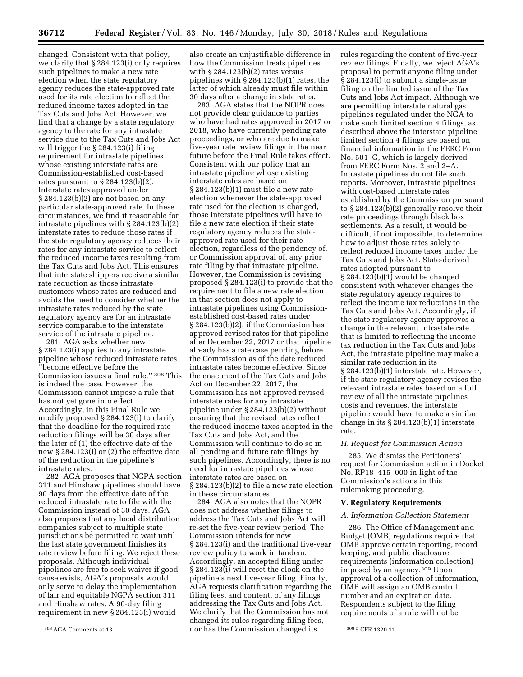changed. Consistent with that policy, we clarify that § 284.123(i) only requires such pipelines to make a new rate election when the state regulatory agency reduces the state-approved rate used for its rate election to reflect the reduced income taxes adopted in the Tax Cuts and Jobs Act. However, we find that a change by a state regulatory agency to the rate for any intrastate service due to the Tax Cuts and Jobs Act will trigger the § 284.123(i) filing requirement for intrastate pipelines whose existing interstate rates are Commission-established cost-based rates pursuant to  $\S 284.123(b)(2)$ . Interstate rates approved under § 284.123(b)(2) are not based on any particular state-approved rate. In these circumstances, we find it reasonable for intrastate pipelines with § 284.123(b)(2) interstate rates to reduce those rates if the state regulatory agency reduces their rates for any intrastate service to reflect the reduced income taxes resulting from the Tax Cuts and Jobs Act. This ensures that interstate shippers receive a similar rate reduction as those intrastate customers whose rates are reduced and avoids the need to consider whether the intrastate rates reduced by the state regulatory agency are for an intrastate service comparable to the interstate service of the intrastate pipeline.

281. AGA asks whether new § 284.123(i) applies to any intrastate pipeline whose reduced intrastate rates ''become effective before the Commission issues a final rule.'' 308 This is indeed the case. However, the Commission cannot impose a rule that has not yet gone into effect. Accordingly, in this Final Rule we modify proposed § 284.123(i) to clarify that the deadline for the required rate reduction filings will be 30 days after the later of (1) the effective date of the new § 284.123(i) or (2) the effective date of the reduction in the pipeline's intrastate rates.

282. AGA proposes that NGPA section 311 and Hinshaw pipelines should have 90 days from the effective date of the reduced intrastate rate to file with the Commission instead of 30 days. AGA also proposes that any local distribution companies subject to multiple state jurisdictions be permitted to wait until the last state government finishes its rate review before filing. We reject these proposals. Although individual pipelines are free to seek waiver if good cause exists, AGA's proposals would only serve to delay the implementation of fair and equitable NGPA section 311 and Hinshaw rates. A 90-day filing requirement in new § 284.123(i) would

also create an unjustifiable difference in how the Commission treats pipelines with  $\S 284.123(b)(2)$  rates versus pipelines with § 284.123(b)(1) rates, the latter of which already must file within 30 days after a change in state rates.

283. AGA states that the NOPR does not provide clear guidance to parties who have had rates approved in 2017 or 2018, who have currently pending rate proceedings, or who are due to make five-year rate review filings in the near future before the Final Rule takes effect. Consistent with our policy that an intrastate pipeline whose existing interstate rates are based on § 284.123(b)(1) must file a new rate election whenever the state-approved rate used for the election is changed, those interstate pipelines will have to file a new rate election if their state regulatory agency reduces the stateapproved rate used for their rate election, regardless of the pendency of, or Commission approval of, any prior rate filing by that intrastate pipeline. However, the Commission is revising proposed § 284.123(i) to provide that the requirement to file a new rate election in that section does not apply to intrastate pipelines using Commissionestablished cost-based rates under § 284.123(b)(2), if the Commission has approved revised rates for that pipeline after December 22, 2017 or that pipeline already has a rate case pending before the Commission as of the date reduced intrastate rates become effective. Since the enactment of the Tax Cuts and Jobs Act on December 22, 2017, the Commission has not approved revised interstate rates for any intrastate pipeline under § 284.123(b)(2) without ensuring that the revised rates reflect the reduced income taxes adopted in the Tax Cuts and Jobs Act, and the Commission will continue to do so in all pending and future rate filings by such pipelines. Accordingly, there is no need for intrastate pipelines whose interstate rates are based on § 284.123(b)(2) to file a new rate election in these circumstances.

308AGA Comments at 13. 309 5 CFR 1320.11. nor has the Commission changed its 284. AGA also notes that the NOPR does not address whether filings to address the Tax Cuts and Jobs Act will re-set the five-year review period. The Commission intends for new § 284.123(i) and the traditional five-year review policy to work in tandem. Accordingly, an accepted filing under § 284.123(i) will reset the clock on the pipeline's next five-year filing. Finally, AGA requests clarification regarding the filing fees, and content, of any filings addressing the Tax Cuts and Jobs Act. We clarify that the Commission has not changed its rules regarding filing fees,

rules regarding the content of five-year review filings. Finally, we reject AGA's proposal to permit anyone filing under § 284.123(i) to submit a single-issue filing on the limited issue of the Tax Cuts and Jobs Act impact. Although we are permitting interstate natural gas pipelines regulated under the NGA to make such limited section 4 filings, as described above the interstate pipeline limited section 4 filings are based on financial information in the FERC Form No. 501–G, which is largely derived from FERC Form Nos. 2 and 2–A. Intrastate pipelines do not file such reports. Moreover, intrastate pipelines with cost-based interstate rates established by the Commission pursuant to § 284.123(b)(2) generally resolve their rate proceedings through black box settlements. As a result, it would be difficult, if not impossible, to determine how to adjust those rates solely to reflect reduced income taxes under the Tax Cuts and Jobs Act. State-derived rates adopted pursuant to § 284.123(b)(1) would be changed consistent with whatever changes the state regulatory agency requires to reflect the income tax reductions in the Tax Cuts and Jobs Act. Accordingly, if the state regulatory agency approves a change in the relevant intrastate rate that is limited to reflecting the income tax reduction in the Tax Cuts and Jobs Act, the intrastate pipeline may make a similar rate reduction in its § 284.123(b)(1) interstate rate. However, if the state regulatory agency revises the relevant intrastate rates based on a full review of all the intrastate pipelines costs and revenues, the interstate pipeline would have to make a similar change in its § 284.123(b)(1) interstate rate.

#### *H. Request for Commission Action*

285. We dismiss the Petitioners' request for Commission action in Docket No. RP18–415–000 in light of the Commission's actions in this rulemaking proceeding.

#### **V. Regulatory Requirements**

#### *A. Information Collection Statement*

286. The Office of Management and Budget (OMB) regulations require that OMB approve certain reporting, record keeping, and public disclosure requirements (information collection) imposed by an agency.309 Upon approval of a collection of information, OMB will assign an OMB control number and an expiration date. Respondents subject to the filing requirements of a rule will not be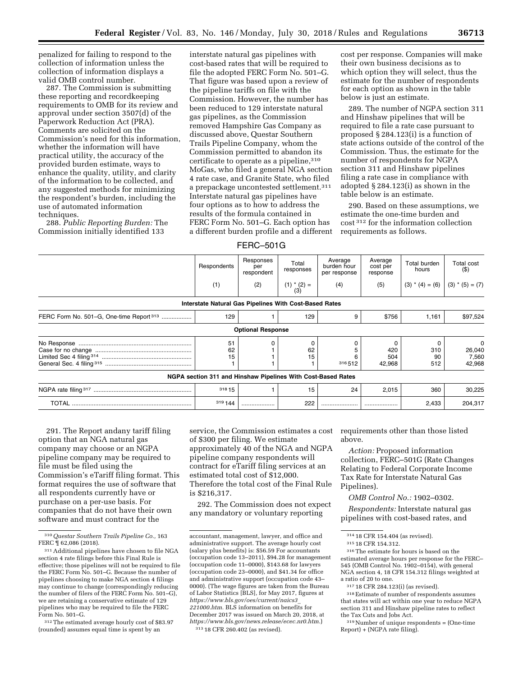penalized for failing to respond to the collection of information unless the collection of information displays a valid OMB control number.

287. The Commission is submitting these reporting and recordkeeping requirements to OMB for its review and approval under section 3507(d) of the Paperwork Reduction Act (PRA). Comments are solicited on the Commission's need for this information, whether the information will have practical utility, the accuracy of the provided burden estimate, ways to enhance the quality, utility, and clarity of the information to be collected, and any suggested methods for minimizing the respondent's burden, including the use of automated information techniques.

288. *Public Reporting Burden:* The Commission initially identified 133

interstate natural gas pipelines with cost-based rates that will be required to file the adopted FERC Form No. 501–G. That figure was based upon a review of the pipeline tariffs on file with the Commission. However, the number has been reduced to 129 interstate natural gas pipelines, as the Commission removed Hampshire Gas Company as discussed above, Questar Southern Trails Pipeline Company, whom the Commission permitted to abandon its certificate to operate as a pipeline, 310 MoGas, who filed a general NGA section 4 rate case, and Granite State, who filed a prepackage uncontested settlement.311 Interstate natural gas pipelines have four options as to how to address the results of the formula contained in FERC Form No. 501–G. Each option has a different burden profile and a different

cost per response. Companies will make their own business decisions as to which option they will select, thus the estimate for the number of respondents for each option as shown in the table below is just an estimate.

289. The number of NGPA section 311 and Hinshaw pipelines that will be required to file a rate case pursuant to proposed § 284.123(i) is a function of state actions outside of the control of the Commission. Thus, the estimate for the number of respondents for NGPA section 311 and Hinshaw pipelines filing a rate case in compliance with adopted § 284.123(i) as shown in the table below is an estimate.

290. Based on these assumptions, we estimate the one-time burden and cost 312 for the information collection requirements as follows.

# FERC–501G

|                                                     | Respondents                                                  | Responses<br>per<br>respondent | Total<br>responses     | Average<br>burden hour<br>per response | Average<br>cost per<br>response | Total burden<br>hours | Total cost<br>(5)              |
|-----------------------------------------------------|--------------------------------------------------------------|--------------------------------|------------------------|----------------------------------------|---------------------------------|-----------------------|--------------------------------|
|                                                     | (1)                                                          | (2)                            | $(1)$ * $(2)$ =<br>(3) | (4)                                    | (5)                             | $(3) * (4) = (6)$     | $(3)$ * $(5) = (7)$            |
|                                                     | Interstate Natural Gas Pipelines With Cost-Based Rates       |                                |                        |                                        |                                 |                       |                                |
| FERC Form No. 501–G, One-time Report <sup>313</sup> | 129                                                          |                                | 129                    | 9                                      | \$756                           | 1,161                 | \$97,524                       |
|                                                     |                                                              | <b>Optional Response</b>       |                        |                                        |                                 |                       |                                |
|                                                     | 51<br>62<br>15                                               |                                | 62<br>15               | 316512                                 | 420<br>504<br>42,968            | 310<br>90<br>512      | 0<br>26,040<br>7,560<br>42,968 |
|                                                     | NGPA section 311 and Hinshaw Pipelines With Cost-Based Rates |                                |                        |                                        |                                 |                       |                                |
|                                                     | 318 15                                                       |                                | 15                     | 24                                     | 2,015                           | 360                   | 30,225                         |
|                                                     | 319 144                                                      |                                | 222                    |                                        |                                 | 2,433                 | 204,317                        |

291. The Report andany tariff filing option that an NGA natural gas company may choose or an NGPA pipeline company may be required to file must be filed using the Commission's eTariff filing format. This format requires the use of software that all respondents currently have or purchase on a per-use basis. For companies that do not have their own software and must contract for the

310*Questar Southern Trails Pipeline Co.,* 163 FERC ¶ 62,086 (2018).

312The estimated average hourly cost of \$83.97 (rounded) assumes equal time is spent by an

service, the Commission estimates a cost of \$300 per filing. We estimate approximately 40 of the NGA and NGPA pipeline company respondents will contract for eTariff filing services at an estimated total cost of \$12,000. Therefore the total cost of the Final Rule is \$216,317.

292. The Commission does not expect any mandatory or voluntary reporting

requirements other than those listed above.

*Action:* Proposed information collection, FERC–501G (Rate Changes Relating to Federal Corporate Income Tax Rate for Interstate Natural Gas Pipelines).

*OMB Control No.:* 1902–0302.

*Respondents:* Interstate natural gas pipelines with cost-based rates, and

 $^{\rm 316}\rm{The}$  estimate for hours is based on the estimated average hours per response for the FERC– 545 (OMB Control No. 1902–0154), with general NGA section 4, 18 CFR 154.312 filings weighted at a ratio of 20 to one.

 $^{\rm 318}\,$  Estimate of number of respondents assumes that states will act within one year to reduce NGPA section 311 and Hinshaw pipeline rates to reflect the Tax Cuts and Jobs Act.

319Number of unique respondents = (One-time Report) + (NGPA rate filing).

<sup>311</sup>Additional pipelines have chosen to file NGA section 4 rate filings before this Final Rule is effective; those pipelines will not be required to file the FERC Form No. 501–G. Because the number of pipelines choosing to make NGA section 4 filings may continue to change (correspondingly reducing the number of filers of the FERC Form No. 501–G), we are retaining a conservative estimate of 129 pipelines who may be required to file the FERC Form No. 501–G.

accountant, management, lawyer, and office and administrative support. The average hourly cost (salary plus benefits) is: \$56.59 For accountants (occupation code 13–2011), \$94.28 for management (occupation code 11–0000), \$143.68 for lawyers (occupation code 23–0000), and \$41.34 for office and administrative support (occupation code 43– 0000). (The wage figures are taken from the Bureau of Labor Statistics [BLS], for May 2017, figures at *[https://www.bls.gov/oes/current/naics3](https://www.bls.gov/oes/current/naics3_221000.htm)*\_ *[221000.htm.](https://www.bls.gov/oes/current/naics3_221000.htm)* BLS information on benefits for December 2017 was issued on March 20, 2018, at *[https://www.bls.gov/news.release/ecec.nr0.htm.](https://www.bls.gov/news.release/ecec.nr0.htm)*) 313 18 CFR 260.402 (as revised).

<sup>314</sup> 18 CFR 154.404 (as revised).

<sup>315</sup> 18 CFR 154.312.

<sup>317</sup> 18 CFR 284.123(i) (as revised).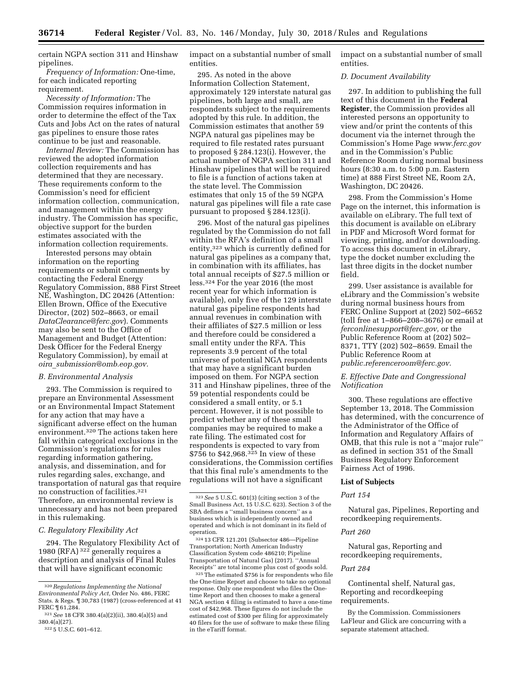certain NGPA section 311 and Hinshaw pipelines.

*Frequency of Information:* One-time, for each indicated reporting requirement.

*Necessity of Information:* The Commission requires information in order to determine the effect of the Tax Cuts and Jobs Act on the rates of natural gas pipelines to ensure those rates continue to be just and reasonable.

*Internal Review:* The Commission has reviewed the adopted information collection requirements and has determined that they are necessary. These requirements conform to the Commission's need for efficient information collection, communication, and management within the energy industry. The Commission has specific, objective support for the burden estimates associated with the information collection requirements.

Interested persons may obtain information on the reporting requirements or submit comments by contacting the Federal Energy Regulatory Commission, 888 First Street NE, Washington, DC 20426 (Attention: Ellen Brown, Office of the Executive Director, (202) 502–8663, or email *[DataClearance@ferc.gov](mailto:DataClearance@ferc.gov)*). Comments may also be sent to the Office of Management and Budget (Attention: Desk Officer for the Federal Energy Regulatory Commission), by email at *oira*\_*[submission@omb.eop.gov.](mailto:oira_submission@omb.eop.gov)* 

### *B. Environmental Analysis*

293. The Commission is required to prepare an Environmental Assessment or an Environmental Impact Statement for any action that may have a significant adverse effect on the human environment.320 The actions taken here fall within categorical exclusions in the Commission's regulations for rules regarding information gathering, analysis, and dissemination, and for rules regarding sales, exchange, and transportation of natural gas that require no construction of facilities.321 Therefore, an environmental review is unnecessary and has not been prepared in this rulemaking.

# *C. Regulatory Flexibility Act*

294. The Regulatory Flexibility Act of 1980 (RFA) 322 generally requires a description and analysis of Final Rules that will have significant economic

295. As noted in the above Information Collection Statement, approximately 129 interstate natural gas pipelines, both large and small, are respondents subject to the requirements adopted by this rule. In addition, the Commission estimates that another 59 NGPA natural gas pipelines may be required to file restated rates pursuant to proposed § 284.123(i). However, the actual number of NGPA section 311 and Hinshaw pipelines that will be required to file is a function of actions taken at the state level. The Commission estimates that only 15 of the 59 NGPA natural gas pipelines will file a rate case pursuant to proposed § 284.123(i).

296. Most of the natural gas pipelines regulated by the Commission do not fall within the RFA's definition of a small entity,323 which is currently defined for natural gas pipelines as a company that, in combination with its affiliates, has total annual receipts of \$27.5 million or less.324 For the year 2016 (the most recent year for which information is available), only five of the 129 interstate natural gas pipeline respondents had annual revenues in combination with their affiliates of \$27.5 million or less and therefore could be considered a small entity under the RFA. This represents 3.9 percent of the total universe of potential NGA respondents that may have a significant burden imposed on them. For NGPA section 311 and Hinshaw pipelines, three of the 59 potential respondents could be considered a small entity, or 5.1 percent. However, it is not possible to predict whether any of these small companies may be required to make a rate filing. The estimated cost for respondents is expected to vary from  $$756$  to  $$42.968$ .<sup>325</sup> In view of these considerations, the Commission certifies that this final rule's amendments to the regulations will not have a significant

impact on a substantial number of small entities.

#### *D. Document Availability*

297. In addition to publishing the full text of this document in the **Federal Register**, the Commission provides all interested persons an opportunity to view and/or print the contents of this document via the internet through the Commission's Home Page *[www.ferc.gov](http://www.ferc.gov)*  and in the Commission's Public Reference Room during normal business hours (8:30 a.m. to 5:00 p.m. Eastern time) at 888 First Street NE, Room 2A, Washington, DC 20426.

298. From the Commission's Home Page on the internet, this information is available on eLibrary. The full text of this document is available on eLibrary in PDF and Microsoft Word format for viewing, printing, and/or downloading. To access this document in eLibrary, type the docket number excluding the last three digits in the docket number field.

299. User assistance is available for eLibrary and the Commission's website during normal business hours from FERC Online Support at (202) 502–6652 (toll free at 1–866–208–3676) or email at *[ferconlinesupport@ferc.gov,](mailto:ferconlinesupport@ferc.gov)* or the Public Reference Room at (202) 502– 8371, TTY (202) 502–8659. Email the Public Reference Room at *[public.referenceroom@ferc.gov.](mailto:public.referenceroom@ferc.gov)* 

# *E. Effective Date and Congressional Notification*

300. These regulations are effective September 13, 2018. The Commission has determined, with the concurrence of the Administrator of the Office of Information and Regulatory Affairs of OMB, that this rule is not a ''major rule'' as defined in section 351 of the Small Business Regulatory Enforcement Fairness Act of 1996.

#### **List of Subjects**

#### *Part 154*

Natural gas, Pipelines, Reporting and recordkeeping requirements.

#### *Part 260*

Natural gas, Reporting and recordkeeping requirements,

#### *Part 284*

Continental shelf, Natural gas, Reporting and recordkeeping requirements.

By the Commission. Commissioners LaFleur and Glick are concurring with a separate statement attached.

<sup>320</sup>*Regulations Implementing the National Environmental Policy Act,* Order No. 486, FERC Stats. & Regs. ¶ 30,783 (1987) (cross-referenced at 41 FERC ¶ 61,284.

<sup>321</sup>*See* 18 CFR 380.4(a)(2)(ii), 380.4(a)(5) and 380.4(a)(27). 322 5 U.S.C. 601–612.

impact on a substantial number of small entities.

<sup>323</sup>*See* 5 U.S.C. 601(3) (citing section 3 of the Small Business Act, 15 U.S.C. 623). Section 3 of the SBA defines a ''small business concern'' as a business which is independently owned and operated and which is not dominant in its field of operation.

<sup>324</sup> 13 CFR 121.201 (Subsector 486—Pipeline Transportation; North American Industry Classification System code 486210; Pipeline Transportation of Natural Gas) (2017). ''Annual Receipts'' are total income plus cost of goods sold.

<sup>325</sup>The estimated \$756 is for respondents who file the One-time Report and choose to take no optional response. Only one respondent who files the Onetime Report and then chooses to make a general NGA section 4 filing is estimated to have a one-time cost of \$42,968. These figures do not include the estimated cost of \$300 per filing for approximately 40 filers for the use of software to make these filing in the eTariff format.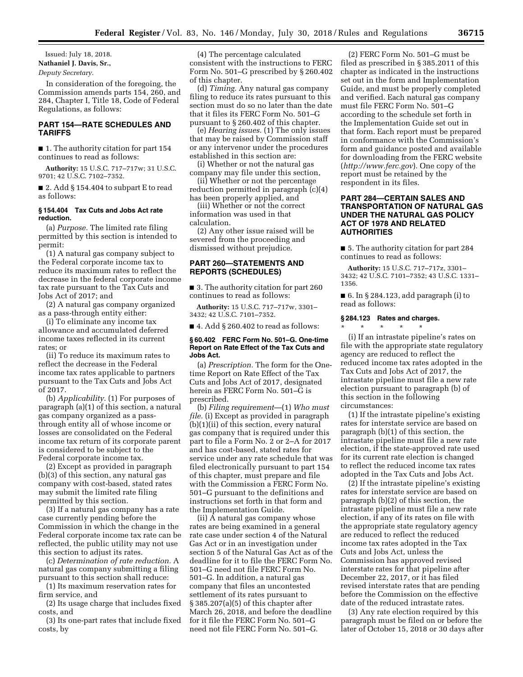Issued: July 18, 2018. **Nathaniel J. Davis, Sr.,**  *Deputy Secretary.* 

In consideration of the foregoing, the Commission amends parts 154, 260, and 284, Chapter I, Title 18, Code of Federal Regulations, as follows:

## **PART 154—RATE SCHEDULES AND TARIFFS**

■ 1. The authority citation for part 154 continues to read as follows:

**Authority:** 15 U.S.C. 717–717w; 31 U.S.C. 9701; 42 U.S.C. 7102–7352.

■ 2. Add § 154.404 to subpart E to read as follows:

## **§ 154.404 Tax Cuts and Jobs Act rate reduction.**

(a) *Purpose.* The limited rate filing permitted by this section is intended to permit:

(1) A natural gas company subject to the Federal corporate income tax to reduce its maximum rates to reflect the decrease in the federal corporate income tax rate pursuant to the Tax Cuts and Jobs Act of 2017; and

(2) A natural gas company organized as a pass-through entity either:

(i) To eliminate any income tax allowance and accumulated deferred income taxes reflected in its current rates; or

(ii) To reduce its maximum rates to reflect the decrease in the Federal income tax rates applicable to partners pursuant to the Tax Cuts and Jobs Act of 2017.

(b) *Applicability.* (1) For purposes of paragraph (a)(1) of this section, a natural gas company organized as a passthrough entity all of whose income or losses are consolidated on the Federal income tax return of its corporate parent is considered to be subject to the Federal corporate income tax.

(2) Except as provided in paragraph (b)(3) of this section, any natural gas company with cost-based, stated rates may submit the limited rate filing permitted by this section.

(3) If a natural gas company has a rate case currently pending before the Commission in which the change in the Federal corporate income tax rate can be reflected, the public utility may not use this section to adjust its rates.

(c) *Determination of rate reduction.* A natural gas company submitting a filing pursuant to this section shall reduce:

(1) Its maximum reservation rates for firm service, and

(2) Its usage charge that includes fixed costs, and

(3) Its one-part rates that include fixed costs, by

(4) The percentage calculated consistent with the instructions to FERC Form No. 501–G prescribed by § 260.402 of this chapter.

(d) *Timing.* Any natural gas company filing to reduce its rates pursuant to this section must do so no later than the date that it files its FERC Form No. 501–G pursuant to § 260.402 of this chapter.

(e) *Hearing issues.* (1) The only issues that may be raised by Commission staff or any intervenor under the procedures established in this section are:

(i) Whether or not the natural gas company may file under this section,

(ii) Whether or not the percentage reduction permitted in paragraph (c)(4) has been properly applied, and

(iii) Whether or not the correct information was used in that calculation.

(2) Any other issue raised will be severed from the proceeding and dismissed without prejudice.

## **PART 260—STATEMENTS AND REPORTS (SCHEDULES)**

■ 3. The authority citation for part 260 continues to read as follows:

**Authority:** 15 U.S.C. 717–717w, 3301– 3432; 42 U.S.C. 7101–7352.

 $\blacksquare$  4. Add § 260.402 to read as follows:

#### **§ 60.402 FERC Form No. 501–G. One-time Report on Rate Effect of the Tax Cuts and Jobs Act.**

(a) *Prescription.* The form for the Onetime Report on Rate Effect of the Tax Cuts and Jobs Act of 2017, designated herein as FERC Form No. 501–G is prescribed.

(b) *Filing requirement*—(1) *Who must file.* (i) Except as provided in paragraph (b)(1)(ii) of this section, every natural gas company that is required under this part to file a Form No. 2 or 2–A for 2017 and has cost-based, stated rates for service under any rate schedule that was filed electronically pursuant to part 154 of this chapter, must prepare and file with the Commission a FERC Form No. 501–G pursuant to the definitions and instructions set forth in that form and the Implementation Guide.

(ii) A natural gas company whose rates are being examined in a general rate case under section 4 of the Natural Gas Act or in an investigation under section 5 of the Natural Gas Act as of the deadline for it to file the FERC Form No. 501–G need not file FERC Form No. 501–G. In addition, a natural gas company that files an uncontested settlement of its rates pursuant to § 385.207(a)(5) of this chapter after March 26, 2018, and before the deadline for it file the FERC Form No. 501–G need not file FERC Form No. 501–G.

(2) FERC Form No. 501–G must be filed as prescribed in § 385.2011 of this chapter as indicated in the instructions set out in the form and Implementation Guide, and must be properly completed and verified. Each natural gas company must file FERC Form No. 501–G according to the schedule set forth in the Implementation Guide set out in that form. Each report must be prepared in conformance with the Commission's form and guidance posted and available for downloading from the FERC website (*<http://www.ferc.gov>*). One copy of the report must be retained by the respondent in its files.

## **PART 284—CERTAIN SALES AND TRANSPORTATION OF NATURAL GAS UNDER THE NATURAL GAS POLICY ACT OF 1978 AND RELATED AUTHORITIES**

■ 5. The authority citation for part 284 continues to read as follows:

**Authority:** 15 U.S.C. 717–717z, 3301– 3432; 42 U.S.C. 7101–7352; 43 U.S.C. 1331– 1356.

 $\blacksquare$  6. In § 284.123, add paragraph (i) to read as follows:

#### **§ 284.123 Rates and charges.**

\* \* \* \* \* (i) If an intrastate pipeline's rates on file with the appropriate state regulatory agency are reduced to reflect the reduced income tax rates adopted in the Tax Cuts and Jobs Act of 2017, the intrastate pipeline must file a new rate election pursuant to paragraph (b) of this section in the following circumstances:

(1) If the intrastate pipeline's existing rates for interstate service are based on paragraph (b)(1) of this section, the intrastate pipeline must file a new rate election, if the state-approved rate used for its current rate election is changed to reflect the reduced income tax rates adopted in the Tax Cuts and Jobs Act.

(2) If the intrastate pipeline's existing rates for interstate service are based on paragraph (b)(2) of this section, the intrastate pipeline must file a new rate election, if any of its rates on file with the appropriate state regulatory agency are reduced to reflect the reduced income tax rates adopted in the Tax Cuts and Jobs Act, unless the Commission has approved revised interstate rates for that pipeline after December 22, 2017, or it has filed revised interstate rates that are pending before the Commission on the effective date of the reduced intrastate rates.

(3) Any rate election required by this paragraph must be filed on or before the later of October 15, 2018 or 30 days after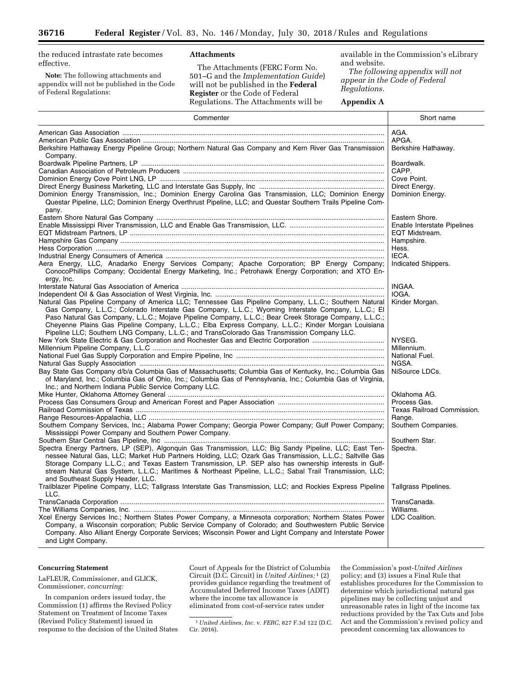the reduced intrastate rate becomes effective.

**Note:** The following attachments and appendix will not be published in the Code of Federal Regulations:

#### **Attachments**

The Attachments (FERC Form No. 501–G and the *Implementation Guide*) will not be published in the **Federal Register** or the Code of Federal Regulations. The Attachments will be

available in the Commission's eLibrary and website.

*The following appendix will not appear in the Code of Federal Regulations.* 

# **Appendix A**

| AGA.<br>APGA.<br>Berkshire Hathaway Energy Pipeline Group; Northern Natural Gas Company and Kern River Gas Transmission<br>Berkshire Hathaway.<br>Company.<br>Boardwalk.<br>CAPP.<br>Cove Point.<br>Direct Energy.<br>Dominion Energy Transmission, Inc.; Dominion Energy Carolina Gas Transmission, LLC; Dominion Energy<br>Dominion Energy.<br>Questar Pipeline, LLC; Dominion Energy Overthrust Pipeline, LLC; and Questar Southern Trails Pipeline Com-<br>pany.<br>Eastern Shore.<br>Enable Interstate Pipelines<br>EQT Midstream.<br>Hampshire.<br>Hess.<br>IECA.<br>Aera Energy, LLC, Anadarko Energy Services Company; Apache Corporation; BP Energy Company;<br>Indicated Shippers. | Commenter                                                                                            | Short name                 |
|----------------------------------------------------------------------------------------------------------------------------------------------------------------------------------------------------------------------------------------------------------------------------------------------------------------------------------------------------------------------------------------------------------------------------------------------------------------------------------------------------------------------------------------------------------------------------------------------------------------------------------------------------------------------------------------------|------------------------------------------------------------------------------------------------------|----------------------------|
|                                                                                                                                                                                                                                                                                                                                                                                                                                                                                                                                                                                                                                                                                              |                                                                                                      |                            |
|                                                                                                                                                                                                                                                                                                                                                                                                                                                                                                                                                                                                                                                                                              |                                                                                                      |                            |
|                                                                                                                                                                                                                                                                                                                                                                                                                                                                                                                                                                                                                                                                                              |                                                                                                      |                            |
|                                                                                                                                                                                                                                                                                                                                                                                                                                                                                                                                                                                                                                                                                              |                                                                                                      |                            |
|                                                                                                                                                                                                                                                                                                                                                                                                                                                                                                                                                                                                                                                                                              |                                                                                                      |                            |
|                                                                                                                                                                                                                                                                                                                                                                                                                                                                                                                                                                                                                                                                                              |                                                                                                      |                            |
|                                                                                                                                                                                                                                                                                                                                                                                                                                                                                                                                                                                                                                                                                              |                                                                                                      |                            |
|                                                                                                                                                                                                                                                                                                                                                                                                                                                                                                                                                                                                                                                                                              |                                                                                                      |                            |
|                                                                                                                                                                                                                                                                                                                                                                                                                                                                                                                                                                                                                                                                                              |                                                                                                      |                            |
|                                                                                                                                                                                                                                                                                                                                                                                                                                                                                                                                                                                                                                                                                              |                                                                                                      |                            |
|                                                                                                                                                                                                                                                                                                                                                                                                                                                                                                                                                                                                                                                                                              |                                                                                                      |                            |
|                                                                                                                                                                                                                                                                                                                                                                                                                                                                                                                                                                                                                                                                                              |                                                                                                      |                            |
|                                                                                                                                                                                                                                                                                                                                                                                                                                                                                                                                                                                                                                                                                              |                                                                                                      |                            |
|                                                                                                                                                                                                                                                                                                                                                                                                                                                                                                                                                                                                                                                                                              |                                                                                                      |                            |
| ergy, Inc.                                                                                                                                                                                                                                                                                                                                                                                                                                                                                                                                                                                                                                                                                   | ConocoPhillips Company; Occidental Energy Marketing, Inc.; Petrohawk Energy Corporation; and XTO En- |                            |
| INGAA.                                                                                                                                                                                                                                                                                                                                                                                                                                                                                                                                                                                                                                                                                       |                                                                                                      |                            |
| IOGA.                                                                                                                                                                                                                                                                                                                                                                                                                                                                                                                                                                                                                                                                                        |                                                                                                      |                            |
| Natural Gas Pipeline Company of America LLC; Tennessee Gas Pipeline Company, L.L.C.; Southern Natural<br>Kinder Morgan.                                                                                                                                                                                                                                                                                                                                                                                                                                                                                                                                                                      |                                                                                                      |                            |
| Gas Company, L.L.C.; Colorado Interstate Gas Company, L.L.C.; Wyoming Interstate Company, L.L.C.; El<br>Paso Natural Gas Company, L.L.C.; Mojave Pipeline Company, L.L.C.; Bear Creek Storage Company, L.L.C.;<br>Cheyenne Plains Gas Pipeline Company, L.L.C.; Elba Express Company, L.L.C.; Kinder Morgan Louisiana                                                                                                                                                                                                                                                                                                                                                                        |                                                                                                      |                            |
| Pipeline LLC; Southern LNG Company, L.L.C.; and TransColorado Gas Transmission Company LLC.                                                                                                                                                                                                                                                                                                                                                                                                                                                                                                                                                                                                  |                                                                                                      |                            |
| NYSEG.                                                                                                                                                                                                                                                                                                                                                                                                                                                                                                                                                                                                                                                                                       |                                                                                                      |                            |
| Millennium.                                                                                                                                                                                                                                                                                                                                                                                                                                                                                                                                                                                                                                                                                  |                                                                                                      |                            |
| National Fuel.                                                                                                                                                                                                                                                                                                                                                                                                                                                                                                                                                                                                                                                                               |                                                                                                      |                            |
| NGSA.                                                                                                                                                                                                                                                                                                                                                                                                                                                                                                                                                                                                                                                                                        |                                                                                                      |                            |
| Bay State Gas Company d/b/a Columbia Gas of Massachusetts; Columbia Gas of Kentucky, Inc.; Columbia Gas<br>NiSource LDCs.<br>of Maryland, Inc.; Columbia Gas of Ohio, Inc.; Columbia Gas of Pennsylvania, Inc.; Columbia Gas of Virginia,<br>Inc.; and Northern Indiana Public Service Company LLC.                                                                                                                                                                                                                                                                                                                                                                                          |                                                                                                      |                            |
| Oklahoma AG.                                                                                                                                                                                                                                                                                                                                                                                                                                                                                                                                                                                                                                                                                 |                                                                                                      |                            |
| Process Gas.                                                                                                                                                                                                                                                                                                                                                                                                                                                                                                                                                                                                                                                                                 |                                                                                                      |                            |
|                                                                                                                                                                                                                                                                                                                                                                                                                                                                                                                                                                                                                                                                                              |                                                                                                      | Texas Railroad Commission. |
| Range.                                                                                                                                                                                                                                                                                                                                                                                                                                                                                                                                                                                                                                                                                       |                                                                                                      |                            |
| Southern Company Services, Inc.; Alabama Power Company; Georgia Power Company; Gulf Power Company;<br>Southern Companies.                                                                                                                                                                                                                                                                                                                                                                                                                                                                                                                                                                    |                                                                                                      |                            |
| Mississippi Power Company and Southern Power Company.                                                                                                                                                                                                                                                                                                                                                                                                                                                                                                                                                                                                                                        |                                                                                                      |                            |
| Southern Star.                                                                                                                                                                                                                                                                                                                                                                                                                                                                                                                                                                                                                                                                               |                                                                                                      |                            |
| Spectra Energy Partners, LP (SEP), Algonquin Gas Transmission, LLC; Big Sandy Pipeline, LLC; East Ten-<br>Spectra.<br>nessee Natural Gas, LLC; Market Hub Partners Holding, LLC; Ozark Gas Transmission, L.L.C.; Saltville Gas<br>Storage Company L.L.C.; and Texas Eastern Transmission, LP. SEP also has ownership interests in Gulf-<br>stream Natural Gas System, L.L.C.; Maritimes & Northeast Pipeline, L.L.C.; Sabal Trail Transmission, LLC;<br>and Southeast Supply Header, LLC.                                                                                                                                                                                                    |                                                                                                      |                            |
| Trailblazer Pipeline Company, LLC; Tallgrass Interstate Gas Transmission, LLC; and Rockies Express Pipeline<br><b>Tallgrass Pipelines.</b>                                                                                                                                                                                                                                                                                                                                                                                                                                                                                                                                                   |                                                                                                      |                            |
| LLC.                                                                                                                                                                                                                                                                                                                                                                                                                                                                                                                                                                                                                                                                                         |                                                                                                      |                            |
| TransCanada.                                                                                                                                                                                                                                                                                                                                                                                                                                                                                                                                                                                                                                                                                 |                                                                                                      |                            |
| Williams.                                                                                                                                                                                                                                                                                                                                                                                                                                                                                                                                                                                                                                                                                    |                                                                                                      |                            |
| Xcel Energy Services Inc.; Northern States Power Company, a Minnesota corporation; Northern States Power<br>LDC Coalition.                                                                                                                                                                                                                                                                                                                                                                                                                                                                                                                                                                   |                                                                                                      |                            |
| Company, a Wisconsin corporation; Public Service Company of Colorado; and Southwestern Public Service<br>Company. Also Alliant Energy Corporate Services; Wisconsin Power and Light Company and Interstate Power<br>and Light Company.                                                                                                                                                                                                                                                                                                                                                                                                                                                       |                                                                                                      |                            |

## **Concurring Statement**

LaFLEUR, Commissioner, and GLICK, Commissioner, *concurring:* 

In companion orders issued today, the Commission (1) affirms the Revised Policy Statement on Treatment of Income Taxes (Revised Policy Statement) issued in response to the decision of the United States

Court of Appeals for the District of Columbia Circuit (D.C. Circuit) in *United Airlines;* 1 (2) provides guidance regarding the treatment of Accumulated Deferred Income Taxes (ADIT) where the income tax allowance is eliminated from cost-of-service rates under

1*United Airlines, Inc.* v. *FERC,* 827 F.3d 122 (D.C. Cir. 2016).

the Commission's post-*United Airlines*  policy; and (3) issues a Final Rule that establishes procedures for the Commission to determine which jurisdictional natural gas pipelines may be collecting unjust and unreasonable rates in light of the income tax reductions provided by the Tax Cuts and Jobs Act and the Commission's revised policy and precedent concerning tax allowances to